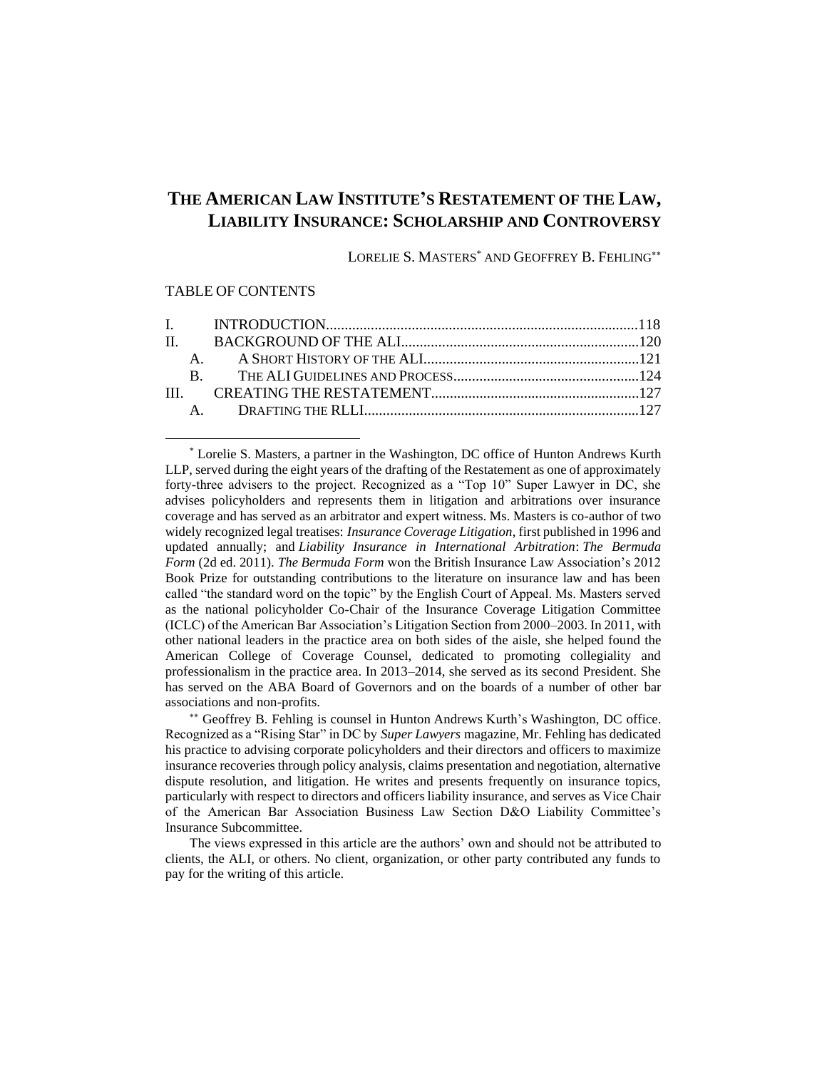# **THE AMERICAN LAW INSTITUTE'S RESTATEMENT OF THE LAW, LIABILITY INSURANCE: SCHOLARSHIP AND CONTROVERSY**

LORELIE S. MASTERS<sup>\*</sup> AND GEOFFREY B. FEHLING<sup>\*\*</sup>

#### TABLE OF CONTENTS

\* Lorelie S. Masters, a partner in the Washington, DC office of Hunton Andrews Kurth LLP, served during the eight years of the drafting of the Restatement as one of approximately forty-three advisers to the project. Recognized as a "Top 10" Super Lawyer in DC, she advises policyholders and represents them in litigation and arbitrations over insurance coverage and has served as an arbitrator and expert witness. Ms. Masters is co-author of two widely recognized legal treatises: *Insurance Coverage Litigation*, first published in 1996 and updated annually; and *Liability Insurance in International Arbitration*: *The Bermuda Form* (2d ed. 2011). *The Bermuda Form* won the British Insurance Law Association's 2012 Book Prize for outstanding contributions to the literature on insurance law and has been called "the standard word on the topic" by the English Court of Appeal. Ms. Masters served as the national policyholder Co-Chair of the Insurance Coverage Litigation Committee (ICLC) of the American Bar Association's Litigation Section from 2000–2003. In 2011, with other national leaders in the practice area on both sides of the aisle, she helped found the American College of Coverage Counsel, dedicated to promoting collegiality and professionalism in the practice area. In 2013–2014, she served as its second President. She has served on the ABA Board of Governors and on the boards of a number of other bar associations and non-profits.

\*\* Geoffrey B. Fehling is counsel in Hunton Andrews Kurth's Washington, DC office. Recognized as a "Rising Star" in DC by *Super Lawyers* magazine, Mr. Fehling has dedicated his practice to advising corporate policyholders and their directors and officers to maximize insurance recoveries through policy analysis, claims presentation and negotiation, alternative dispute resolution, and litigation. He writes and presents frequently on insurance topics, particularly with respect to directors and officers liability insurance, and serves as Vice Chair of the American Bar Association Business Law Section D&O Liability Committee's Insurance Subcommittee.

The views expressed in this article are the authors' own and should not be attributed to clients, the ALI, or others. No client, organization, or other party contributed any funds to pay for the writing of this article.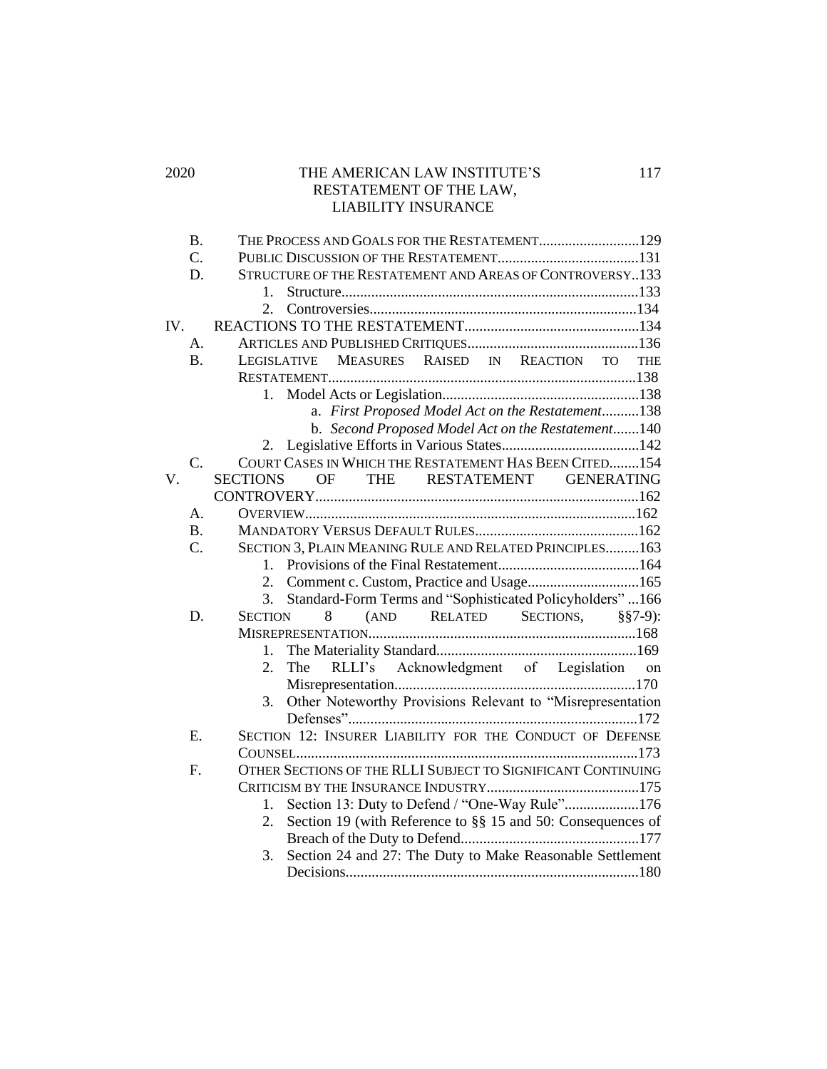| 2020 | THE AMERICAN LAW INSTITUTE'S |  |
|------|------------------------------|--|
|      | RESTATEMENT OF THE LAW,      |  |
|      | LIABILITY INSURANCE          |  |

|     | <b>B.</b><br>$\overline{C}$ .                                  | THE PROCESS AND GOALS FOR THE RESTATEMENT 129                     |  |  |  |  |  |
|-----|----------------------------------------------------------------|-------------------------------------------------------------------|--|--|--|--|--|
|     | STRUCTURE OF THE RESTATEMENT AND AREAS OF CONTROVERSY133<br>D. |                                                                   |  |  |  |  |  |
|     |                                                                | 1.                                                                |  |  |  |  |  |
|     |                                                                | $\mathcal{D}_{\mathcal{L}}$                                       |  |  |  |  |  |
| IV. |                                                                |                                                                   |  |  |  |  |  |
|     | А.                                                             |                                                                   |  |  |  |  |  |
|     | $\mathbf{B}$ .                                                 | MEASURES RAISED IN REACTION TO THE<br><b>LEGISLATIVE</b>          |  |  |  |  |  |
|     |                                                                |                                                                   |  |  |  |  |  |
|     |                                                                | 1.                                                                |  |  |  |  |  |
|     |                                                                | a. First Proposed Model Act on the Restatement138                 |  |  |  |  |  |
|     |                                                                | b. Second Proposed Model Act on the Restatement140                |  |  |  |  |  |
|     |                                                                |                                                                   |  |  |  |  |  |
|     | C.                                                             | COURT CASES IN WHICH THE RESTATEMENT HAS BEEN CITED154            |  |  |  |  |  |
| V.  |                                                                | THE RESTATEMENT GENERATING<br><b>SECTIONS</b><br>OF               |  |  |  |  |  |
|     |                                                                |                                                                   |  |  |  |  |  |
|     | $\mathsf{A}$ .                                                 |                                                                   |  |  |  |  |  |
|     | $\mathbf{B}$ .                                                 |                                                                   |  |  |  |  |  |
|     | C.                                                             | SECTION 3, PLAIN MEANING RULE AND RELATED PRINCIPLES163           |  |  |  |  |  |
|     |                                                                | $1_{-}$                                                           |  |  |  |  |  |
|     |                                                                | 2.                                                                |  |  |  |  |  |
|     |                                                                | Standard-Form Terms and "Sophisticated Policyholders"166<br>3.    |  |  |  |  |  |
|     | D.                                                             | (AND RELATED<br>SECTIONS,<br><b>SECTION</b><br>8<br>$§$ §7-9):    |  |  |  |  |  |
|     |                                                                |                                                                   |  |  |  |  |  |
|     |                                                                | 1.                                                                |  |  |  |  |  |
|     |                                                                | RLLI's Acknowledgment of Legislation<br>2.<br>The<br>on           |  |  |  |  |  |
|     |                                                                |                                                                   |  |  |  |  |  |
|     |                                                                | Other Noteworthy Provisions Relevant to "Misrepresentation<br>3.  |  |  |  |  |  |
|     |                                                                |                                                                   |  |  |  |  |  |
|     | E.                                                             | SECTION 12: INSURER LIABILITY FOR THE CONDUCT OF DEFENSE          |  |  |  |  |  |
|     |                                                                |                                                                   |  |  |  |  |  |
|     | F.                                                             | OTHER SECTIONS OF THE RLLI SUBJECT TO SIGNIFICANT CONTINUING      |  |  |  |  |  |
|     |                                                                |                                                                   |  |  |  |  |  |
|     |                                                                | Section 13: Duty to Defend / "One-Way Rule"176<br>1.              |  |  |  |  |  |
|     |                                                                | Section 19 (with Reference to §§ 15 and 50: Consequences of<br>2. |  |  |  |  |  |
|     |                                                                |                                                                   |  |  |  |  |  |
|     |                                                                | Section 24 and 27: The Duty to Make Reasonable Settlement<br>3.   |  |  |  |  |  |
|     |                                                                |                                                                   |  |  |  |  |  |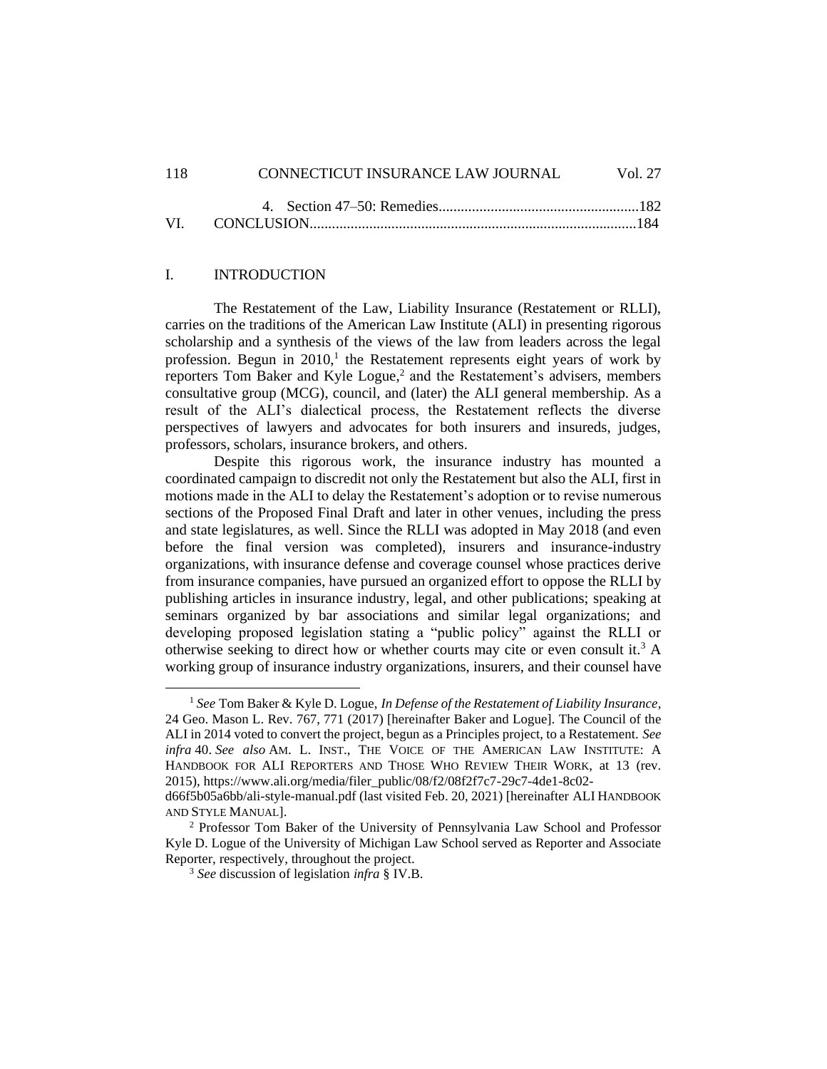| ----- |  |
|-------|--|
|       |  |
|       |  |
|       |  |

#### I. INTRODUCTION

The Restatement of the Law, Liability Insurance (Restatement or RLLI), carries on the traditions of the American Law Institute (ALI) in presenting rigorous scholarship and a synthesis of the views of the law from leaders across the legal profession. Begun in  $2010<sup>1</sup>$  the Restatement represents eight years of work by reporters Tom Baker and Kyle Logue,<sup>2</sup> and the Restatement's advisers, members consultative group (MCG), council, and (later) the ALI general membership. As a result of the ALI's dialectical process, the Restatement reflects the diverse perspectives of lawyers and advocates for both insurers and insureds, judges, professors, scholars, insurance brokers, and others.

Despite this rigorous work, the insurance industry has mounted a coordinated campaign to discredit not only the Restatement but also the ALI, first in motions made in the ALI to delay the Restatement's adoption or to revise numerous sections of the Proposed Final Draft and later in other venues, including the press and state legislatures, as well. Since the RLLI was adopted in May 2018 (and even before the final version was completed), insurers and insurance-industry organizations, with insurance defense and coverage counsel whose practices derive from insurance companies, have pursued an organized effort to oppose the RLLI by publishing articles in insurance industry, legal, and other publications; speaking at seminars organized by bar associations and similar legal organizations; and developing proposed legislation stating a "public policy" against the RLLI or otherwise seeking to direct how or whether courts may cite or even consult it.<sup>3</sup> A working group of insurance industry organizations, insurers, and their counsel have

#### 118 CONNECTICUT INSURANCE LAW JOURNAL Vol. 27

<sup>1</sup> *See* Tom Baker & Kyle D. Logue, *In Defense of the Restatement of Liability Insurance*, 24 Geo. Mason L. Rev. 767, 771 (2017) [hereinafter Baker and Logue]. The Council of the ALI in 2014 voted to convert the project, begun as a Principles project, to a Restatement. *See infra* 40. *See also* AM. L. INST., THE VOICE OF THE AMERICAN LAW INSTITUTE: A HANDBOOK FOR ALI REPORTERS AND THOSE WHO REVIEW THEIR WORK, at 13 (rev. 2015), https://www.ali.org/media/filer\_public/08/f2/08f2f7c7-29c7-4de1-8c02 d66f5b05a6bb/ali-style-manual.pdf (last visited Feb. 20, 2021) [hereinafter ALI HANDBOOK

AND STYLE MANUAL].

<sup>2</sup> Professor Tom Baker of the University of Pennsylvania Law School and Professor Kyle D. Logue of the University of Michigan Law School served as Reporter and Associate Reporter, respectively, throughout the project.

<sup>3</sup> *See* discussion of legislation *infra* § IV.B.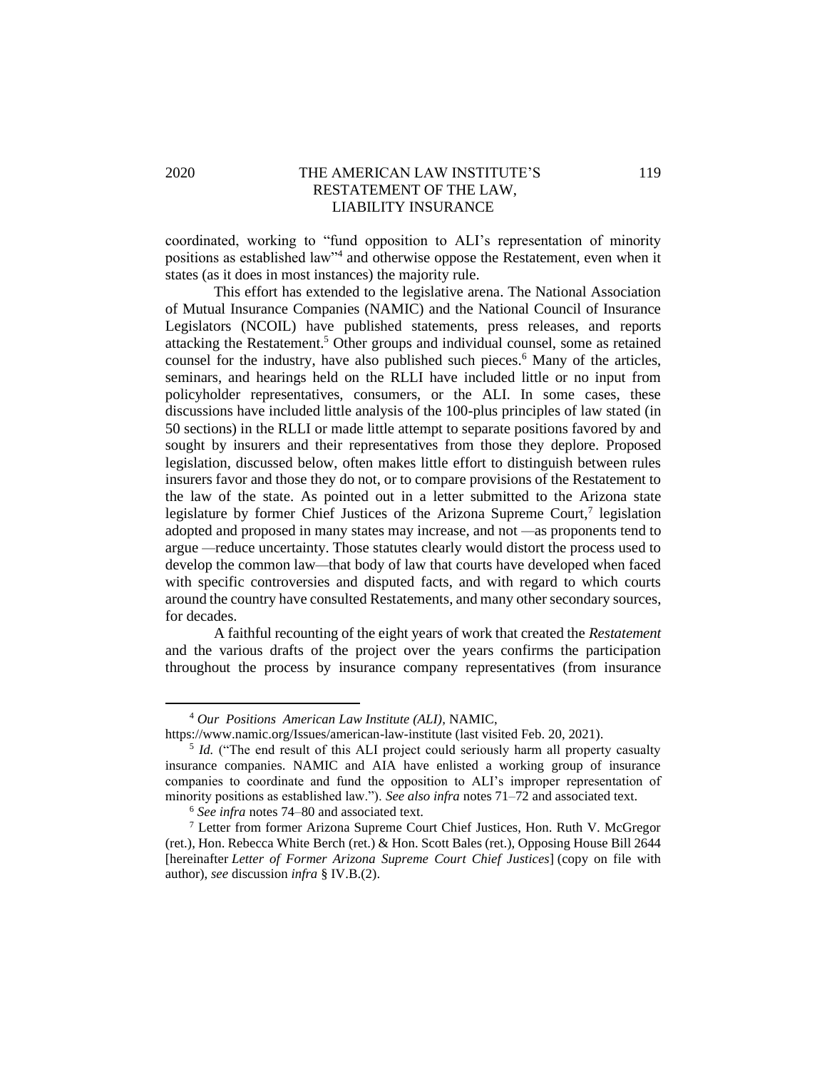## 2020 THE AMERICAN LAW INSTITUTE'S 119 RESTATEMENT OF THE LAW, LIABILITY INSURANCE

coordinated, working to "fund opposition to ALI's representation of minority positions as established law"<sup>4</sup> and otherwise oppose the Restatement, even when it states (as it does in most instances) the majority rule.

This effort has extended to the legislative arena. The National Association of Mutual Insurance Companies (NAMIC) and the National Council of Insurance Legislators (NCOIL) have published statements, press releases, and reports attacking the Restatement. <sup>5</sup> Other groups and individual counsel, some as retained counsel for the industry, have also published such pieces.<sup>6</sup> Many of the articles, seminars, and hearings held on the RLLI have included little or no input from policyholder representatives, consumers, or the ALI. In some cases, these discussions have included little analysis of the 100-plus principles of law stated (in 50 sections) in the RLLI or made little attempt to separate positions favored by and sought by insurers and their representatives from those they deplore. Proposed legislation, discussed below, often makes little effort to distinguish between rules insurers favor and those they do not, or to compare provisions of the Restatement to the law of the state. As pointed out in a letter submitted to the Arizona state legislature by former Chief Justices of the Arizona Supreme Court,<sup>7</sup> legislation adopted and proposed in many states may increase, and not *—*as proponents tend to argue *—*reduce uncertainty. Those statutes clearly would distort the process used to develop the common law*—*that body of law that courts have developed when faced with specific controversies and disputed facts, and with regard to which courts around the country have consulted Restatements, and many other secondary sources, for decades.

A faithful recounting of the eight years of work that created the *Restatement* and the various drafts of the project over the years confirms the participation throughout the process by insurance company representatives (from insurance

<sup>4</sup> *Our Positions American Law Institute (ALI),* NAMIC,

https://www.namic.org/Issues/american-law-institute (last visited Feb. 20, 2021).

<sup>&</sup>lt;sup>5</sup> *Id.* ("The end result of this ALI project could seriously harm all property casualty insurance companies. NAMIC and AIA have enlisted a working group of insurance companies to coordinate and fund the opposition to ALI's improper representation of minority positions as established law."). *See also infra* notes 71–72 and associated text.

<sup>6</sup> *See infra* notes 74–80 and associated text.

<sup>7</sup> Letter from former Arizona Supreme Court Chief Justices, Hon. Ruth V. McGregor (ret.), Hon. Rebecca White Berch (ret.) & Hon. Scott Bales (ret.), Opposing House Bill 2644 [hereinafter *Letter of Former Arizona Supreme Court Chief Justices*] (copy on file with author), *see* discussion *infra* § IV.B.(2).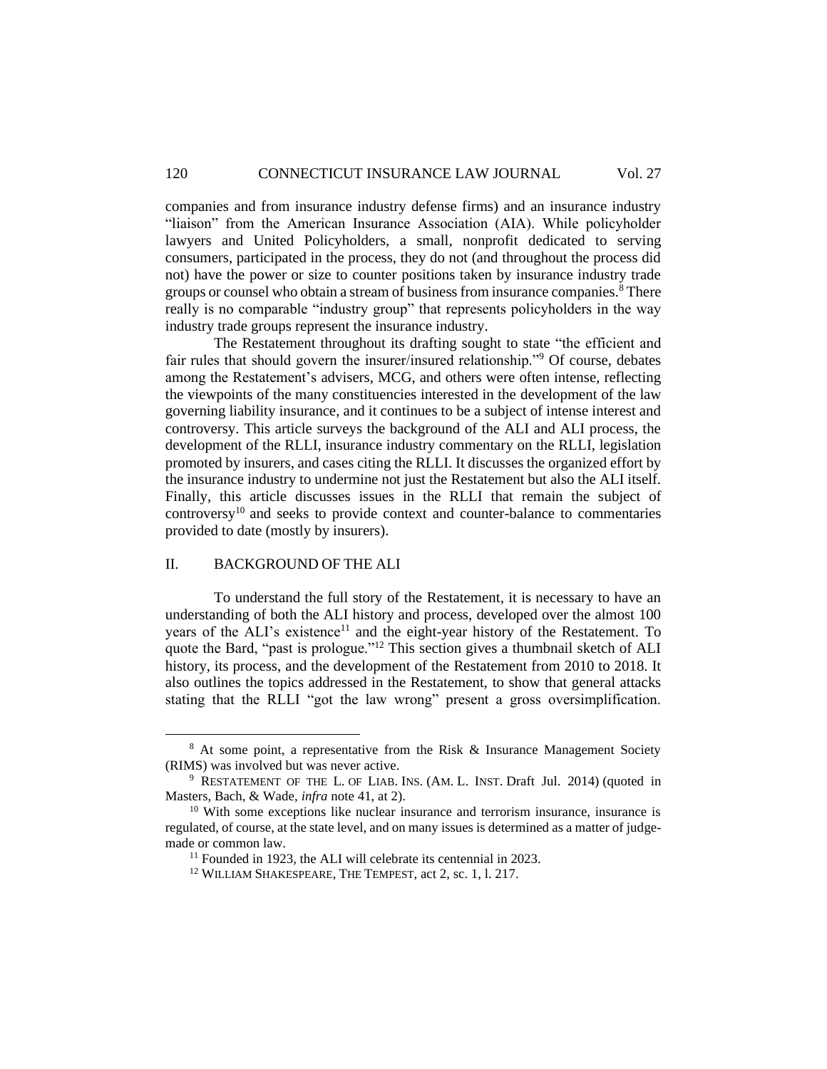companies and from insurance industry defense firms) and an insurance industry "liaison" from the American Insurance Association (AIA). While policyholder lawyers and United Policyholders, a small, nonprofit dedicated to serving consumers, participated in the process, they do not (and throughout the process did not) have the power or size to counter positions taken by insurance industry trade groups or counsel who obtain a stream of business from insurance companies.<sup>8</sup> There really is no comparable "industry group" that represents policyholders in the way industry trade groups represent the insurance industry.

The Restatement throughout its drafting sought to state "the efficient and fair rules that should govern the insurer/insured relationship."<sup>9</sup> Of course, debates among the Restatement's advisers, MCG, and others were often intense, reflecting the viewpoints of the many constituencies interested in the development of the law governing liability insurance, and it continues to be a subject of intense interest and controversy. This article surveys the background of the ALI and ALI process, the development of the RLLI, insurance industry commentary on the RLLI, legislation promoted by insurers, and cases citing the RLLI. It discusses the organized effort by the insurance industry to undermine not just the Restatement but also the ALI itself. Finally, this article discusses issues in the RLLI that remain the subject of  $controversy<sup>10</sup>$  and seeks to provide context and counter-balance to commentaries provided to date (mostly by insurers).

## II. BACKGROUND OF THE ALI

To understand the full story of the Restatement, it is necessary to have an understanding of both the ALI history and process, developed over the almost 100 years of the ALI's existence<sup>11</sup> and the eight-year history of the Restatement. To quote the Bard, "past is prologue."<sup>12</sup> This section gives a thumbnail sketch of ALI history, its process, and the development of the Restatement from 2010 to 2018. It also outlines the topics addressed in the Restatement, to show that general attacks stating that the RLLI "got the law wrong" present a gross oversimplification.

<sup>&</sup>lt;sup>8</sup> At some point, a representative from the Risk & Insurance Management Society (RIMS) was involved but was never active.

<sup>&</sup>lt;sup>9</sup> RESTATEMENT OF THE L. OF LIAB. INS. (AM. L. INST. Draft Jul. 2014) (quoted in Masters, Bach, & Wade, *infra* note 41, at 2).

<sup>&</sup>lt;sup>10</sup> With some exceptions like nuclear insurance and terrorism insurance, insurance is regulated, of course, at the state level, and on many issues is determined as a matter of judgemade or common law.

<sup>&</sup>lt;sup>11</sup> Founded in 1923, the ALI will celebrate its centennial in 2023.

<sup>12</sup> WILLIAM SHAKESPEARE, THE TEMPEST, act 2, sc. 1, l. 217.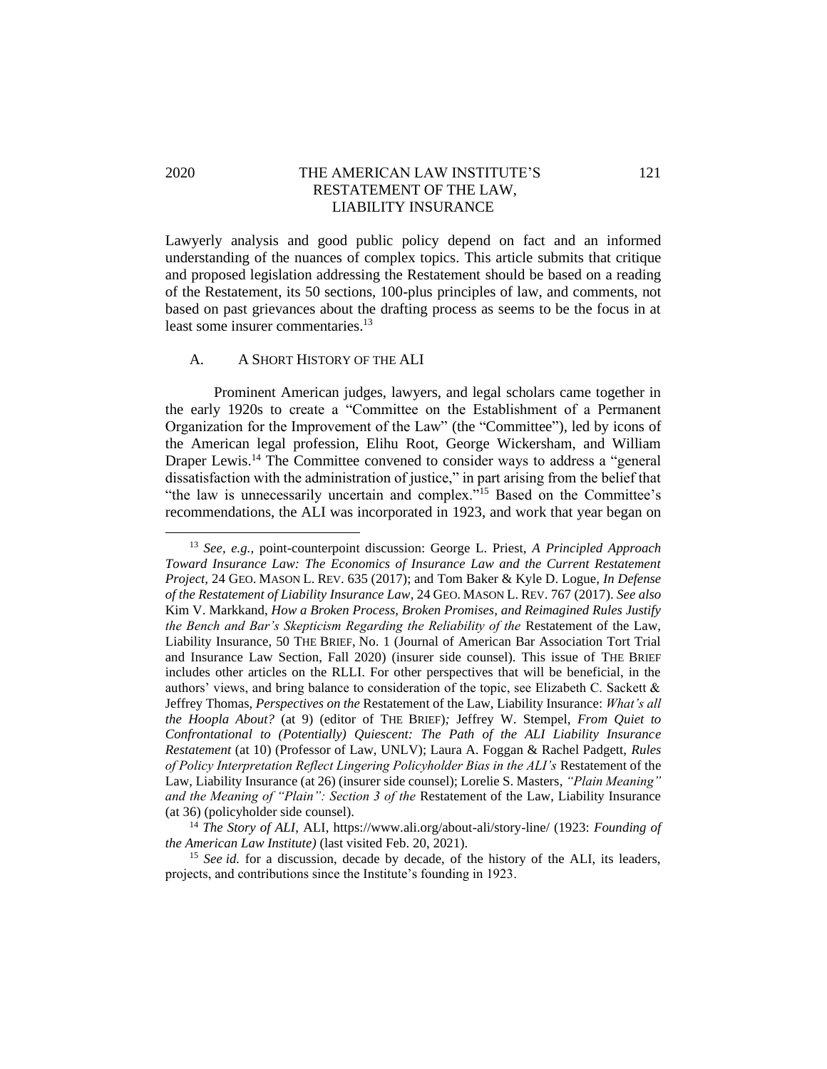## 2020 THE AMERICAN LAW INSTITUTE'S 121 RESTATEMENT OF THE LAW, LIABILITY INSURANCE

Lawyerly analysis and good public policy depend on fact and an informed understanding of the nuances of complex topics. This article submits that critique and proposed legislation addressing the Restatement should be based on a reading of the Restatement, its 50 sections, 100-plus principles of law, and comments, not based on past grievances about the drafting process as seems to be the focus in at least some insurer commentaries.<sup>13</sup>

#### A. A SHORT HISTORY OF THE ALI

Prominent American judges, lawyers, and legal scholars came together in the early 1920s to create a "Committee on the Establishment of a Permanent Organization for the Improvement of the Law" (the "Committee"), led by icons of the American legal profession, Elihu Root, George Wickersham, and William Draper Lewis.<sup>14</sup> The Committee convened to consider ways to address a "general dissatisfaction with the administration of justice," in part arising from the belief that "the law is unnecessarily uncertain and complex."<sup>15</sup> Based on the Committee's recommendations, the ALI was incorporated in 1923, and work that year began on

<sup>13</sup> *See, e.g.,* point-counterpoint discussion: George L. Priest, *A Principled Approach Toward Insurance Law: The Economics of Insurance Law and the Current Restatement Project,* 24 GEO. MASON L. REV. 635 (2017); and Tom Baker & Kyle D. Logue, *In Defense of the Restatement of Liability Insurance Law*, 24 GEO. MASON L. REV. 767 (2017). *See also*  Kim V. Markkand, *How a Broken Process, Broken Promises, and Reimagined Rules Justify the Bench and Bar's Skepticism Regarding the Reliability of the* Restatement of the Law, Liability Insurance, 50 THE BRIEF, No. 1 (Journal of American Bar Association Tort Trial and Insurance Law Section, Fall 2020) (insurer side counsel). This issue of THE BRIEF includes other articles on the RLLI. For other perspectives that will be beneficial, in the authors' views, and bring balance to consideration of the topic, see Elizabeth C. Sackett & Jeffrey Thomas, *Perspectives on the* Restatement of the Law, Liability Insurance: *What's all the Hoopla About?* (at 9) (editor of THE BRIEF)*;* Jeffrey W. Stempel, *From Quiet to Confrontational to (Potentially) Quiescent: The Path of the ALI Liability Insurance Restatement* (at 10) (Professor of Law, UNLV); Laura A. Foggan & Rachel Padgett, *Rules of Policy Interpretation Reflect Lingering Policyholder Bias in the ALI's* Restatement of the Law, Liability Insurance (at 26) (insurer side counsel); Lorelie S. Masters, *"Plain Meaning" and the Meaning of "Plain": Section 3 of the* Restatement of the Law, Liability Insurance (at 36) (policyholder side counsel).

<sup>14</sup> *The Story of ALI*, ALI, https://www.ali.org/about-ali/story-line/ (1923: *Founding of the American Law Institute)* (last visited Feb. 20, 2021).

<sup>15</sup> *See id.* for a discussion, decade by decade, of the history of the ALI, its leaders, projects, and contributions since the Institute's founding in 1923.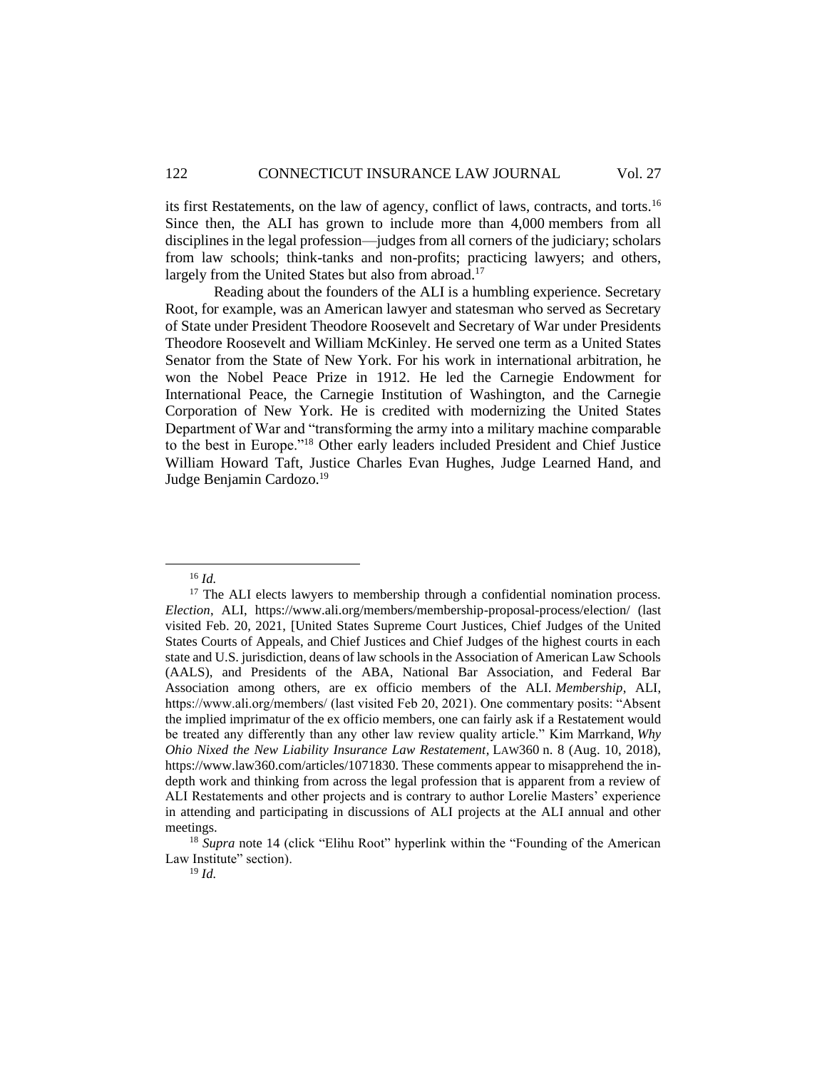its first Restatements, on the law of agency, conflict of laws, contracts, and torts.<sup>16</sup> Since then, the ALI has grown to include more than 4,000 members from all disciplines in the legal profession—judges from all corners of the judiciary; scholars from law schools; think-tanks and non-profits; practicing lawyers; and others, largely from the United States but also from abroad.<sup>17</sup>

Reading about the founders of the ALI is a humbling experience. Secretary Root, for example, was an American lawyer and statesman who served as Secretary of State under President Theodore Roosevelt and Secretary of War under Presidents Theodore Roosevelt and William McKinley. He served one term as a United States Senator from the State of New York. For his work in international arbitration, he won the Nobel Peace Prize in 1912. He led the Carnegie Endowment for International Peace, the Carnegie Institution of Washington, and the Carnegie Corporation of New York. He is credited with modernizing the United States Department of War and "transforming the army into a military machine comparable to the best in Europe."<sup>18</sup> Other early leaders included President and Chief Justice William Howard Taft, Justice Charles Evan Hughes, Judge Learned Hand, and Judge Benjamin Cardozo.<sup>19</sup>

<sup>16</sup> *Id.*

<sup>&</sup>lt;sup>17</sup> The ALI elects lawyers to membership through a confidential nomination process. *Election*, ALI, https://www.ali.org/members/membership-proposal-process/election/ (last visited Feb. 20, 2021, [United States Supreme Court Justices, Chief Judges of the United States Courts of Appeals, and Chief Justices and Chief Judges of the highest courts in each state and U.S. jurisdiction, deans of law schools in the Association of American Law Schools (AALS), and Presidents of the ABA, National Bar Association, and Federal Bar Association among others, are ex officio members of the ALI. *Membership*, ALI, https://www.ali.org/members/ (last visited Feb 20, 2021). One commentary posits: "Absent the implied imprimatur of the ex officio members, one can fairly ask if a Restatement would be treated any differently than any other law review quality article." Kim Marrkand, *Why Ohio Nixed the New Liability Insurance Law Restatement*, LAW360 n. 8 (Aug. 10, 2018), https://www.law360.com/articles/1071830. These comments appear to misapprehend the indepth work and thinking from across the legal profession that is apparent from a review of ALI Restatements and other projects and is contrary to author Lorelie Masters' experience in attending and participating in discussions of ALI projects at the ALI annual and other meetings.

<sup>&</sup>lt;sup>18</sup> *Supra* note 14 (click "Elihu Root" hyperlink within the "Founding of the American Law Institute" section).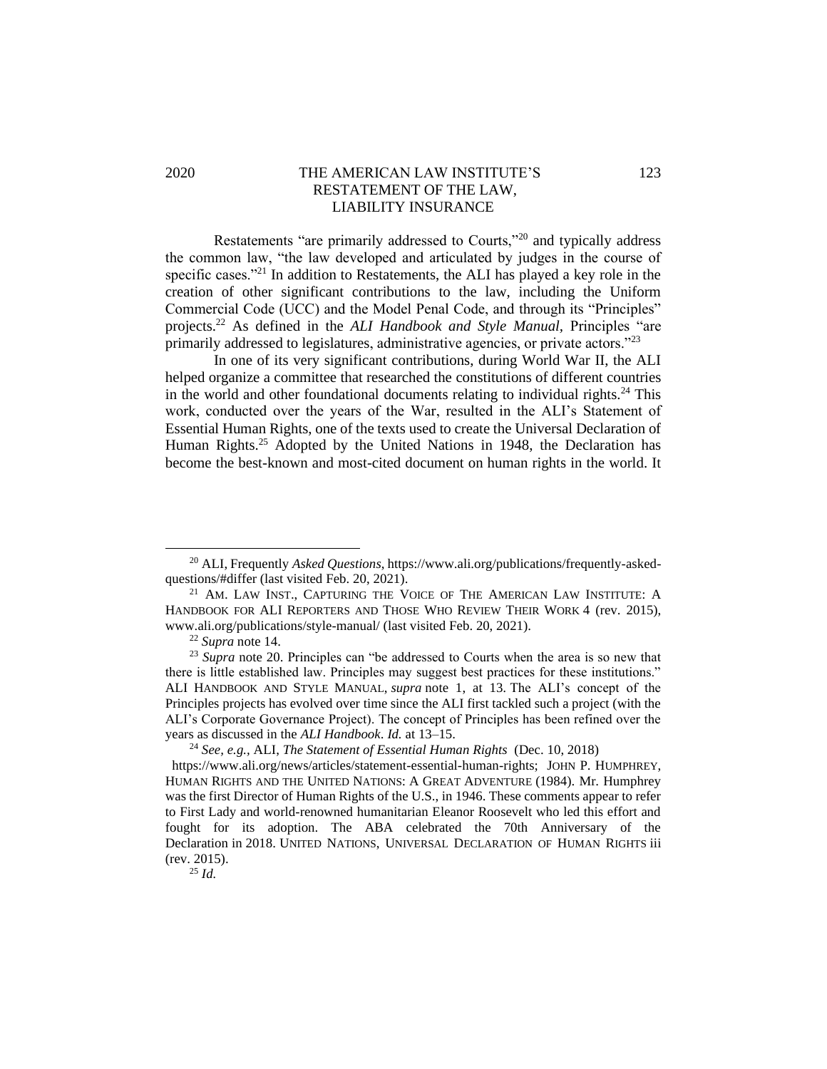## 2020 THE AMERICAN LAW INSTITUTE'S 123 RESTATEMENT OF THE LAW, LIABILITY INSURANCE

Restatements "are primarily addressed to Courts,"<sup>20</sup> and typically address the common law, "the law developed and articulated by judges in the course of specific cases."<sup>21</sup> In addition to Restatements, the ALI has played a key role in the creation of other significant contributions to the law, including the Uniform Commercial Code (UCC) and the Model Penal Code, and through its "Principles" projects.<sup>22</sup> As defined in the *ALI Handbook and Style Manual,* Principles "are primarily addressed to legislatures, administrative agencies, or private actors."<sup>23</sup>

In one of its very significant contributions, during World War II, the ALI helped organize a committee that researched the constitutions of different countries in the world and other foundational documents relating to individual rights.<sup>24</sup> This work, conducted over the years of the War, resulted in the ALI's Statement of Essential Human Rights, one of the texts used to create the Universal Declaration of Human Rights.<sup>25</sup> Adopted by the United Nations in 1948, the Declaration has become the best-known and most-cited document on human rights in the world. It

<sup>20</sup> ALI, Frequently *Asked Questions*, https://www.ali.org/publications/frequently-askedquestions/#differ (last visited Feb. 20, 2021).

<sup>&</sup>lt;sup>21</sup> AM. LAW INST., CAPTURING THE VOICE OF THE AMERICAN LAW INSTITUTE: A HANDBOOK FOR ALI REPORTERS AND THOSE WHO REVIEW THEIR WORK 4 (rev. 2015), www.ali.org/publications/style-manual/ (last visited Feb. 20, 2021).

<sup>22</sup> *Supra* note 14.

<sup>23</sup> *Supra* note 20. Principles can "be addressed to Courts when the area is so new that there is little established law. Principles may suggest best practices for these institutions." ALI HANDBOOK AND STYLE MANUAL, *supra* note 1, at 13*.* The ALI's concept of the Principles projects has evolved over time since the ALI first tackled such a project (with the ALI's Corporate Governance Project). The concept of Principles has been refined over the years as discussed in the *ALI Handbook*. *Id.* at 13–15.

<sup>24</sup> *See, e.g.,* ALI, *The Statement of Essential Human Rights* (Dec. 10, 2018)

https://www.ali.org/news/articles/statement-essential-human-rights; JOHN P. HUMPHREY, HUMAN RIGHTS AND THE UNITED NATIONS: A GREAT ADVENTURE (1984). Mr. Humphrey was the first Director of Human Rights of the U.S., in 1946. These comments appear to refer to First Lady and world-renowned humanitarian Eleanor Roosevelt who led this effort and fought for its adoption. The ABA celebrated the 70th Anniversary of the Declaration in 2018. UNITED NATIONS, UNIVERSAL DECLARATION OF HUMAN RIGHTS iii (rev. 2015).

<sup>25</sup> *Id.*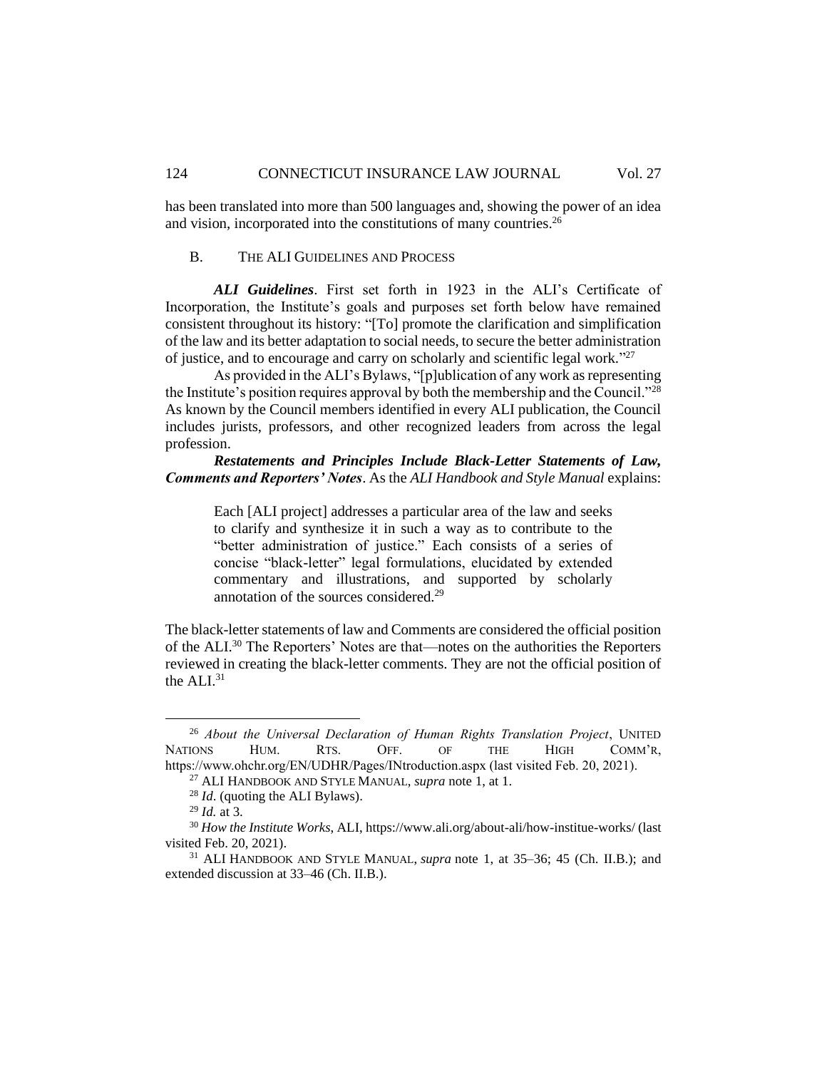has been translated into more than 500 languages and, showing the power of an idea and vision, incorporated into the constitutions of many countries.<sup>26</sup>

#### B. THE ALI GUIDELINES AND PROCESS

*ALI Guidelines*. First set forth in 1923 in the ALI's Certificate of Incorporation, the Institute's goals and purposes set forth below have remained consistent throughout its history: "[To] promote the clarification and simplification of the law and its better adaptation to social needs, to secure the better administration of justice, and to encourage and carry on scholarly and scientific legal work."<sup>27</sup>

As provided in the ALI's Bylaws, "[p]ublication of any work as representing the Institute's position requires approval by both the membership and the Council."<sup>28</sup> As known by the Council members identified in every ALI publication, the Council includes jurists, professors, and other recognized leaders from across the legal profession.

## *Restatements and Principles Include Black-Letter Statements of Law, Comments and Reporters' Notes*. As the *ALI Handbook and Style Manual* explains:

Each [ALI project] addresses a particular area of the law and seeks to clarify and synthesize it in such a way as to contribute to the "better administration of justice." Each consists of a series of concise "black-letter" legal formulations, elucidated by extended commentary and illustrations, and supported by scholarly annotation of the sources considered.<sup>29</sup>

The black-letter statements of law and Comments are considered the official position of the ALI.<sup>30</sup> The Reporters' Notes are that—notes on the authorities the Reporters reviewed in creating the black-letter comments. They are not the official position of the ALI.<sup>31</sup>

<sup>26</sup> *About the Universal Declaration of Human Rights Translation Project*, UNITED NATIONS HUM. RTS. OFF. OF THE HIGH COMM'R, https://www.ohchr.org/EN/UDHR/Pages/INtroduction.aspx (last visited Feb. 20, 2021).

<sup>27</sup> ALI HANDBOOK AND STYLE MANUAL, *supra* note 1, at 1.

<sup>28</sup> *Id*. (quoting the ALI Bylaws).

<sup>29</sup> *Id.* at 3.

<sup>30</sup> *How the Institute Works*, ALI, https://www.ali.org/about-ali/how-institue-works/ (last visited Feb. 20, 2021).

<sup>31</sup> ALI HANDBOOK AND STYLE MANUAL, *supra* note 1, at 35–36; 45 (Ch. II.B.); and extended discussion at 33–46 (Ch. II.B.).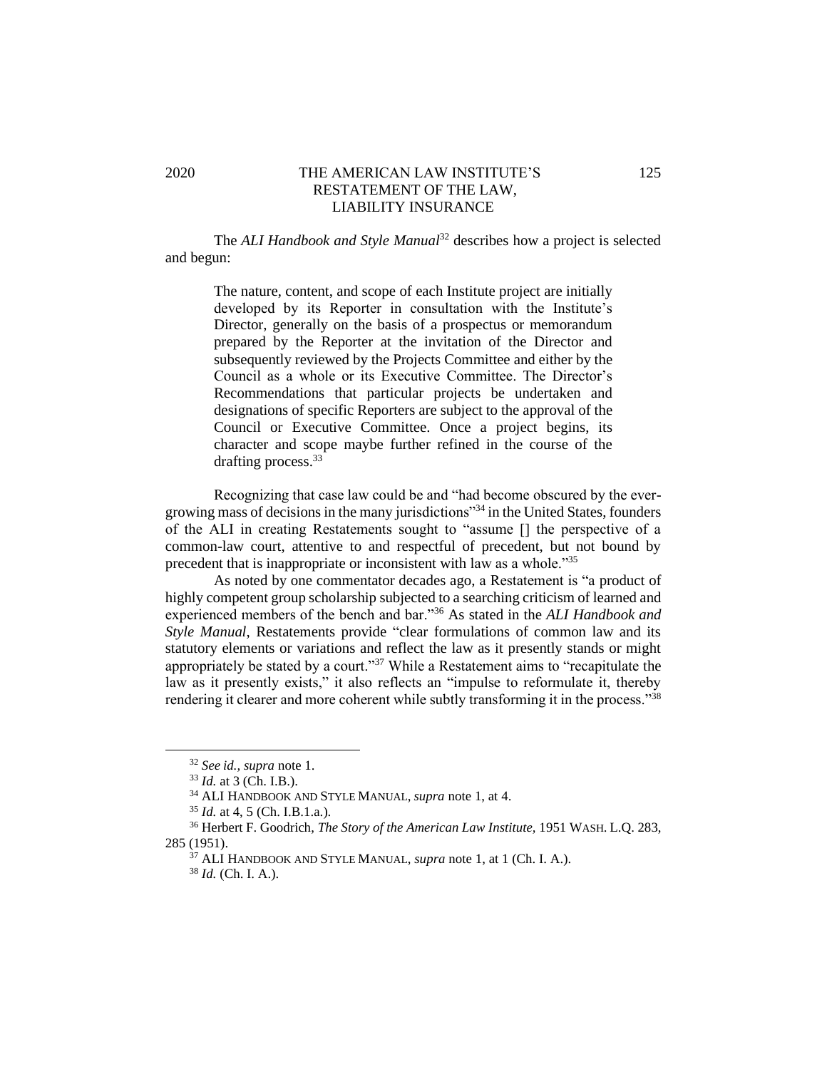## 2020 THE AMERICAN LAW INSTITUTE'S 125 RESTATEMENT OF THE LAW, LIABILITY INSURANCE

The *ALI Handbook and Style Manual*<sup>32</sup> describes how a project is selected and begun:

> The nature, content, and scope of each Institute project are initially developed by its Reporter in consultation with the Institute's Director, generally on the basis of a prospectus or memorandum prepared by the Reporter at the invitation of the Director and subsequently reviewed by the Projects Committee and either by the Council as a whole or its Executive Committee. The Director's Recommendations that particular projects be undertaken and designations of specific Reporters are subject to the approval of the Council or Executive Committee. Once a project begins, its character and scope maybe further refined in the course of the drafting process.<sup>33</sup>

Recognizing that case law could be and "had become obscured by the evergrowing mass of decisions in the many jurisdictions"<sup>34</sup> in the United States, founders of the ALI in creating Restatements sought to "assume [] the perspective of a common-law court, attentive to and respectful of precedent, but not bound by precedent that is inappropriate or inconsistent with law as a whole."<sup>35</sup>

As noted by one commentator decades ago, a Restatement is "a product of highly competent group scholarship subjected to a searching criticism of learned and experienced members of the bench and bar."<sup>36</sup> As stated in the *ALI Handbook and Style Manual*, Restatements provide "clear formulations of common law and its statutory elements or variations and reflect the law as it presently stands or might appropriately be stated by a court."<sup>37</sup> While a Restatement aims to "recapitulate the law as it presently exists," it also reflects an "impulse to reformulate it, thereby rendering it clearer and more coherent while subtly transforming it in the process."<sup>38</sup>

<sup>32</sup> *See id., supra* note 1.

<sup>33</sup> *Id.* at 3 (Ch. I.B.).

<sup>34</sup> ALI HANDBOOK AND STYLE MANUAL, *supra* note 1, at 4.

<sup>35</sup> *Id.* at 4, 5 (Ch. I.B.1.a.).

<sup>36</sup> Herbert F. Goodrich, *The Story of the American Law Institute,* 1951 WASH. L.Q. 283, 285 (1951).

<sup>37</sup> ALI HANDBOOK AND STYLE MANUAL, *supra* note 1, at 1 (Ch. I. A.).

<sup>38</sup> *Id.* (Ch. I. A.).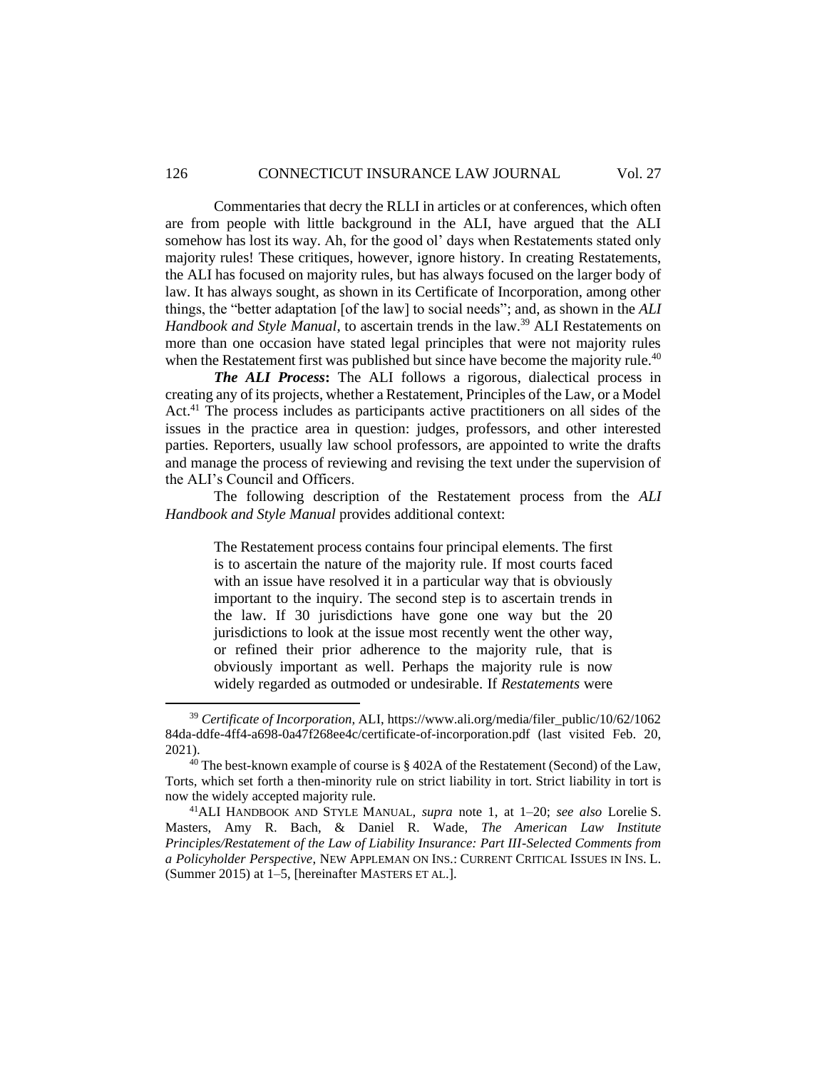## 126 CONNECTICUT INSURANCE LAW JOURNAL Vol. 27

Commentaries that decry the RLLI in articles or at conferences, which often are from people with little background in the ALI, have argued that the ALI somehow has lost its way. Ah, for the good ol' days when Restatements stated only majority rules! These critiques, however, ignore history. In creating Restatements, the ALI has focused on majority rules, but has always focused on the larger body of law. It has always sought, as shown in its Certificate of Incorporation, among other things, the "better adaptation [of the law] to social needs"; and, as shown in the *ALI Handbook and Style Manual*, to ascertain trends in the law.<sup>39</sup> ALI Restatements on more than one occasion have stated legal principles that were not majority rules when the Restatement first was published but since have become the majority rule.<sup>40</sup>

*The ALI Process***:** The ALI follows a rigorous, dialectical process in creating any of its projects, whether a Restatement, Principles of the Law, or a Model Act.<sup>41</sup> The process includes as participants active practitioners on all sides of the issues in the practice area in question: judges, professors, and other interested parties. Reporters, usually law school professors, are appointed to write the drafts and manage the process of reviewing and revising the text under the supervision of the ALI's Council and Officers.

The following description of the Restatement process from the *ALI Handbook and Style Manual* provides additional context:

The Restatement process contains four principal elements. The first is to ascertain the nature of the majority rule. If most courts faced with an issue have resolved it in a particular way that is obviously important to the inquiry. The second step is to ascertain trends in the law. If 30 jurisdictions have gone one way but the 20 jurisdictions to look at the issue most recently went the other way, or refined their prior adherence to the majority rule, that is obviously important as well. Perhaps the majority rule is now widely regarded as outmoded or undesirable. If *Restatements* were

<sup>39</sup> *Certificate of Incorporation,* ALI, https://www.ali.org/media/filer\_public/10/62/1062 84da-ddfe-4ff4-a698-0a47f268ee4c/certificate-of-incorporation.pdf (last visited Feb. 20, 2021).

<sup>40</sup> The best-known example of course is § 402A of the Restatement (Second) of the Law, Torts*,* which set forth a then-minority rule on strict liability in tort. Strict liability in tort is now the widely accepted majority rule.

<sup>41</sup>ALI HANDBOOK AND STYLE MANUAL*, supra* note 1, at 1–20; *see also* Lorelie S. Masters, Amy R. Bach, & Daniel R. Wade, *The American Law Institute Principles/Restatement of the Law of Liability Insurance: Part III-Selected Comments from a Policyholder Perspective*, NEW APPLEMAN ON INS.: CURRENT CRITICAL ISSUES IN INS. L. (Summer 2015) at 1–5, [hereinafter MASTERS ET AL.].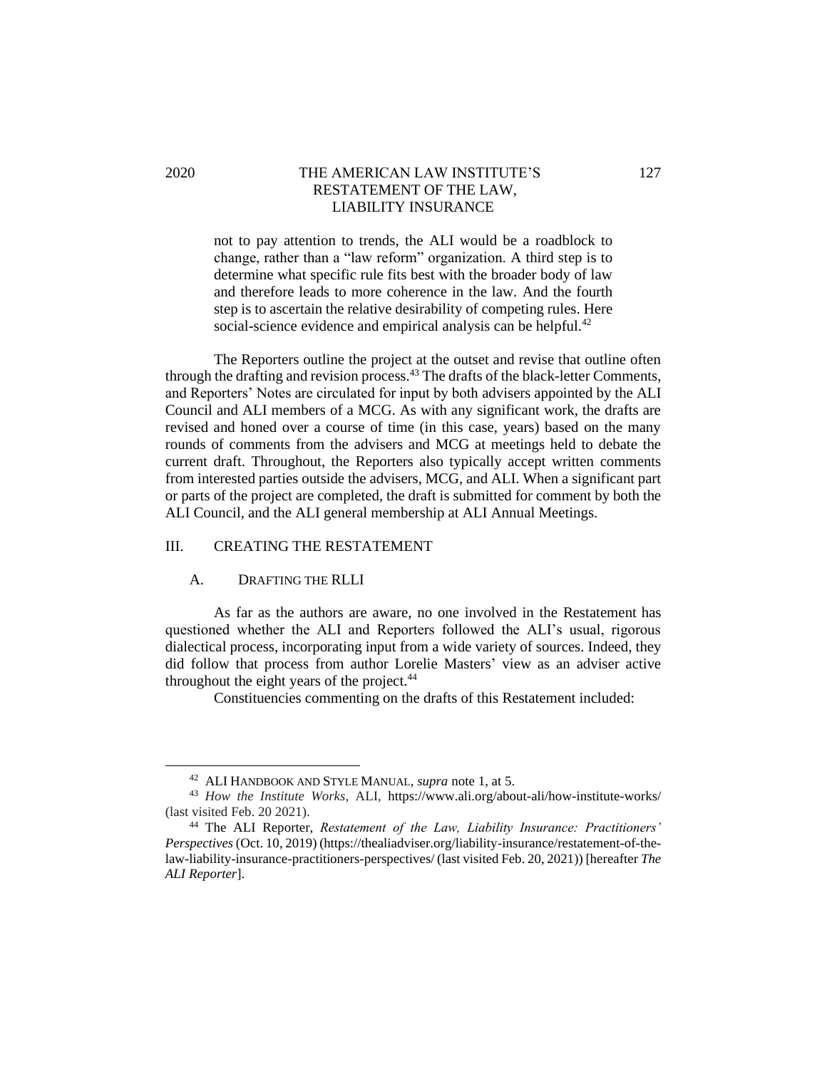## 2020 THE AMERICAN LAW INSTITUTE'S 127 RESTATEMENT OF THE LAW, LIABILITY INSURANCE

not to pay attention to trends, the ALI would be a roadblock to change, rather than a "law reform" organization. A third step is to determine what specific rule fits best with the broader body of law and therefore leads to more coherence in the law. And the fourth step is to ascertain the relative desirability of competing rules. Here social-science evidence and empirical analysis can be helpful.<sup>42</sup>

The Reporters outline the project at the outset and revise that outline often through the drafting and revision process.<sup>43</sup> The drafts of the black-letter Comments, and Reporters' Notes are circulated for input by both advisers appointed by the ALI Council and ALI members of a MCG. As with any significant work, the drafts are revised and honed over a course of time (in this case, years) based on the many rounds of comments from the advisers and MCG at meetings held to debate the current draft. Throughout, the Reporters also typically accept written comments from interested parties outside the advisers, MCG, and ALI. When a significant part or parts of the project are completed, the draft is submitted for comment by both the ALI Council, and the ALI general membership at ALI Annual Meetings.

#### III. CREATING THE RESTATEMENT

### A. DRAFTING THE RLLI

As far as the authors are aware, no one involved in the Restatement has questioned whether the ALI and Reporters followed the ALI's usual, rigorous dialectical process, incorporating input from a wide variety of sources. Indeed, they did follow that process from author Lorelie Masters' view as an adviser active throughout the eight years of the project.<sup>44</sup>

Constituencies commenting on the drafts of this Restatement included:

<sup>42</sup> ALI HANDBOOK AND STYLE MANUAL*, supra* note 1, at 5.

<sup>43</sup> *How the Institute Works*, ALI, https://www.ali.org/about-ali/how-institute-works/ (last visited Feb. 20 2021).

<sup>44</sup> The ALI Reporter, *Restatement of the Law, Liability Insurance: Practitioners' Perspectives* (Oct. 10, 2019) (https://thealiadviser.org/liability-insurance/restatement-of-thelaw-liability-insurance-practitioners-perspectives/ (last visited Feb. 20, 2021)) [hereafter *The ALI Reporter*].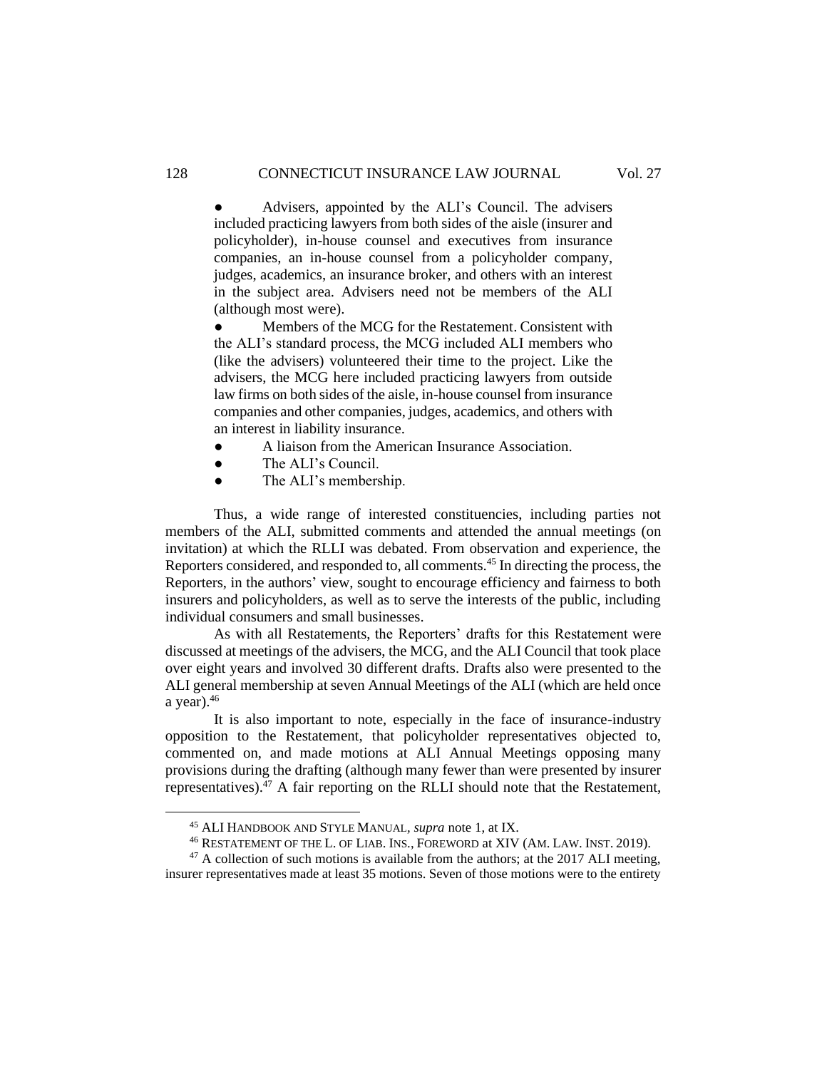• Advisers, appointed by the ALI's Council. The advisers included practicing lawyers from both sides of the aisle (insurer and policyholder), in-house counsel and executives from insurance companies, an in-house counsel from a policyholder company, judges, academics, an insurance broker, and others with an interest in the subject area. Advisers need not be members of the ALI (although most were).

Members of the MCG for the Restatement. Consistent with the ALI's standard process, the MCG included ALI members who (like the advisers) volunteered their time to the project. Like the advisers, the MCG here included practicing lawyers from outside law firms on both sides of the aisle, in-house counsel from insurance companies and other companies, judges, academics, and others with an interest in liability insurance.

- A liaison from the American Insurance Association.
- The ALI's Council.
- The ALI's membership.

Thus, a wide range of interested constituencies, including parties not members of the ALI, submitted comments and attended the annual meetings (on invitation) at which the RLLI was debated. From observation and experience, the Reporters considered, and responded to, all comments.<sup>45</sup> In directing the process, the Reporters, in the authors' view, sought to encourage efficiency and fairness to both insurers and policyholders, as well as to serve the interests of the public, including individual consumers and small businesses.

As with all Restatements, the Reporters' drafts for this Restatement were discussed at meetings of the advisers, the MCG, and the ALI Council that took place over eight years and involved 30 different drafts. Drafts also were presented to the ALI general membership at seven Annual Meetings of the ALI (which are held once a year). $46$ 

It is also important to note, especially in the face of insurance-industry opposition to the Restatement*,* that policyholder representatives objected to, commented on, and made motions at ALI Annual Meetings opposing many provisions during the drafting (although many fewer than were presented by insurer representatives).<sup>47</sup> A fair reporting on the RLLI should note that the Restatement,

<sup>45</sup> ALI HANDBOOK AND STYLE MANUAL*, supra* note 1, at IX.

<sup>46</sup> RESTATEMENT OF THE L. OF LIAB. INS., FOREWORD at XIV (AM. LAW. INST. 2019).

 $47$  A collection of such motions is available from the authors; at the 2017 ALI meeting, insurer representatives made at least 35 motions. Seven of those motions were to the entirety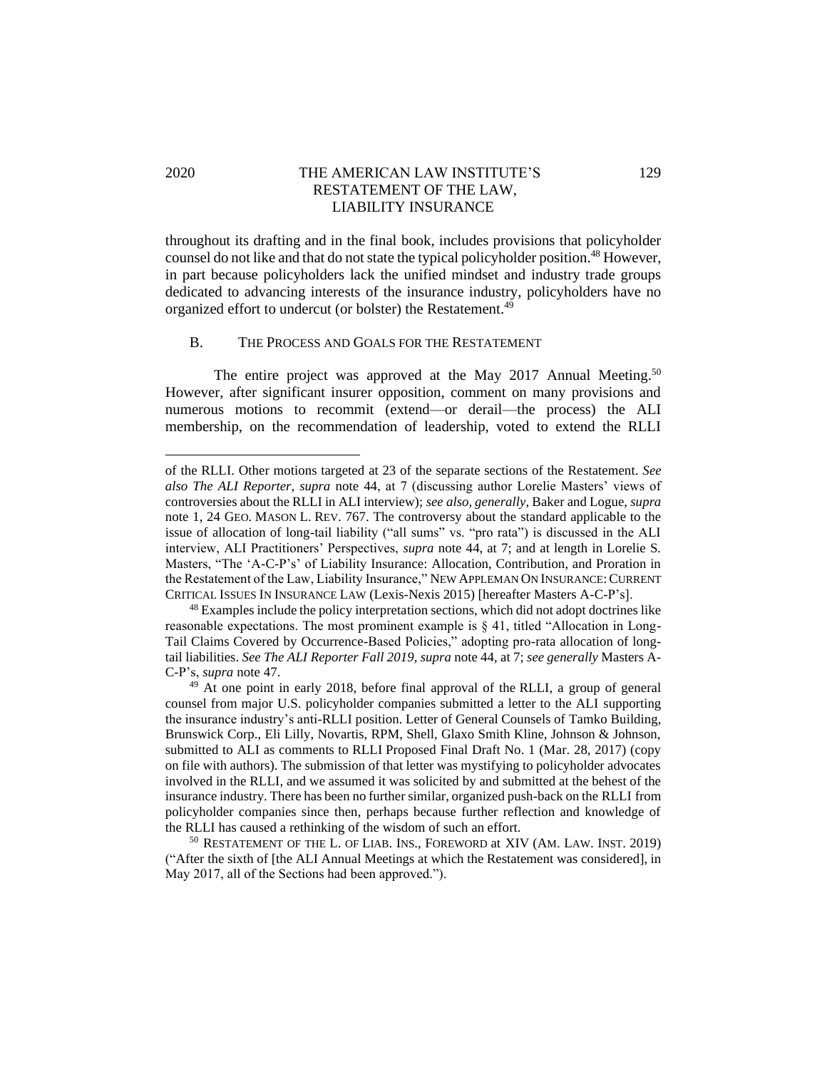## 2020 THE AMERICAN LAW INSTITUTE'S 129 RESTATEMENT OF THE LAW, LIABILITY INSURANCE

throughout its drafting and in the final book, includes provisions that policyholder counsel do not like and that do not state the typical policyholder position.<sup>48</sup> However, in part because policyholders lack the unified mindset and industry trade groups dedicated to advancing interests of the insurance industry, policyholders have no organized effort to undercut (or bolster) the Restatement.<sup>49</sup>

#### B. THE PROCESS AND GOALS FOR THE RESTATEMENT

The entire project was approved at the May 2017 Annual Meeting.<sup>50</sup> However, after significant insurer opposition, comment on many provisions and numerous motions to recommit (extend—or derail—the process) the ALI membership, on the recommendation of leadership, voted to extend the RLLI

of the RLLI. Other motions targeted at 23 of the separate sections of the Restatement. *See also The ALI Reporter, supra* note 44, at 7 (discussing author Lorelie Masters' views of controversies about the RLLI in ALI interview); *see also, generally,* Baker and Logue, *supra*  note 1, 24 GEO. MASON L. REV. 767. The controversy about the standard applicable to the issue of allocation of long-tail liability ("all sums" vs. "pro rata") is discussed in the ALI interview, ALI Practitioners' Perspectives, *supra* note 44, at 7; and at length in Lorelie S. Masters, "The 'A-C-P's' of Liability Insurance: Allocation, Contribution, and Proration in the Restatement of the Law, Liability Insurance," NEW APPLEMAN ON INSURANCE:CURRENT CRITICAL ISSUES IN INSURANCE LAW (Lexis-Nexis 2015) [hereafter Masters A-C-P's].

<sup>&</sup>lt;sup>48</sup> Examples include the policy interpretation sections, which did not adopt doctrines like reasonable expectations. The most prominent example is  $\S$  41, titled "Allocation in Long-Tail Claims Covered by Occurrence-Based Policies," adopting pro-rata allocation of longtail liabilities. *See The ALI Reporter Fall 2019, supra* note 44, at 7; *see generally* Masters A-C-P's, *supra* note 47.

<sup>&</sup>lt;sup>49</sup> At one point in early 2018, before final approval of the RLLI, a group of general counsel from major U.S. policyholder companies submitted a letter to the ALI supporting the insurance industry's anti-RLLI position. Letter of General Counsels of Tamko Building, Brunswick Corp., Eli Lilly, Novartis, RPM, Shell, Glaxo Smith Kline, Johnson & Johnson, submitted to ALI as comments to RLLI Proposed Final Draft No. 1 (Mar. 28, 2017) (copy on file with authors). The submission of that letter was mystifying to policyholder advocates involved in the RLLI*,* and we assumed it was solicited by and submitted at the behest of the insurance industry. There has been no further similar, organized push-back on the RLLI from policyholder companies since then, perhaps because further reflection and knowledge of the RLLI has caused a rethinking of the wisdom of such an effort.

<sup>50</sup> RESTATEMENT OF THE L. OF LIAB. INS., FOREWORD at XIV (AM. LAW. INST. 2019) ("After the sixth of [the ALI Annual Meetings at which the Restatement was considered], in May 2017, all of the Sections had been approved.").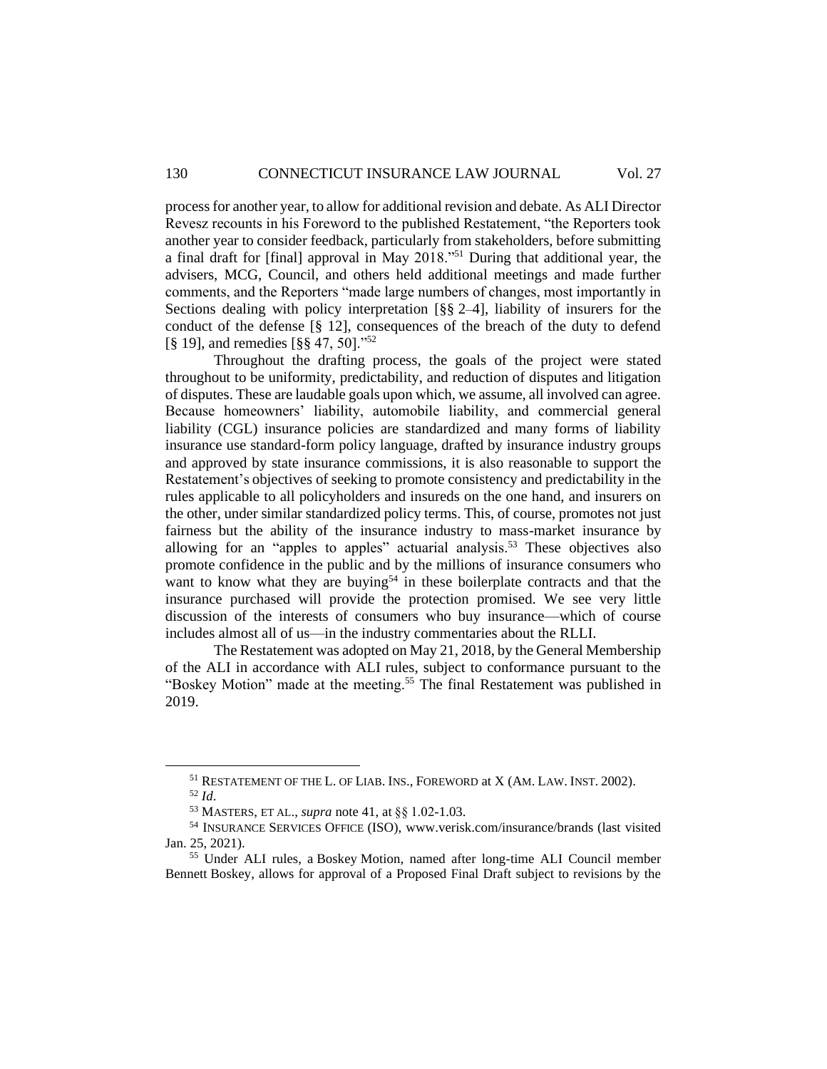process for another year, to allow for additional revision and debate. As ALI Director Revesz recounts in his Foreword to the published Restatement, "the Reporters took another year to consider feedback, particularly from stakeholders, before submitting a final draft for [final] approval in May 2018."<sup>51</sup> During that additional year, the advisers, MCG, Council, and others held additional meetings and made further comments, and the Reporters "made large numbers of changes, most importantly in Sections dealing with policy interpretation [§§ 2–4], liability of insurers for the conduct of the defense [§ 12], consequences of the breach of the duty to defend [§ 19], and remedies [§§ 47, 50]."<sup>52</sup>

Throughout the drafting process, the goals of the project were stated throughout to be uniformity, predictability, and reduction of disputes and litigation of disputes. These are laudable goals upon which, we assume, all involved can agree. Because homeowners' liability, automobile liability, and commercial general liability (CGL) insurance policies are standardized and many forms of liability insurance use standard-form policy language, drafted by insurance industry groups and approved by state insurance commissions, it is also reasonable to support the Restatement's objectives of seeking to promote consistency and predictability in the rules applicable to all policyholders and insureds on the one hand, and insurers on the other, under similar standardized policy terms. This, of course, promotes not just fairness but the ability of the insurance industry to mass-market insurance by allowing for an "apples to apples" actuarial analysis.<sup>53</sup> These objectives also promote confidence in the public and by the millions of insurance consumers who want to know what they are buying<sup>54</sup> in these boilerplate contracts and that the insurance purchased will provide the protection promised. We see very little discussion of the interests of consumers who buy insurance—which of course includes almost all of us—in the industry commentaries about the RLLI.

The Restatement was adopted on May 21, 2018, by the General Membership of the ALI in accordance with ALI rules, subject to conformance pursuant to the "Boskey Motion" made at the meeting.<sup>55</sup> The final Restatement was published in 2019.

<sup>&</sup>lt;sup>51</sup> RESTATEMENT OF THE L. OF LIAB. INS., FOREWORD at X (AM. LAW. INST. 2002). <sup>52</sup> *Id*.

<sup>53</sup> MASTERS, ET AL., *supra* note 41, at §§ 1.02-1.03.

<sup>54</sup> INSURANCE SERVICES OFFICE (ISO), www.verisk.com/insurance/brands (last visited Jan. 25, 2021).

<sup>55</sup> Under ALI rules, a Boskey Motion, named after long-time ALI Council member Bennett Boskey, allows for approval of a Proposed Final Draft subject to revisions by the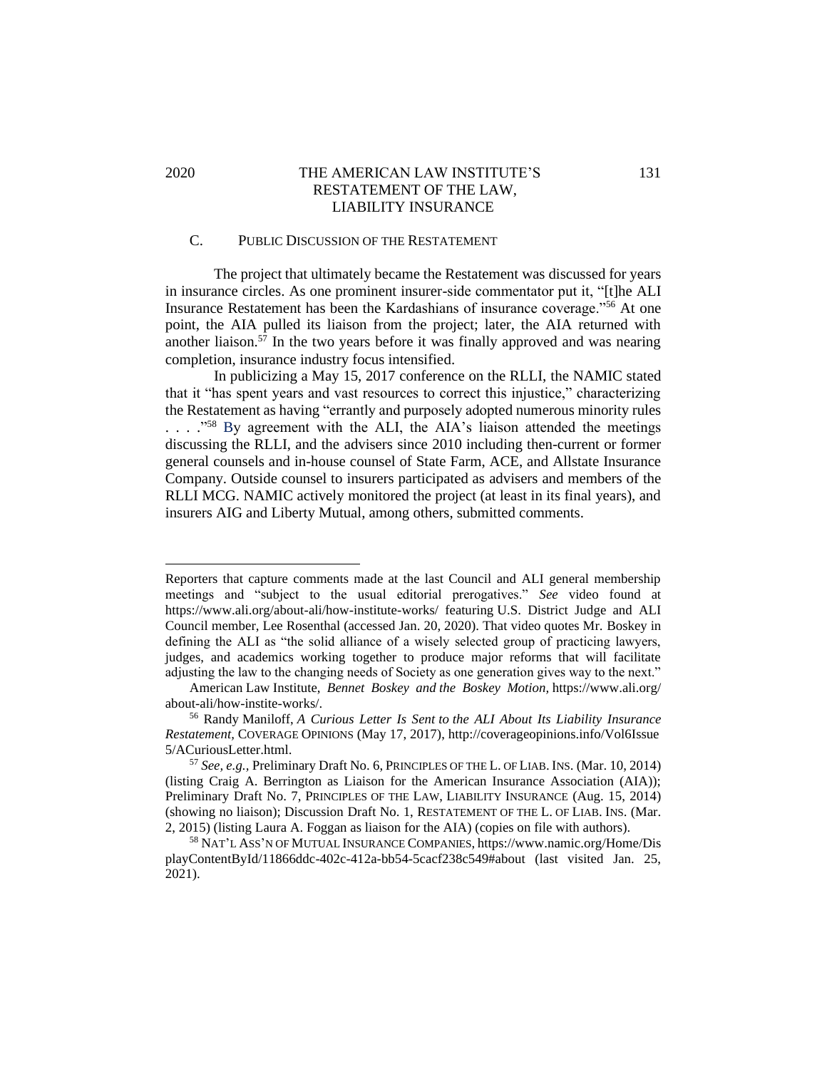## 2020 THE AMERICAN LAW INSTITUTE'S 131 RESTATEMENT OF THE LAW, LIABILITY INSURANCE

## C. PUBLIC DISCUSSION OF THE RESTATEMENT

The project that ultimately became the Restatement was discussed for years in insurance circles. As one prominent insurer-side commentator put it, "[t]he ALI Insurance Restatement has been the Kardashians of insurance coverage."<sup>56</sup> At one point, the AIA pulled its liaison from the project; later, the AIA returned with another liaison.<sup>57</sup> In the two years before it was finally approved and was nearing completion, insurance industry focus intensified.

In publicizing a May 15, 2017 conference on the RLLI, the NAMIC stated that it "has spent years and vast resources to correct this injustice," characterizing the Restatement as having "errantly and purposely adopted numerous minority rules . . . ." <sup>58</sup> By agreement with the ALI, the AIA's liaison attended the meetings discussing the RLLI, and the advisers since 2010 including then-current or former general counsels and in-house counsel of State Farm, ACE, and Allstate Insurance Company. Outside counsel to insurers participated as advisers and members of the RLLI MCG. NAMIC actively monitored the project (at least in its final years), and insurers AIG and Liberty Mutual, among others, submitted comments.

Reporters that capture comments made at the last Council and ALI general membership meetings and "subject to the usual editorial prerogatives." *See* video found at https://www.ali.org/about-ali/how-institute-works/ featuring U.S. District Judge and ALI Council member, Lee Rosenthal (accessed Jan. 20, 2020). That video quotes Mr. Boskey in defining the ALI as "the solid alliance of a wisely selected group of practicing lawyers, judges, and academics working together to produce major reforms that will facilitate adjusting the law to the changing needs of Society as one generation gives way to the next."

American Law Institute, *Bennet Boskey and the Boskey Motion,* https://www.ali.org/ about-ali/how-instite-works/.

<sup>56</sup> Randy Maniloff, *A Curious Letter Is Sent to the ALI About Its Liability Insurance Restatement,* COVERAGE OPINIONS (May 17, 2017), http://coverageopinions.info/Vol6Issue 5/ACuriousLetter.html.

<sup>57</sup> *See, e.g.,* Preliminary Draft No. 6, PRINCIPLES OF THE L. OF LIAB. INS. (Mar. 10, 2014) (listing Craig A. Berrington as Liaison for the American Insurance Association (AIA)); Preliminary Draft No. 7, PRINCIPLES OF THE LAW, LIABILITY INSURANCE (Aug. 15, 2014) (showing no liaison); Discussion Draft No. 1, RESTATEMENT OF THE L. OF LIAB. INS. (Mar. 2, 2015) (listing Laura A. Foggan as liaison for the AIA) (copies on file with authors).

<sup>58</sup> NAT'L ASS'N OF MUTUAL INSURANCE COMPANIES, https://www.namic.org/Home/Dis playContentById/11866ddc-402c-412a-bb54-5cacf238c549#about (last visited Jan. 25, 2021).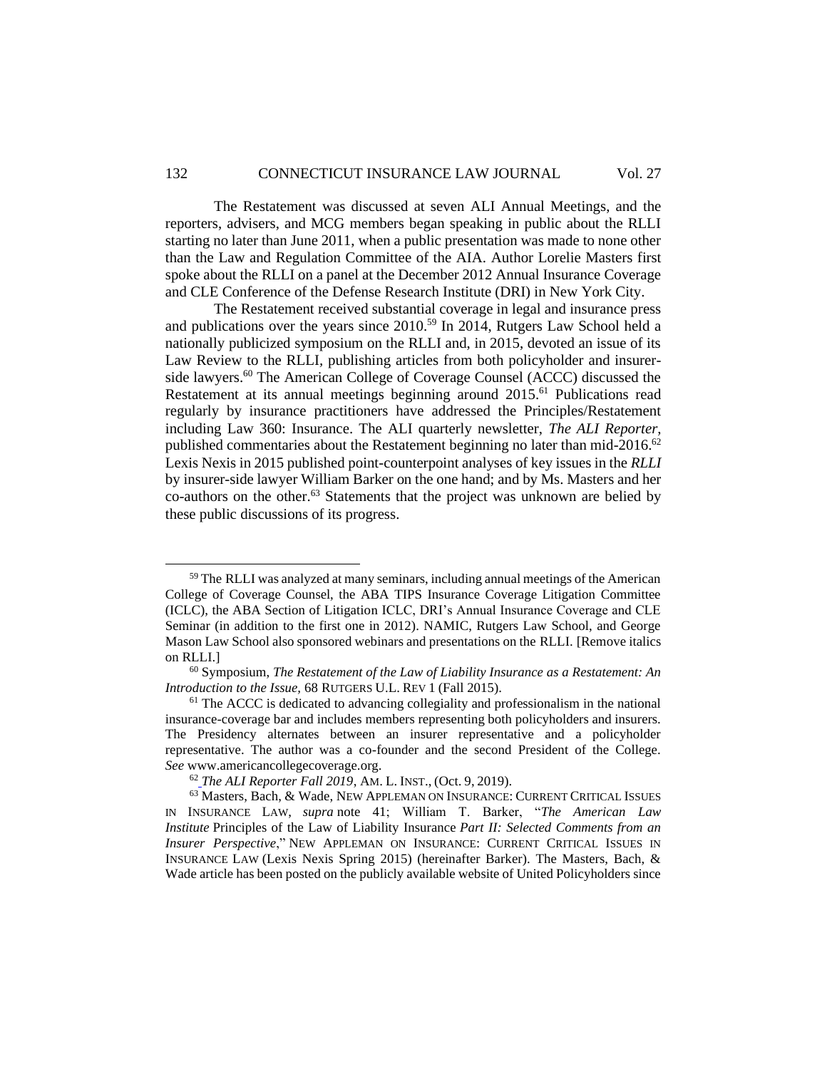The Restatement was discussed at seven ALI Annual Meetings, and the reporters, advisers, and MCG members began speaking in public about the RLLI starting no later than June 2011, when a public presentation was made to none other than the Law and Regulation Committee of the AIA. Author Lorelie Masters first spoke about the RLLI on a panel at the December 2012 Annual Insurance Coverage and CLE Conference of the Defense Research Institute (DRI) in New York City.

The Restatement received substantial coverage in legal and insurance press and publications over the years since 2010.<sup>59</sup> In 2014, Rutgers Law School held a nationally publicized symposium on the RLLI and, in 2015, devoted an issue of its Law Review to the RLLI*,* publishing articles from both policyholder and insurerside lawyers.<sup>60</sup> The American College of Coverage Counsel (ACCC) discussed the Restatement at its annual meetings beginning around 2015.<sup>61</sup> Publications read regularly by insurance practitioners have addressed the Principles/Restatement including Law 360: Insurance. The ALI quarterly newsletter, *The ALI Reporter*, published commentaries about the Restatement beginning no later than mid-2016. $62$ Lexis Nexis in 2015 published point-counterpoint analyses of key issues in the *RLLI* by insurer-side lawyer William Barker on the one hand; and by Ms. Masters and her co-authors on the other.<sup>63</sup> Statements that the project was unknown are belied by these public discussions of its progress.

<sup>&</sup>lt;sup>59</sup> The RLLI was analyzed at many seminars, including annual meetings of the American College of Coverage Counsel, the ABA TIPS Insurance Coverage Litigation Committee (ICLC), the ABA Section of Litigation ICLC, DRI's Annual Insurance Coverage and CLE Seminar (in addition to the first one in 2012). NAMIC, Rutgers Law School, and George Mason Law School also sponsored webinars and presentations on the RLLI. [Remove italics on RLLI.]

<sup>60</sup> Symposium, *The Restatement of the Law of Liability Insurance as a Restatement: An Introduction to the Issue,* 68 RUTGERS U.L. REV 1 (Fall 2015).

 $<sup>61</sup>$  The ACCC is dedicated to advancing collegiality and professionalism in the national</sup> insurance-coverage bar and includes members representing both policyholders and insurers. The Presidency alternates between an insurer representative and a policyholder representative. The author was a co-founder and the second President of the College. *See* www.americancollegecoverage.org.

<sup>62</sup> *The ALI Reporter Fall 2019*, AM. L. INST., (Oct. 9, 2019).

<sup>63</sup> Masters, Bach, & Wade, NEW APPLEMAN ON INSURANCE: CURRENT CRITICAL ISSUES IN INSURANCE LAW, *supra* note 41; William T. Barker, "*The American Law Institute* Principles of the Law of Liability Insurance *Part II: Selected Comments from an Insurer Perspective*," NEW APPLEMAN ON INSURANCE: CURRENT CRITICAL ISSUES IN INSURANCE LAW (Lexis Nexis Spring 2015) (hereinafter Barker). The Masters, Bach, & Wade article has been posted on the publicly available website of United Policyholders since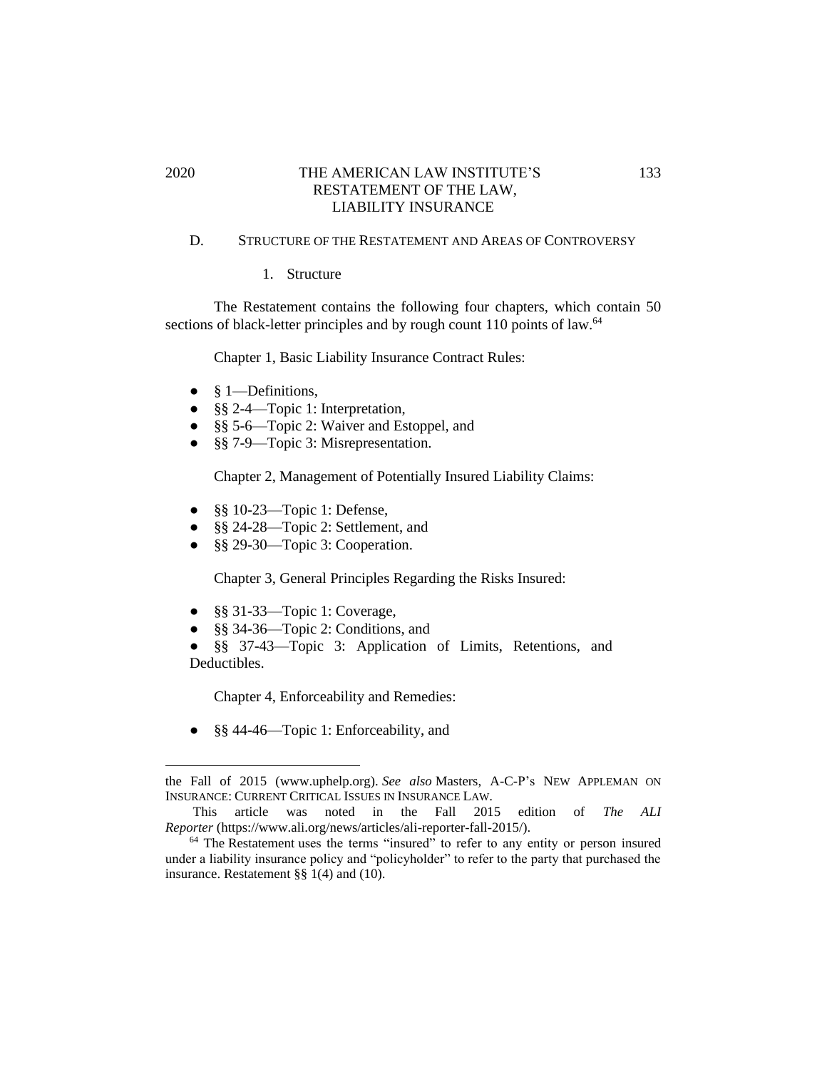## 2020 THE AMERICAN LAW INSTITUTE'S 133 RESTATEMENT OF THE LAW, LIABILITY INSURANCE

## D. STRUCTURE OF THE RESTATEMENT AND AREAS OF CONTROVERSY

1. Structure

The Restatement contains the following four chapters, which contain 50 sections of black-letter principles and by rough count 110 points of law.<sup>64</sup>

Chapter 1, Basic Liability Insurance Contract Rules:

- $\bullet$  § 1—Definitions,
- §§ 2-4—Topic 1: Interpretation,
- §§ 5-6—Topic 2: Waiver and Estoppel, and
- §§ 7-9—Topic 3: Misrepresentation.

Chapter 2, Management of Potentially Insured Liability Claims:

- §§ 10-23—Topic 1: Defense,
- §§ 24-28—Topic 2: Settlement, and
- §§ 29-30—Topic 3: Cooperation.

Chapter 3, General Principles Regarding the Risks Insured:

- §§ 31-33—Topic 1: Coverage,
- §§ 34-36—Topic 2: Conditions, and

● §§ 37-43—Topic 3: Application of Limits, Retentions, and Deductibles.

Chapter 4, Enforceability and Remedies:

• §§ 44-46—Topic 1: Enforceability, and

the Fall of 2015 (www.uphelp.org). *See also* Masters, A-C-P's NEW APPLEMAN ON INSURANCE: CURRENT CRITICAL ISSUES IN INSURANCE LAW.

This article was noted in the Fall 2015 edition of *The ALI Reporter* (https://www.ali.org/news/articles/ali-reporter-fall-2015/).

<sup>&</sup>lt;sup>64</sup> The Restatement uses the terms "insured" to refer to any entity or person insured under a liability insurance policy and "policyholder" to refer to the party that purchased the insurance. Restatement §§ 1(4) and (10).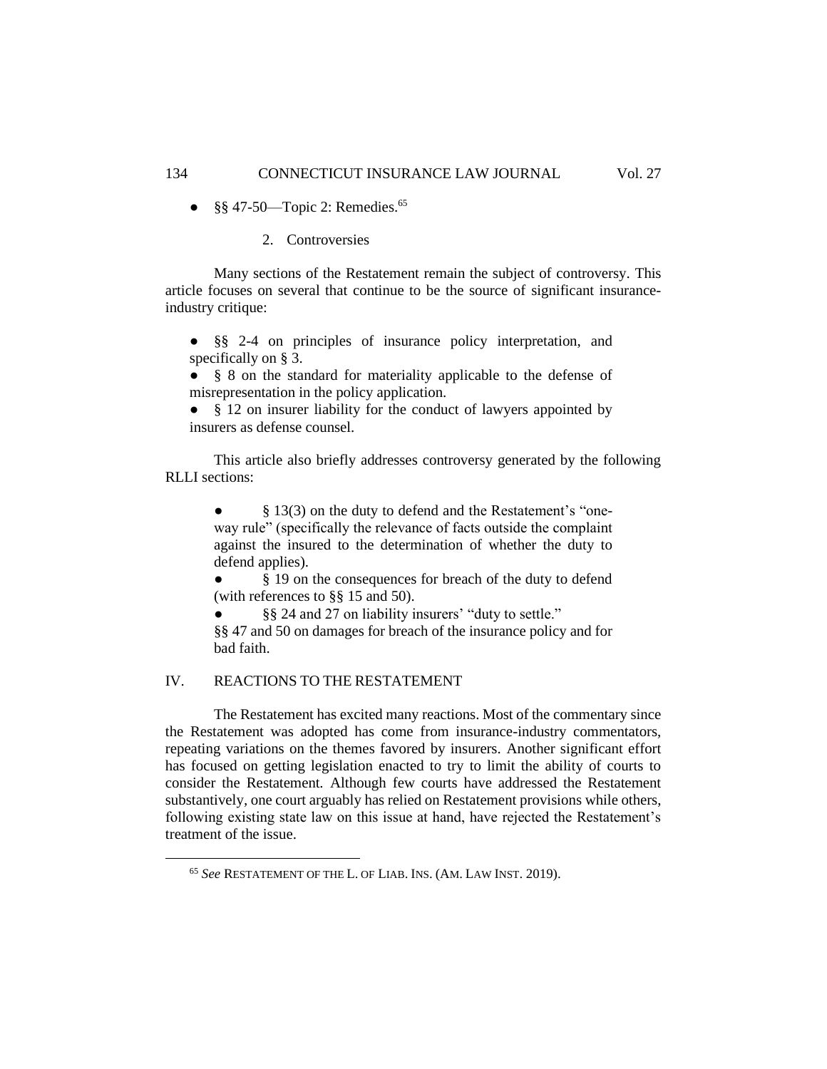- $\bullet$  §§ 47-50—Topic 2: Remedies.<sup>65</sup>
	- 2. Controversies

Many sections of the Restatement remain the subject of controversy. This article focuses on several that continue to be the source of significant insuranceindustry critique:

● §§ 2-4 on principles of insurance policy interpretation, and specifically on § 3.

● § 8 on the standard for materiality applicable to the defense of misrepresentation in the policy application.

• § 12 on insurer liability for the conduct of lawyers appointed by insurers as defense counsel.

This article also briefly addresses controversy generated by the following RLLI sections:

• § 13(3) on the duty to defend and the Restatement's "oneway rule" (specifically the relevance of facts outside the complaint against the insured to the determination of whether the duty to defend applies).

• § 19 on the consequences for breach of the duty to defend (with references to §§ 15 and 50).

§§ 24 and 27 on liability insurers' "duty to settle."

§§ 47 and 50 on damages for breach of the insurance policy and for bad faith.

## IV. REACTIONS TO THE RESTATEMENT

The Restatement has excited many reactions. Most of the commentary since the Restatement was adopted has come from insurance-industry commentators, repeating variations on the themes favored by insurers. Another significant effort has focused on getting legislation enacted to try to limit the ability of courts to consider the Restatement*.* Although few courts have addressed the Restatement substantively*,* one court arguably has relied on Restatement provisions while others, following existing state law on this issue at hand, have rejected the Restatement's treatment of the issue.

<sup>65</sup> *See* RESTATEMENT OF THE L. OF LIAB. INS. (AM. LAW INST. 2019).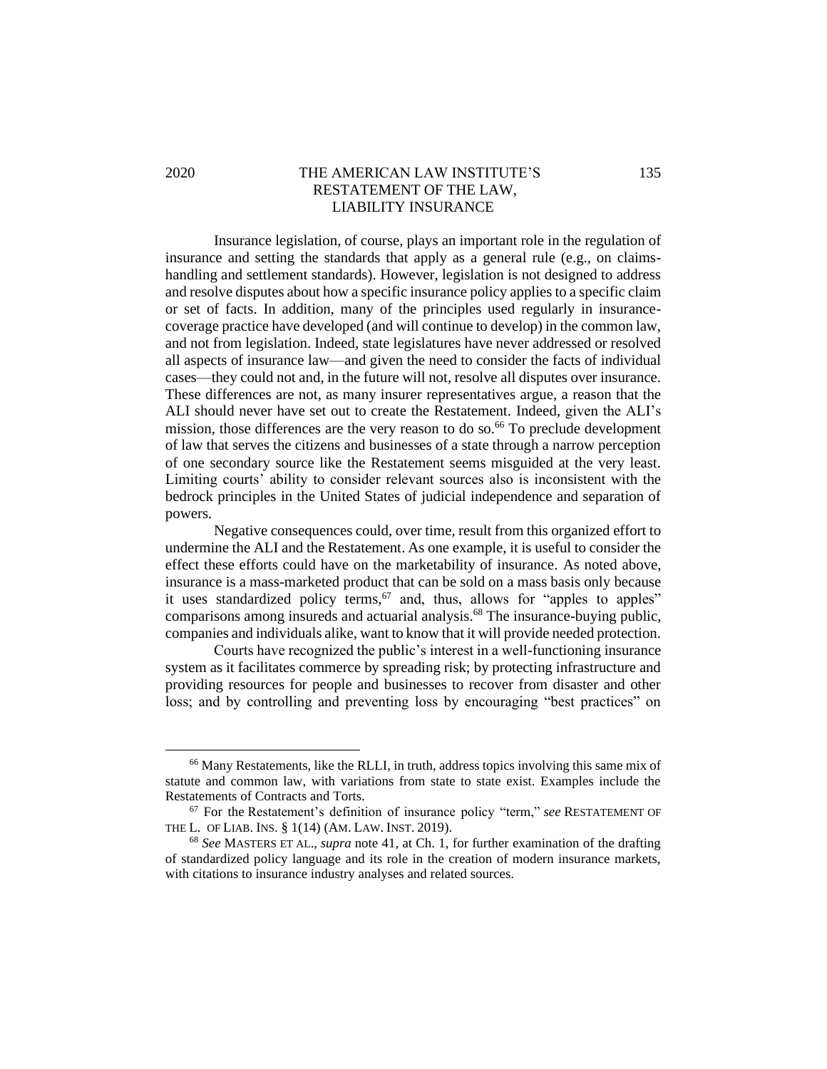## 2020 THE AMERICAN LAW INSTITUTE'S 135 RESTATEMENT OF THE LAW, LIABILITY INSURANCE

Insurance legislation, of course, plays an important role in the regulation of insurance and setting the standards that apply as a general rule (e.g., on claimshandling and settlement standards). However, legislation is not designed to address and resolve disputes about how a specific insurance policy applies to a specific claim or set of facts. In addition, many of the principles used regularly in insurancecoverage practice have developed (and will continue to develop) in the common law, and not from legislation. Indeed, state legislatures have never addressed or resolved all aspects of insurance law—and given the need to consider the facts of individual cases—they could not and, in the future will not, resolve all disputes over insurance. These differences are not, as many insurer representatives argue, a reason that the ALI should never have set out to create the Restatement. Indeed, given the ALI's mission, those differences are the very reason to do so.<sup>66</sup> To preclude development of law that serves the citizens and businesses of a state through a narrow perception of one secondary source like the Restatement seems misguided at the very least. Limiting courts' ability to consider relevant sources also is inconsistent with the bedrock principles in the United States of judicial independence and separation of powers.

Negative consequences could, over time, result from this organized effort to undermine the ALI and the Restatement. As one example, it is useful to consider the effect these efforts could have on the marketability of insurance. As noted above, insurance is a mass-marketed product that can be sold on a mass basis only because it uses standardized policy terms,<sup>67</sup> and, thus, allows for "apples to apples" comparisons among insureds and actuarial analysis.<sup>68</sup> The insurance-buying public, companies and individuals alike, want to know that it will provide needed protection.

Courts have recognized the public's interest in a well-functioning insurance system as it facilitates commerce by spreading risk; by protecting infrastructure and providing resources for people and businesses to recover from disaster and other loss; and by controlling and preventing loss by encouraging "best practices" on

<sup>&</sup>lt;sup>66</sup> Many Restatements, like the RLLI, in truth, address topics involving this same mix of statute and common law, with variations from state to state exist. Examples include the Restatements of Contracts and Torts.

<sup>67</sup> For the Restatement's definition of insurance policy "term," *see* RESTATEMENT OF THE L. OF LIAB. INS. § 1(14) (AM. LAW. INST. 2019).

<sup>68</sup> *See* MASTERS ET AL., *supra* note 41, at Ch. 1, for further examination of the drafting of standardized policy language and its role in the creation of modern insurance markets, with citations to insurance industry analyses and related sources.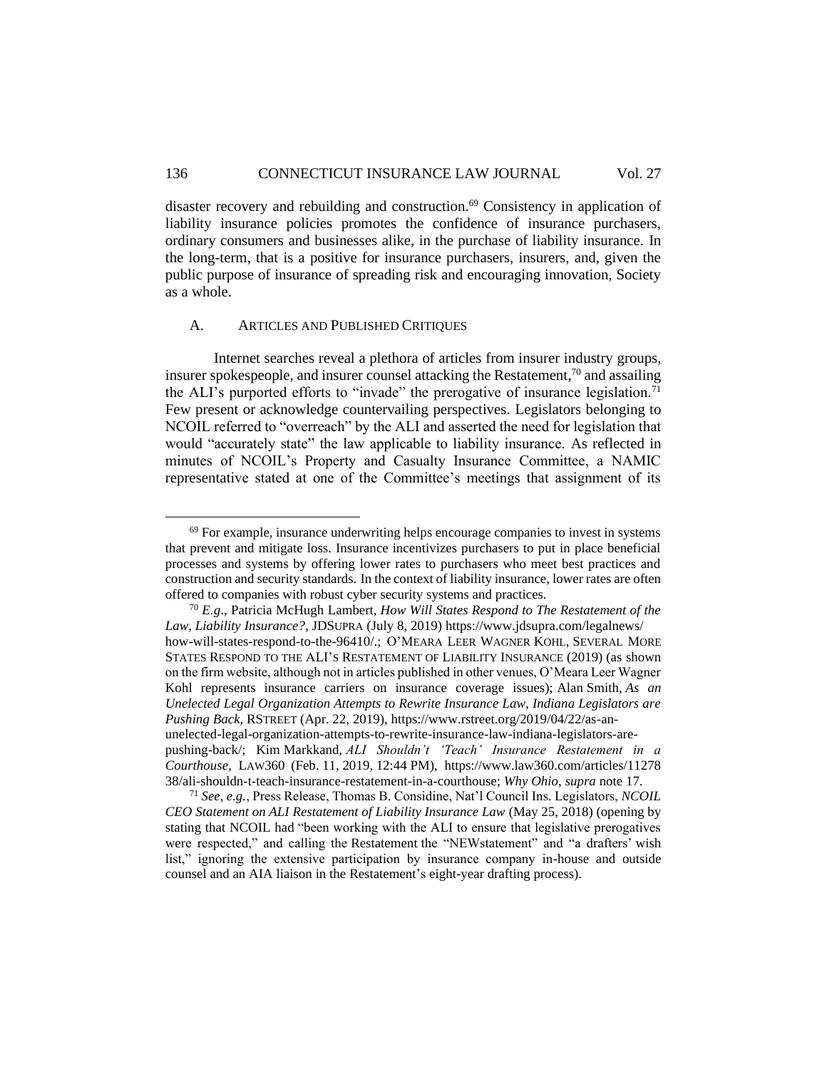disaster recovery and rebuilding and construction.<sup>69</sup> Consistency in application of liability insurance policies promotes the confidence of insurance purchasers, ordinary consumers and businesses alike, in the purchase of liability insurance. In the long-term, that is a positive for insurance purchasers, insurers, and, given the public purpose of insurance of spreading risk and encouraging innovation, Society as a whole.

#### A. ARTICLES AND PUBLISHED CRITIQUES

Internet searches reveal a plethora of articles from insurer industry groups, insurer spokespeople, and insurer counsel attacking the Restatement,<sup>70</sup> and assailing the ALI's purported efforts to "invade" the prerogative of insurance legislation.<sup>71</sup> Few present or acknowledge countervailing perspectives*.* Legislators belonging to NCOIL referred to "overreach" by the ALI and asserted the need for legislation that would "accurately state" the law applicable to liability insurance. As reflected in minutes of NCOIL's Property and Casualty Insurance Committee, a NAMIC representative stated at one of the Committee's meetings that assignment of its

 $69$  For example, insurance underwriting helps encourage companies to invest in systems that prevent and mitigate loss. Insurance incentivizes purchasers to put in place beneficial processes and systems by offering lower rates to purchasers who meet best practices and construction and security standards. In the context of liability insurance, lower rates are often offered to companies with robust cyber security systems and practices.

<sup>70</sup> *E.g*., Patricia McHugh Lambert, *How Will States Respond to The Restatement of the Law, Liability Insurance?*, JDSUPRA (July 8, 2019) https://www.jdsupra.com/legalnews/ how-will-states-respond-to-the-96410/.; O'MEARA LEER WAGNER KOHL, SEVERAL MORE STATES RESPOND TO THE ALI'S RESTATEMENT OF LIABILITY INSURANCE (2019) (as shown on the firm website, although not in articles published in other venues, O'Meara Leer Wagner Kohl represents insurance carriers on insurance coverage issues); Alan Smith, *As an Unelected Legal Organization Attempts to Rewrite Insurance Law, Indiana Legislators are Pushing Back*, RSTREET (Apr. 22, 2019), https://www.rstreet.org/2019/04/22/as-anunelected-legal-organization-attempts-to-rewrite-insurance-law-indiana-legislators-are-

pushing-back/; Kim Markkand, *ALI Shouldn't 'Teach' Insurance Restatement in a Courthouse*, LAW360 (Feb. 11, 2019, 12:44 PM), https://www.law360.com/articles/11278 38/ali-shouldn-t-teach-insurance-restatement-in-a-courthouse; *Why Ohio, supra* note 17.

<sup>71</sup> *See, e.g.*, Press Release, Thomas B. Considine, Nat'l Council Ins. Legislators, *NCOIL CEO Statement on ALI Restatement of Liability Insurance Law* (May 25, 2018) (opening by stating that NCOIL had "been working with the ALI to ensure that legislative prerogatives were respected," and calling the Restatement the "NEWstatement" and "a drafters' wish list," ignoring the extensive participation by insurance company in-house and outside counsel and an AIA liaison in the Restatement's eight-year drafting process).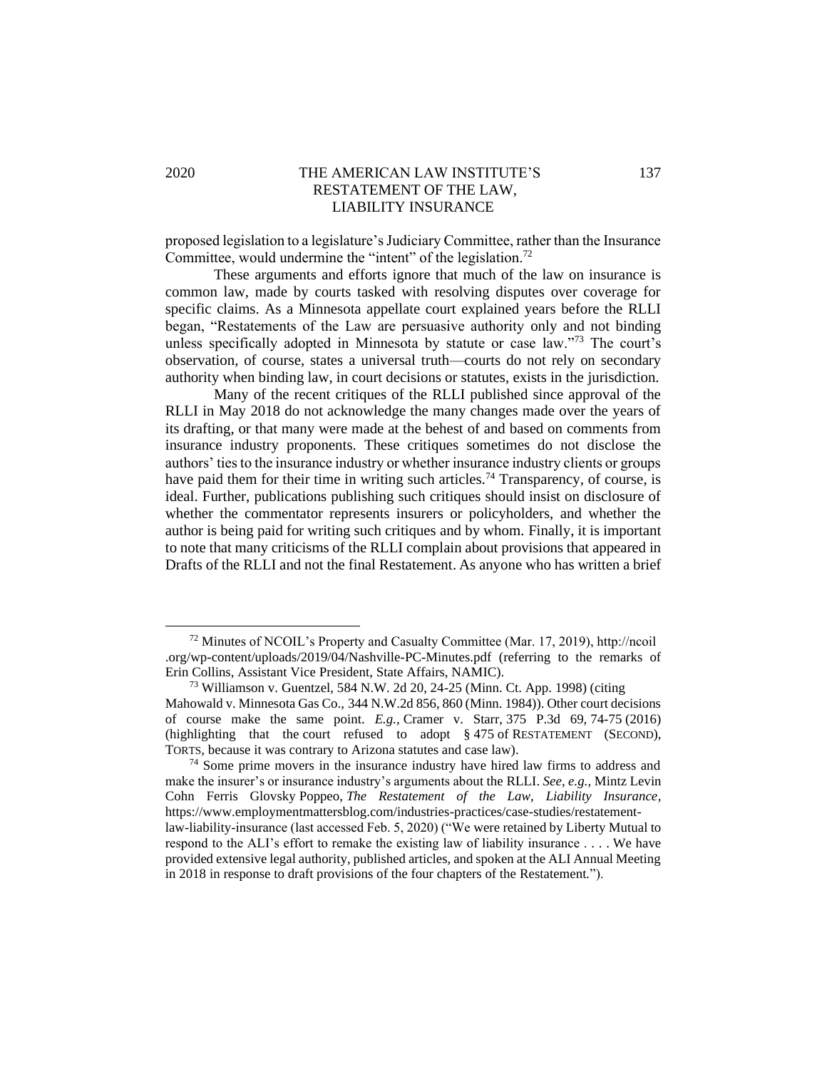## 2020 THE AMERICAN LAW INSTITUTE'S 137 RESTATEMENT OF THE LAW, LIABILITY INSURANCE

proposed legislation to a legislature's Judiciary Committee, rather than the Insurance Committee, would undermine the "intent" of the legislation.<sup>72</sup>

These arguments and efforts ignore that much of the law on insurance is common law, made by courts tasked with resolving disputes over coverage for specific claims. As a Minnesota appellate court explained years before the RLLI began, "Restatements of the Law are persuasive authority only and not binding unless specifically adopted in Minnesota by statute or case law."<sup>73</sup> The court's observation, of course, states a universal truth—courts do not rely on secondary authority when binding law, in court decisions or statutes, exists in the jurisdiction.

Many of the recent critiques of the RLLI published since approval of the RLLI in May 2018 do not acknowledge the many changes made over the years of its drafting, or that many were made at the behest of and based on comments from insurance industry proponents. These critiques sometimes do not disclose the authors' ties to the insurance industry or whether insurance industry clients or groups have paid them for their time in writing such articles.<sup>74</sup> Transparency, of course, is ideal. Further, publications publishing such critiques should insist on disclosure of whether the commentator represents insurers or policyholders, and whether the author is being paid for writing such critiques and by whom. Finally, it is important to note that many criticisms of the RLLI complain about provisions that appeared in Drafts of the RLLI and not the final Restatement. As anyone who has written a brief

<sup>72</sup> Minutes of NCOIL's Property and Casualty Committee (Mar. 17, 2019), http://ncoil .org/wp-content/uploads/2019/04/Nashville-PC-Minutes.pdf (referring to the remarks of Erin Collins, Assistant Vice President, State Affairs, NAMIC).

<sup>&</sup>lt;sup>73</sup> Williamson v. Guentzel, 584 N.W. 2d 20, 24-25 (Minn. Ct. App. 1998) (citing Mahowald v. Minnesota Gas Co., 344 N.W.2d 856, 860 (Minn. 1984)). Other court decisions of course make the same point. *E.g.,* Cramer v. Starr, 375 P.3d 69, 74-75 (2016) (highlighting that the court refused to adopt § 475 of RESTATEMENT (SECOND), TORTS*,* because it was contrary to Arizona statutes and case law).

<sup>74</sup> Some prime movers in the insurance industry have hired law firms to address and make the insurer's or insurance industry's arguments about the RLLI. *See, e.g.,* Mintz Levin Cohn Ferris Glovsky Poppeo, *The Restatement of the Law, Liability Insurance*, https://www.employmentmattersblog.com/industries-practices/case-studies/restatementlaw-liability-insurance (last accessed Feb. 5, 2020) ("We were retained by Liberty Mutual to respond to the ALI's effort to remake the existing law of liability insurance . . . . We have provided extensive legal authority, published articles, and spoken at the ALI Annual Meeting in 2018 in response to draft provisions of the four chapters of the Restatement*.*").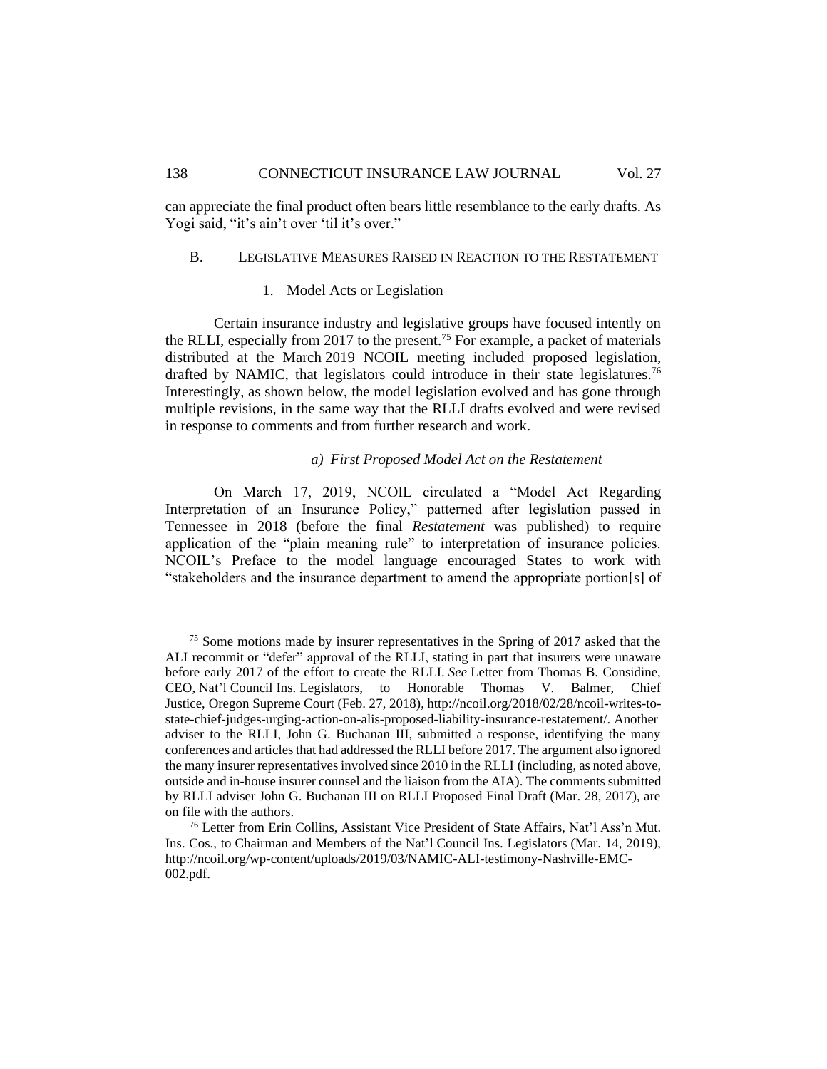can appreciate the final product often bears little resemblance to the early drafts. As Yogi said, "it's ain't over 'til it's over."

#### B. LEGISLATIVE MEASURES RAISED IN REACTION TO THE RESTATEMENT

#### 1. Model Acts or Legislation

Certain insurance industry and legislative groups have focused intently on the RLLI, especially from 2017 to the present.<sup>75</sup> For example, a packet of materials distributed at the March 2019 NCOIL meeting included proposed legislation, drafted by NAMIC, that legislators could introduce in their state legislatures.<sup>76</sup> Interestingly, as shown below, the model legislation evolved and has gone through multiple revisions, in the same way that the RLLI drafts evolved and were revised in response to comments and from further research and work.

#### *a) First Proposed Model Act on the Restatement*

On March 17, 2019, NCOIL circulated a "Model Act Regarding Interpretation of an Insurance Policy," patterned after legislation passed in Tennessee in 2018 (before the final *Restatement* was published) to require application of the "plain meaning rule" to interpretation of insurance policies. NCOIL's Preface to the model language encouraged States to work with "stakeholders and the insurance department to amend the appropriate portion[s] of

<sup>75</sup> Some motions made by insurer representatives in the Spring of 2017 asked that the ALI recommit or "defer" approval of the RLLI, stating in part that insurers were unaware before early 2017 of the effort to create the RLLI. *See* Letter from Thomas B. Considine, CEO, Nat'l Council Ins. Legislators, to Honorable Thomas V. Balmer, Chief Justice, Oregon Supreme Court (Feb. 27, 2018), http://ncoil.org/2018/02/28/ncoil-writes-tostate-chief-judges-urging-action-on-alis-proposed-liability-insurance-restatement/. Another adviser to the RLLI, John G. Buchanan III, submitted a response, identifying the many conferences and articles that had addressed the RLLI before 2017. The argument also ignored the many insurer representatives involved since 2010 in the RLLI (including, as noted above, outside and in-house insurer counsel and the liaison from the AIA). The comments submitted by RLLI adviser John G. Buchanan III on RLLI Proposed Final Draft (Mar. 28, 2017), are on file with the authors.

<sup>76</sup> Letter from Erin Collins, Assistant Vice President of State Affairs, Nat'l Ass'n Mut. Ins. Cos., to Chairman and Members of the Nat'l Council Ins. Legislators (Mar. 14, 2019), http://ncoil.org/wp-content/uploads/2019/03/NAMIC-ALI-testimony-Nashville-EMC-002.pdf.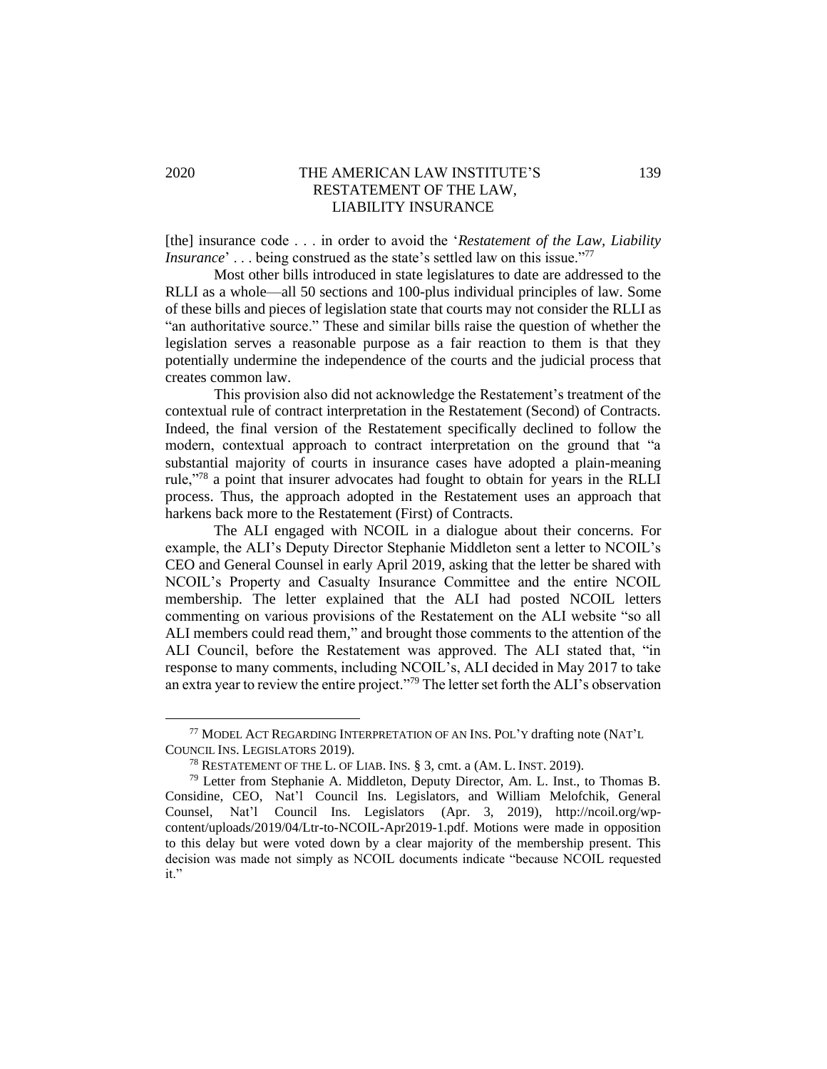## 2020 THE AMERICAN LAW INSTITUTE'S 139 RESTATEMENT OF THE LAW, LIABILITY INSURANCE

[the] insurance code . . . in order to avoid the '*Restatement of the Law, Liability Insurance*' . . . being construed as the state's settled law on this issue."<sup>77</sup>

Most other bills introduced in state legislatures to date are addressed to the RLLI as a whole—all 50 sections and 100-plus individual principles of law. Some of these bills and pieces of legislation state that courts may not consider the RLLI as "an authoritative source." These and similar bills raise the question of whether the legislation serves a reasonable purpose as a fair reaction to them is that they potentially undermine the independence of the courts and the judicial process that creates common law.

This provision also did not acknowledge the Restatement's treatment of the contextual rule of contract interpretation in the Restatement (Second) of Contracts. Indeed, the final version of the Restatement specifically declined to follow the modern, contextual approach to contract interpretation on the ground that "a substantial majority of courts in insurance cases have adopted a plain-meaning rule,"<sup>78</sup> a point that insurer advocates had fought to obtain for years in the RLLI process. Thus, the approach adopted in the Restatement uses an approach that harkens back more to the Restatement (First) of Contracts.

The ALI engaged with NCOIL in a dialogue about their concerns. For example, the ALI's Deputy Director Stephanie Middleton sent a letter to NCOIL's CEO and General Counsel in early April 2019, asking that the letter be shared with NCOIL's Property and Casualty Insurance Committee and the entire NCOIL membership. The letter explained that the ALI had posted NCOIL letters commenting on various provisions of the Restatement on the ALI website "so all ALI members could read them," and brought those comments to the attention of the ALI Council, before the Restatement was approved. The ALI stated that, "in response to many comments, including NCOIL's, ALI decided in May 2017 to take an extra year to review the entire project."<sup>79</sup> The letter set forth the ALI's observation

<sup>77</sup> MODEL ACT REGARDING INTERPRETATION OF AN INS. POL'Y drafting note (NAT'L COUNCIL INS. LEGISLATORS 2019).

<sup>78</sup> RESTATEMENT OF THE L. OF LIAB. INS. § 3, cmt. a (AM. L. INST. 2019).

<sup>79</sup> Letter from Stephanie A. Middleton, Deputy Director, Am. L. Inst., to Thomas B. Considine, CEO, Nat'l Council Ins. Legislators, and William Melofchik, General Counsel, Nat'l Council Ins. Legislators (Apr. 3, 2019), http://ncoil.org/wpcontent/uploads/2019/04/Ltr-to-NCOIL-Apr2019-1.pdf. Motions were made in opposition to this delay but were voted down by a clear majority of the membership present. This decision was made not simply as NCOIL documents indicate "because NCOIL requested it."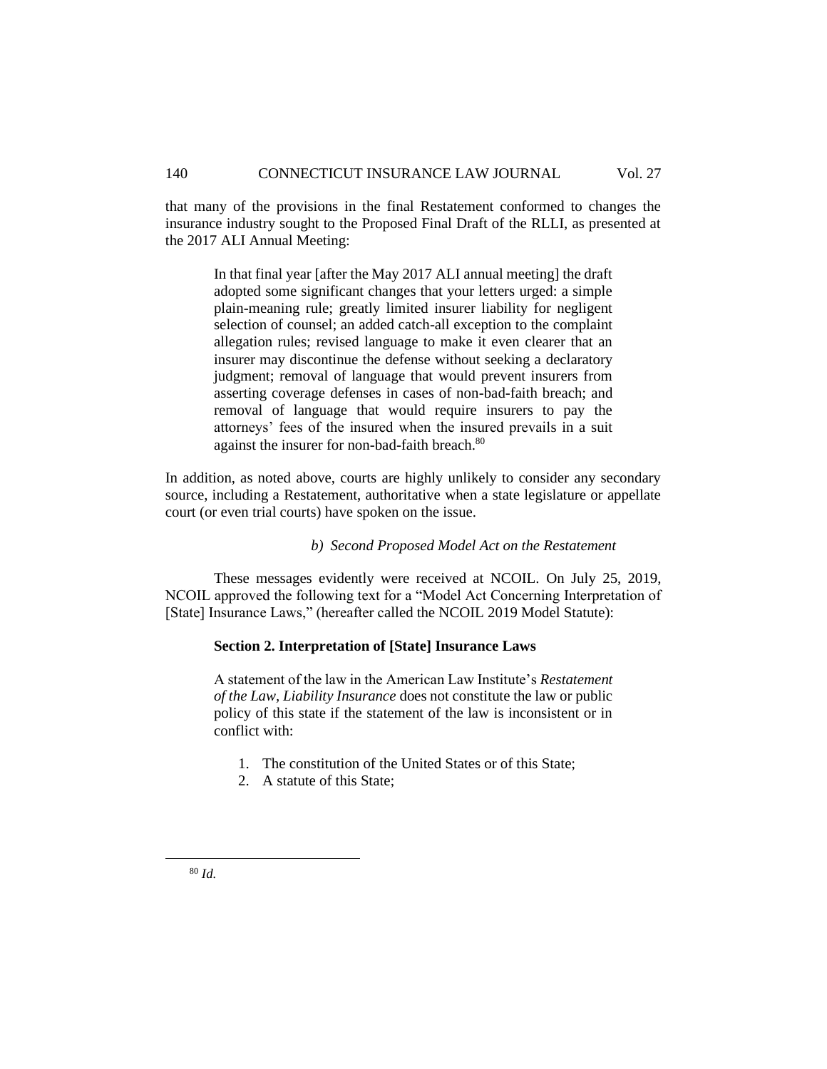that many of the provisions in the final Restatement conformed to changes the insurance industry sought to the Proposed Final Draft of the RLLI, as presented at the 2017 ALI Annual Meeting:

In that final year [after the May 2017 ALI annual meeting] the draft adopted some significant changes that your letters urged: a simple plain-meaning rule; greatly limited insurer liability for negligent selection of counsel; an added catch-all exception to the complaint allegation rules; revised language to make it even clearer that an insurer may discontinue the defense without seeking a declaratory judgment; removal of language that would prevent insurers from asserting coverage defenses in cases of non-bad-faith breach; and removal of language that would require insurers to pay the attorneys' fees of the insured when the insured prevails in a suit against the insurer for non-bad-faith breach.<sup>80</sup>

In addition, as noted above, courts are highly unlikely to consider any secondary source, including a Restatement, authoritative when a state legislature or appellate court (or even trial courts) have spoken on the issue.

### *b) Second Proposed Model Act on the Restatement*

These messages evidently were received at NCOIL. On July 25, 2019, NCOIL approved the following text for a "Model Act Concerning Interpretation of [State] Insurance Laws," (hereafter called the NCOIL 2019 Model Statute):

## **Section 2. Interpretation of [State] Insurance Laws**

A statement of the law in the American Law Institute's *Restatement of the Law, Liability Insurance* does not constitute the law or public policy of this state if the statement of the law is inconsistent or in conflict with:

- 1. The constitution of the United States or of this State;
- 2. A statute of this State;

<sup>80</sup> *Id.*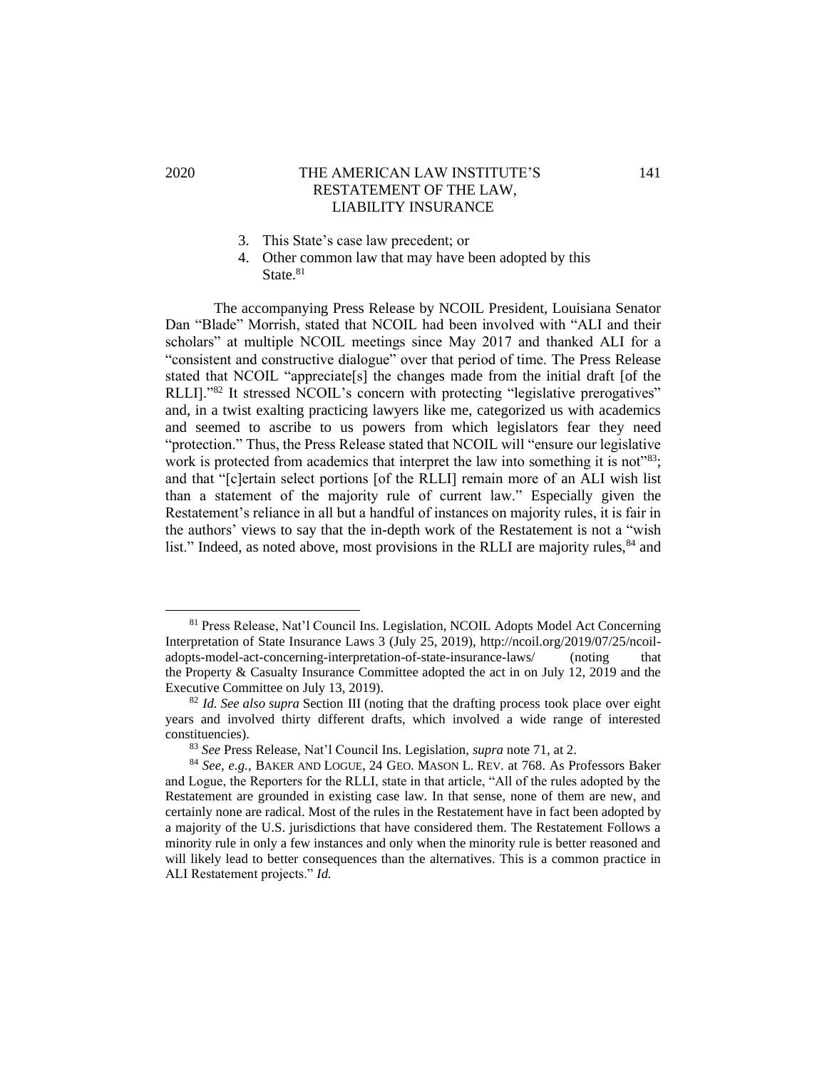## 2020 THE AMERICAN LAW INSTITUTE'S 141 RESTATEMENT OF THE LAW, LIABILITY INSURANCE

- 3. This State's case law precedent; or
- 4. Other common law that may have been adopted by this State<sup>81</sup>

The accompanying Press Release by NCOIL President, Louisiana Senator Dan "Blade" Morrish, stated that NCOIL had been involved with "ALI and their scholars" at multiple NCOIL meetings since May 2017 and thanked ALI for a "consistent and constructive dialogue" over that period of time. The Press Release stated that NCOIL "appreciate[s] the changes made from the initial draft [of the RLLI]."82 It stressed NCOIL's concern with protecting "legislative prerogatives" and, in a twist exalting practicing lawyers like me, categorized us with academics and seemed to ascribe to us powers from which legislators fear they need "protection." Thus, the Press Release stated that NCOIL will "ensure our legislative work is protected from academics that interpret the law into something it is not<sup>783</sup>; and that "[c]ertain select portions [of the RLLI] remain more of an ALI wish list than a statement of the majority rule of current law." Especially given the Restatement's reliance in all but a handful of instances on majority rules, it is fair in the authors' views to say that the in-depth work of the Restatement is not a "wish list." Indeed, as noted above, most provisions in the RLLI are majority rules,  $84$  and

<sup>81</sup> Press Release, Nat'l Council Ins. Legislation, NCOIL Adopts Model Act Concerning Interpretation of State Insurance Laws 3 (July 25, 2019), http://ncoil.org/2019/07/25/ncoiladopts-model-act-concerning-interpretation-of-state-insurance-laws/ (noting that the Property & Casualty Insurance Committee adopted the act in on July 12, 2019 and the Executive Committee on July 13, 2019).

<sup>82</sup> *Id. See also supra* Section III (noting that the drafting process took place over eight years and involved thirty different drafts, which involved a wide range of interested constituencies).

<sup>83</sup> *See* Press Release, Nat'l Council Ins. Legislation, *supra* note 71, at 2.

<sup>84</sup> *See, e.g.,* BAKER AND LOGUE, 24 GEO. MASON L. REV. at 768. As Professors Baker and Logue, the Reporters for the RLLI, state in that article, "All of the rules adopted by the Restatement are grounded in existing case law. In that sense, none of them are new, and certainly none are radical. Most of the rules in the Restatement have in fact been adopted by a majority of the U.S. jurisdictions that have considered them. The Restatement Follows a minority rule in only a few instances and only when the minority rule is better reasoned and will likely lead to better consequences than the alternatives. This is a common practice in ALI Restatement projects." *Id.*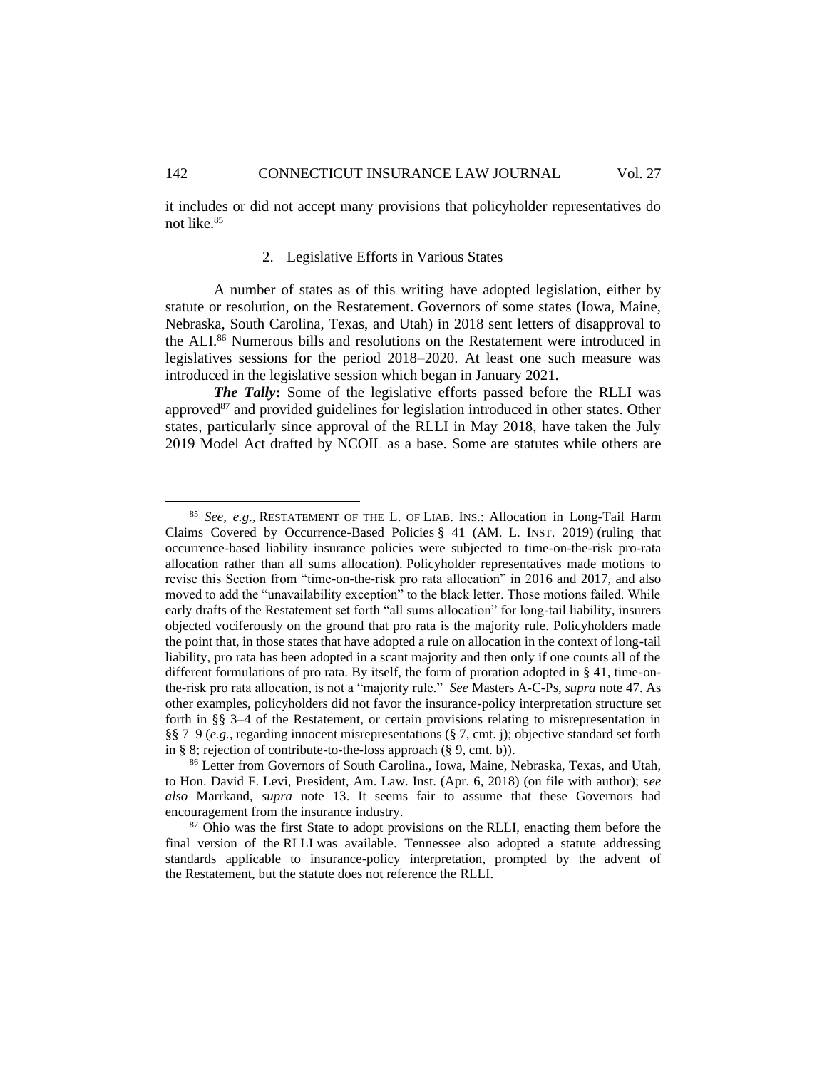it includes or did not accept many provisions that policyholder representatives do not like.<sup>85</sup>

#### 2. Legislative Efforts in Various States

A number of states as of this writing have adopted legislation, either by statute or resolution, on the Restatement. Governors of some states (Iowa, Maine, Nebraska, South Carolina, Texas, and Utah) in 2018 sent letters of disapproval to the ALI.<sup>86</sup> Numerous bills and resolutions on the Restatement were introduced in legislatives sessions for the period 2018–2020. At least one such measure was introduced in the legislative session which began in January 2021.

*The Tally***:** Some of the legislative efforts passed before the RLLI was approved $87$  and provided guidelines for legislation introduced in other states. Other states, particularly since approval of the RLLI in May 2018, have taken the July 2019 Model Act drafted by NCOIL as a base. Some are statutes while others are

<sup>85</sup> *See, e.g.,* RESTATEMENT OF THE L. OF LIAB. INS.: Allocation in Long-Tail Harm Claims Covered by Occurrence-Based Policies § 41 (AM. L. INST. 2019) (ruling that occurrence-based liability insurance policies were subjected to time-on-the-risk pro-rata allocation rather than all sums allocation). Policyholder representatives made motions to revise this Section from "time-on-the-risk pro rata allocation" in 2016 and 2017, and also moved to add the "unavailability exception" to the black letter. Those motions failed. While early drafts of the Restatement set forth "all sums allocation" for long-tail liability, insurers objected vociferously on the ground that pro rata is the majority rule. Policyholders made the point that, in those states that have adopted a rule on allocation in the context of long-tail liability, pro rata has been adopted in a scant majority and then only if one counts all of the different formulations of pro rata. By itself, the form of proration adopted in § 41, time-onthe-risk pro rata allocation, is not a "majority rule." *See* Masters A-C-Ps, *supra* note 47. As other examples, policyholders did not favor the insurance-policy interpretation structure set forth in §§ 3–4 of the Restatement, or certain provisions relating to misrepresentation in §§ 7–9 (*e.g.*, regarding innocent misrepresentations (§ 7, cmt. j); objective standard set forth in § 8; rejection of contribute-to-the-loss approach (§ 9, cmt. b)).

<sup>86</sup> Letter from Governors of South Carolina., Iowa, Maine, Nebraska, Texas, and Utah, to Hon. David F. Levi, President, Am. Law. Inst. (Apr. 6, 2018) (on file with author); s*ee also* Marrkand, *supra* note 13. It seems fair to assume that these Governors had encouragement from the insurance industry.

<sup>87</sup> Ohio was the first State to adopt provisions on the RLLI, enacting them before the final version of the RLLI was available. Tennessee also adopted a statute addressing standards applicable to insurance-policy interpretation, prompted by the advent of the Restatement, but the statute does not reference the RLLI.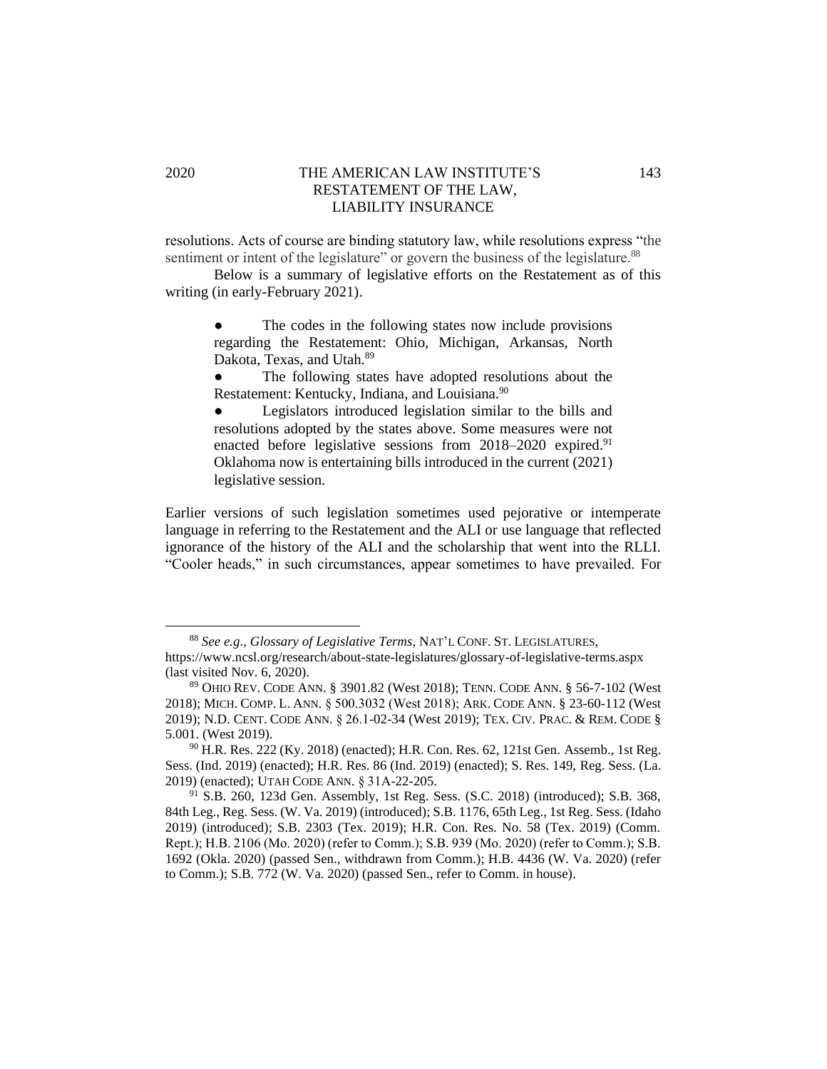## 2020 THE AMERICAN LAW INSTITUTE'S 143 RESTATEMENT OF THE LAW, LIABILITY INSURANCE

resolutions. Acts of course are binding statutory law, while resolutions express "the sentiment or intent of the legislature" or govern the business of the legislature.<sup>88</sup>

Below is a summary of legislative efforts on the Restatement as of this writing (in early-February 2021).

• The codes in the following states now include provisions regarding the Restatement: Ohio, Michigan, Arkansas, North Dakota, Texas, and Utah.<sup>89</sup>

• The following states have adopted resolutions about the Restatement: Kentucky, Indiana, and Louisiana.<sup>90</sup>

Legislators introduced legislation similar to the bills and resolutions adopted by the states above. Some measures were not enacted before legislative sessions from  $2018-2020$  expired.<sup>91</sup> Oklahoma now is entertaining bills introduced in the current (2021) legislative session.

Earlier versions of such legislation sometimes used pejorative or intemperate language in referring to the Restatement and the ALI or use language that reflected ignorance of the history of the ALI and the scholarship that went into the RLLI. "Cooler heads," in such circumstances, appear sometimes to have prevailed. For

<sup>88</sup> *See e.g., Glossary of Legislative Terms*, NAT'L CONF. ST. LEGISLATURES,

https://www.ncsl.org/research/about-state-legislatures/glossary-of-legislative-terms.aspx (last visited Nov. 6, 2020).

<sup>89</sup> OHIO REV. CODE ANN. § 3901.82 (West 2018); TENN. CODE ANN. § 56-7-102 (West 2018); MICH. COMP. L. ANN. § 500.3032 (West 2018); ARK. CODE ANN. § 23-60-112 (West 2019); N.D. CENT. CODE ANN. § 26.1-02-34 (West 2019); TEX. CIV. PRAC. & REM. CODE § 5.001. (West 2019).

 $90$  H.R. Res. 222 (Ky. 2018) (enacted); H.R. Con. Res. 62, 121st Gen. Assemb., 1st Reg. Sess. (Ind. 2019) (enacted); H.R. Res. 86 (Ind. 2019) (enacted); S. Res. 149, Reg. Sess. (La. 2019) (enacted); UTAH CODE ANN. § 31A-22-205.

<sup>91</sup> S.B. 260, 123d Gen. Assembly, 1st Reg. Sess. (S.C. 2018) (introduced); S.B. 368, 84th Leg., Reg. Sess. (W. Va. 2019) (introduced); S.B. 1176, 65th Leg., 1st Reg. Sess. (Idaho 2019) (introduced); S.B. 2303 (Tex. 2019); H.R. Con. Res. No. 58 (Tex. 2019) (Comm. Rept.); H.B. 2106 (Mo. 2020) (refer to Comm.); S.B. 939 (Mo. 2020) (refer to Comm.); S.B. 1692 (Okla. 2020) (passed Sen., withdrawn from Comm.); H.B. 4436 (W. Va. 2020) (refer to Comm.); S.B. 772 (W. Va. 2020) (passed Sen., refer to Comm. in house).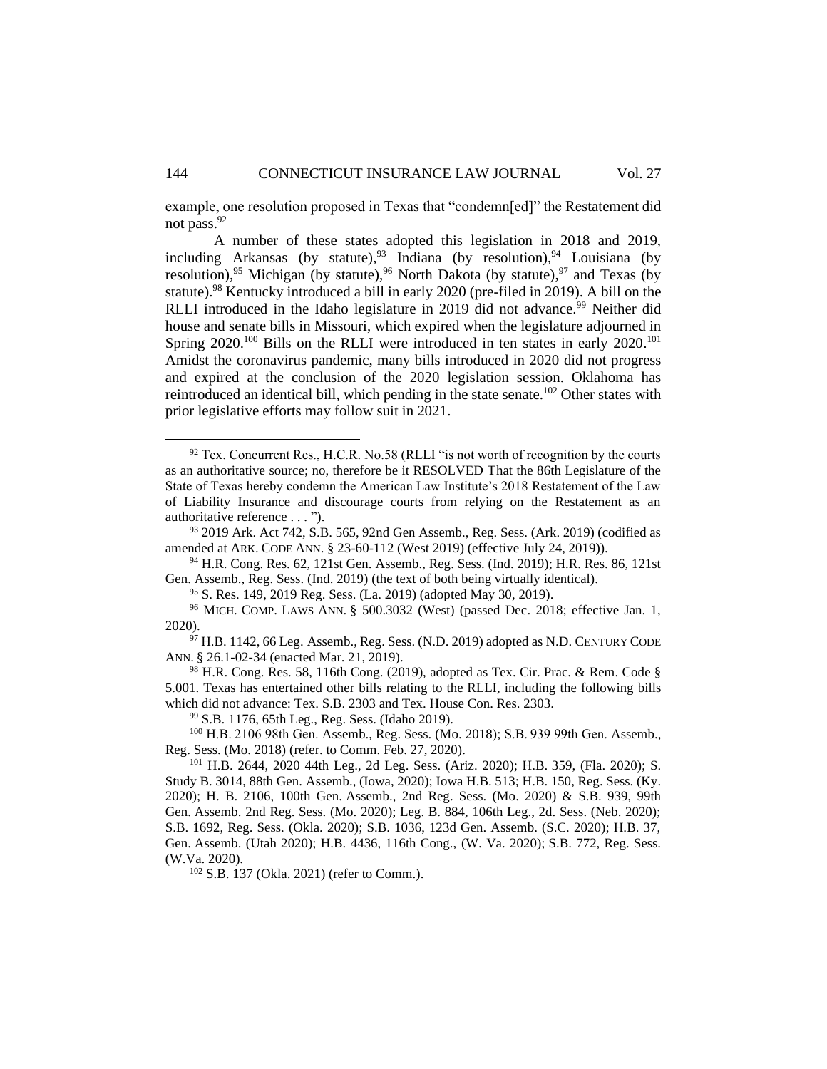example, one resolution proposed in Texas that "condemn[ed]" the Restatement did not pass.<sup>92</sup>

A number of these states adopted this legislation in 2018 and 2019, including Arkansas (by statute),<sup>93</sup> Indiana (by resolution),<sup>94</sup> Louisiana (by resolution),<sup>95</sup> Michigan (by statute),<sup>96</sup> North Dakota (by statute),<sup>97</sup> and Texas (by statute).<sup>98</sup> Kentucky introduced a bill in early 2020 (pre-filed in 2019). A bill on the RLLI introduced in the Idaho legislature in 2019 did not advance.<sup>99</sup> Neither did house and senate bills in Missouri, which expired when the legislature adjourned in Spring 2020.<sup>100</sup> Bills on the RLLI were introduced in ten states in early 2020.<sup>101</sup> Amidst the coronavirus pandemic, many bills introduced in 2020 did not progress and expired at the conclusion of the 2020 legislation session. Oklahoma has reintroduced an identical bill, which pending in the state senate.<sup>102</sup> Other states with prior legislative efforts may follow suit in 2021.

<sup>94</sup> H.R. Cong. Res. 62, 121st Gen. Assemb., Reg. Sess. (Ind. 2019); H.R. Res. 86, 121st Gen. Assemb., Reg. Sess. (Ind. 2019) (the text of both being virtually identical).

<sup>96</sup> MICH. COMP. LAWS ANN. § 500.3032 (West) (passed Dec. 2018; effective Jan. 1, 2020).

 $92$  Tex. Concurrent Res., H.C.R. No.58 (RLLI "is not worth of recognition by the courts as an authoritative source; no, therefore be it RESOLVED That the 86th Legislature of the State of Texas hereby condemn the American Law Institute's 2018 Restatement of the Law of Liability Insurance and discourage courts from relying on the Restatement as an authoritative reference . . . ").

 $93$  2019 Ark. Act 742, S.B. 565, 92nd Gen Assemb., Reg. Sess. (Ark. 2019) (codified as amended at ARK. CODE ANN. § 23-60-112 (West 2019) (effective July 24, 2019)).

<sup>95</sup> S. Res. 149, 2019 Reg. Sess. (La. 2019) (adopted May 30, 2019).

 $97$  H.B. 1142, 66 Leg. Assemb., Reg. Sess. (N.D. 2019) adopted as N.D. CENTURY CODE ANN. § 26.1-02-34 (enacted Mar. 21, 2019).

<sup>98</sup> H.R. Cong. Res. 58, 116th Cong. (2019), adopted as Tex. Cir. Prac. & Rem. Code § 5.001. Texas has entertained other bills relating to the RLLI, including the following bills which did not advance: Tex. S.B. 2303 and Tex. House Con. Res. 2303.

<sup>99</sup> S.B. 1176, 65th Leg., Reg. Sess. (Idaho 2019).

<sup>100</sup> H.B. 2106 98th Gen. Assemb., Reg. Sess. (Mo. 2018); S.B. 939 99th Gen. Assemb., Reg. Sess. (Mo. 2018) (refer. to Comm. Feb. 27, 2020).

<sup>101</sup> H.B. 2644, 2020 44th Leg., 2d Leg. Sess. (Ariz. 2020); H.B. 359, (Fla. 2020); S. Study B. 3014, 88th Gen. Assemb., (Iowa, 2020); Iowa H.B. 513; H.B. 150, Reg. Sess. (Ky. 2020); H. B. 2106, 100th Gen. Assemb., 2nd Reg. Sess. (Mo. 2020) & S.B. 939, 99th Gen. Assemb. 2nd Reg. Sess. (Mo. 2020); Leg. B. 884, 106th Leg., 2d. Sess. (Neb. 2020); S.B. 1692, Reg. Sess. (Okla. 2020); S.B. 1036, 123d Gen. Assemb. (S.C. 2020); H.B. 37, Gen. Assemb. (Utah 2020); H.B. 4436, 116th Cong., (W. Va. 2020); S.B. 772, Reg. Sess. (W.Va. 2020).

<sup>102</sup> S.B. 137 (Okla. 2021) (refer to Comm.).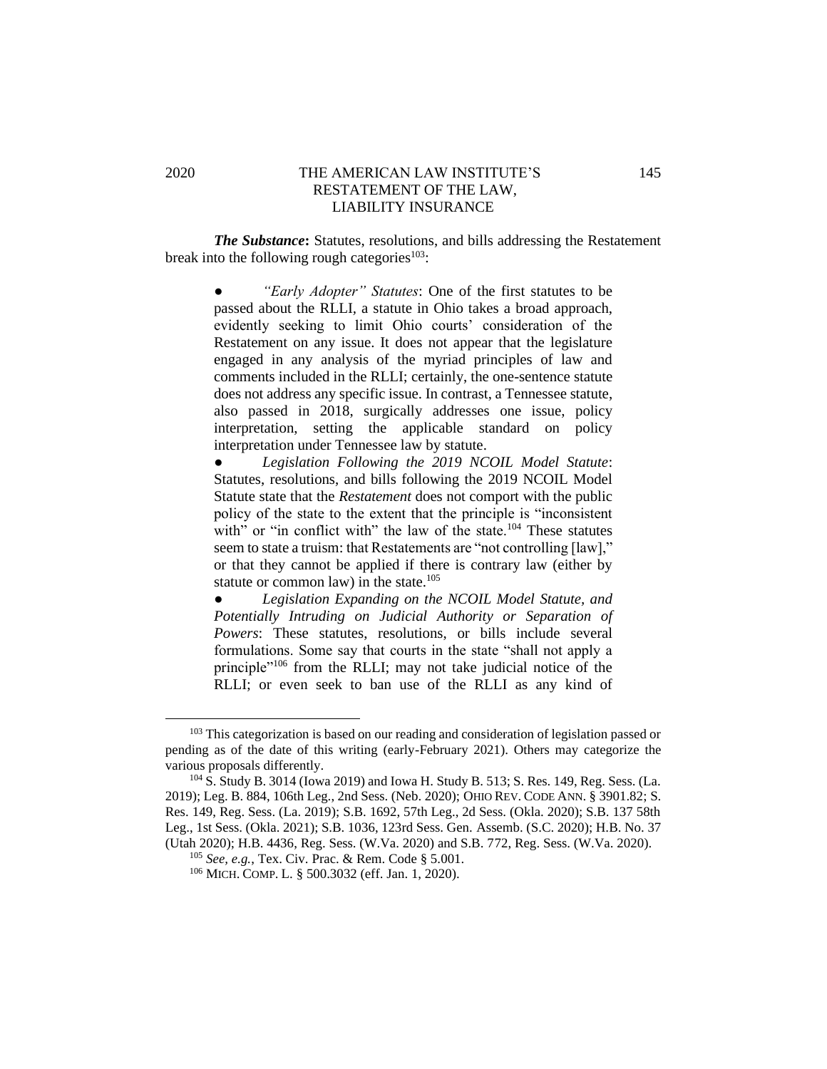## 2020 THE AMERICAN LAW INSTITUTE'S 145 RESTATEMENT OF THE LAW, LIABILITY INSURANCE

*The Substance***:** Statutes, resolutions, and bills addressing the Restatement break into the following rough categories $103$ :

● *"Early Adopter" Statutes*: One of the first statutes to be passed about the RLLI*,* a statute in Ohio takes a broad approach, evidently seeking to limit Ohio courts' consideration of the Restatement on any issue. It does not appear that the legislature engaged in any analysis of the myriad principles of law and comments included in the RLLI; certainly, the one-sentence statute does not address any specific issue. In contrast, a Tennessee statute, also passed in 2018, surgically addresses one issue, policy interpretation, setting the applicable standard on policy interpretation under Tennessee law by statute.

● *Legislation Following the 2019 NCOIL Model Statute*: Statutes, resolutions, and bills following the 2019 NCOIL Model Statute state that the *Restatement* does not comport with the public policy of the state to the extent that the principle is "inconsistent with" or "in conflict with" the law of the state.<sup>104</sup> These statutes seem to state a truism: that Restatements are "not controlling [law]," or that they cannot be applied if there is contrary law (either by statute or common law) in the state. $105$ 

Legislation Expanding on the NCOIL Model Statute, and *Potentially Intruding on Judicial Authority or Separation of Powers*: These statutes, resolutions, or bills include several formulations. Some say that courts in the state "shall not apply a principle"<sup>106</sup> from the RLLI; may not take judicial notice of the RLLI; or even seek to ban use of the RLLI as any kind of

<sup>&</sup>lt;sup>103</sup> This categorization is based on our reading and consideration of legislation passed or pending as of the date of this writing (early-February 2021). Others may categorize the various proposals differently.

<sup>104</sup> S. Study B. 3014 (Iowa 2019) and Iowa H. Study B. 513; S. Res. 149, Reg. Sess. (La. 2019); Leg. B. 884, 106th Leg., 2nd Sess. (Neb. 2020); OHIO REV. CODE ANN. § 3901.82; S. Res. 149, Reg. Sess. (La. 2019); S.B. 1692, 57th Leg., 2d Sess. (Okla. 2020); S.B. 137 58th Leg., 1st Sess. (Okla. 2021); S.B. 1036, 123rd Sess. Gen. Assemb. (S.C. 2020); H.B. No. 37 (Utah 2020); H.B. 4436, Reg. Sess. (W.Va. 2020) and S.B. 772, Reg. Sess. (W.Va. 2020).

<sup>105</sup> *See, e.g.*, Tex. Civ. Prac. & Rem. Code § 5.001.

<sup>106</sup> MICH. COMP. L. § 500.3032 (eff. Jan. 1, 2020).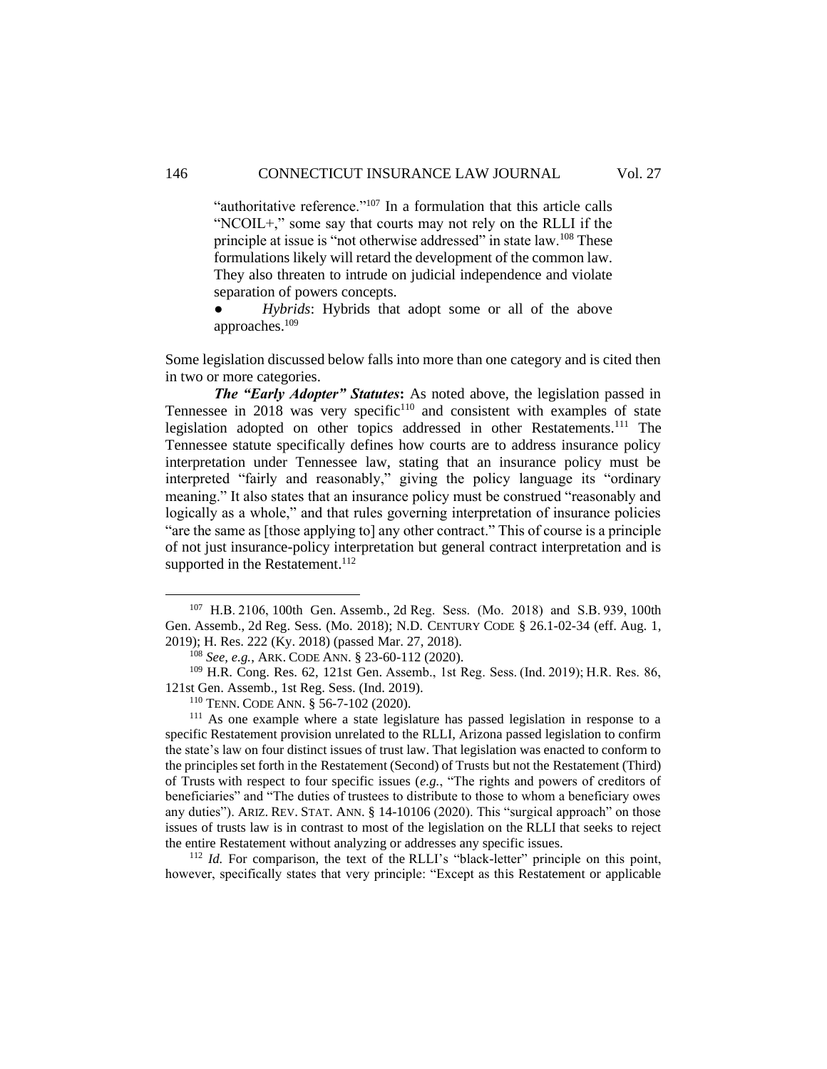"authoritative reference."<sup>107</sup> In a formulation that this article calls "NCOIL+," some say that courts may not rely on the RLLI if the principle at issue is "not otherwise addressed" in state law.<sup>108</sup> These formulations likely will retard the development of the common law. They also threaten to intrude on judicial independence and violate separation of powers concepts.

● *Hybrids*: Hybrids that adopt some or all of the above approaches.<sup>109</sup>

Some legislation discussed below falls into more than one category and is cited then in two or more categories.

*The "Early Adopter" Statutes***:** As noted above, the legislation passed in Tennessee in  $2018$  was very specific<sup>110</sup> and consistent with examples of state legislation adopted on other topics addressed in other Restatements.<sup>111</sup> The Tennessee statute specifically defines how courts are to address insurance policy interpretation under Tennessee law, stating that an insurance policy must be interpreted "fairly and reasonably," giving the policy language its "ordinary meaning." It also states that an insurance policy must be construed "reasonably and logically as a whole," and that rules governing interpretation of insurance policies "are the same as [those applying to] any other contract." This of course is a principle of not just insurance-policy interpretation but general contract interpretation and is supported in the Restatement.<sup>112</sup>

<sup>112</sup> *Id.* For comparison, the text of the RLLI's "black-letter" principle on this point, however, specifically states that very principle: "Except as this Restatement or applicable

<sup>107</sup> H.B. 2106, 100th Gen. Assemb., 2d Reg. Sess. (Mo. 2018) and S.B. 939, 100th Gen. Assemb., 2d Reg. Sess. (Mo. 2018); N.D. CENTURY CODE § 26.1-02-34 (eff. Aug. 1, 2019); H. Res. 222 (Ky. 2018) (passed Mar. 27, 2018).

<sup>108</sup> *See, e.g.*, ARK. CODE ANN. § 23-60-112 (2020).

<sup>109</sup> H.R. Cong. Res. 62, 121st Gen. Assemb., 1st Reg. Sess. (Ind. 2019); H.R. Res. 86, 121st Gen. Assemb., 1st Reg. Sess. (Ind. 2019).

<sup>&</sup>lt;sup>110</sup> TENN. CODE ANN. § 56-7-102 (2020).

<sup>&</sup>lt;sup>111</sup> As one example where a state legislature has passed legislation in response to a specific Restatement provision unrelated to the RLLI*,* Arizona passed legislation to confirm the state's law on four distinct issues of trust law. That legislation was enacted to conform to the principles set forth in the Restatement (Second) of Trusts but not the Restatement (Third) of Trusts with respect to four specific issues (*e.g.*, "The rights and powers of creditors of beneficiaries" and "The duties of trustees to distribute to those to whom a beneficiary owes any duties"). ARIZ. REV. STAT. ANN. § 14-10106 (2020). This "surgical approach" on those issues of trusts law is in contrast to most of the legislation on the RLLI that seeks to reject the entire Restatement without analyzing or addresses any specific issues.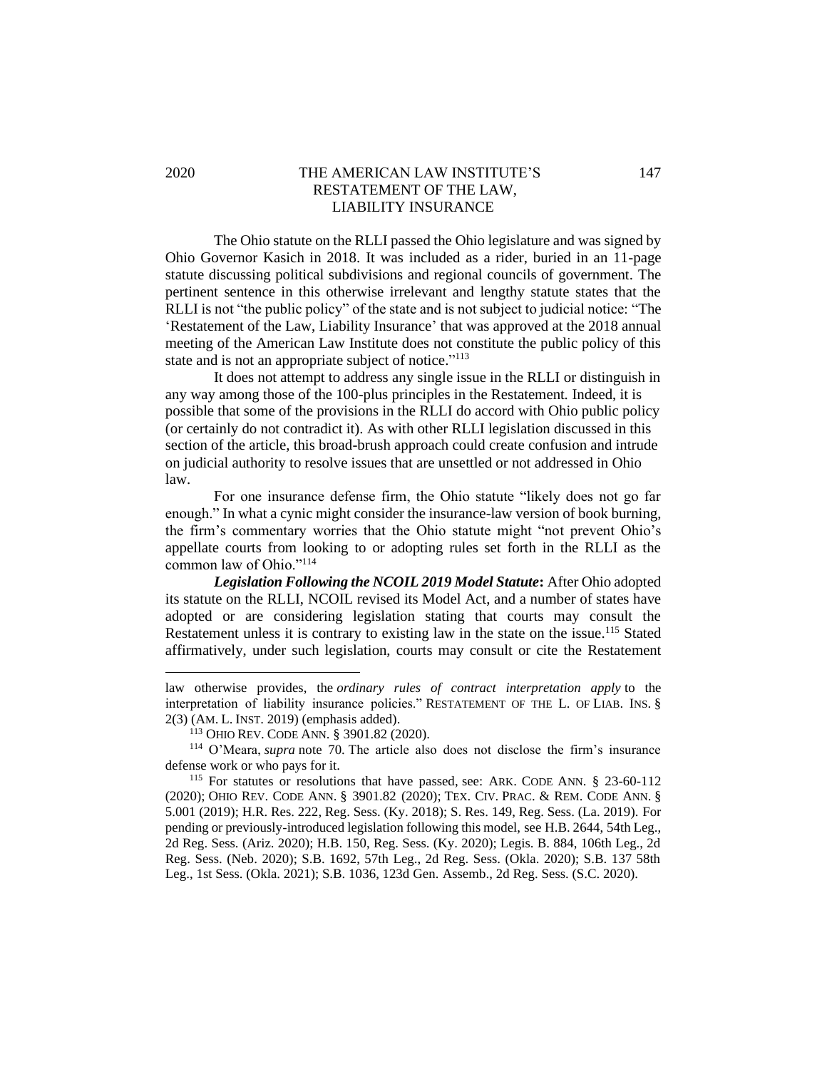## 2020 THE AMERICAN LAW INSTITUTE'S 147 RESTATEMENT OF THE LAW, LIABILITY INSURANCE

The Ohio statute on the RLLI passed the Ohio legislature and was signed by Ohio Governor Kasich in 2018. It was included as a rider, buried in an 11-page statute discussing political subdivisions and regional councils of government. The pertinent sentence in this otherwise irrelevant and lengthy statute states that the RLLI is not "the public policy" of the state and is not subject to judicial notice: "The 'Restatement of the Law, Liability Insurance' that was approved at the 2018 annual meeting of the American Law Institute does not constitute the public policy of this state and is not an appropriate subject of notice."<sup>113</sup>

It does not attempt to address any single issue in the RLLI or distinguish in any way among those of the 100-plus principles in the Restatement*.* Indeed, it is possible that some of the provisions in the RLLI do accord with Ohio public policy (or certainly do not contradict it). As with other RLLI legislation discussed in this section of the article, this broad-brush approach could create confusion and intrude on judicial authority to resolve issues that are unsettled or not addressed in Ohio law.

For one insurance defense firm, the Ohio statute "likely does not go far enough." In what a cynic might consider the insurance-law version of book burning, the firm's commentary worries that the Ohio statute might "not prevent Ohio's appellate courts from looking to or adopting rules set forth in the RLLI as the common law of Ohio."<sup>114</sup>

*Legislation Following the NCOIL 2019 Model Statute***:** After Ohio adopted its statute on the RLLI, NCOIL revised its Model Act, and a number of states have adopted or are considering legislation stating that courts may consult the Restatement unless it is contrary to existing law in the state on the issue.<sup>115</sup> Stated affirmatively, under such legislation, courts may consult or cite the Restatement

law otherwise provides, the *ordinary rules of contract interpretation apply* to the interpretation of liability insurance policies." RESTATEMENT OF THE L. OF LIAB. INS. § 2(3) (AM. L. INST. 2019) (emphasis added).

<sup>113</sup> OHIO REV. CODE ANN. § 3901.82 (2020).

<sup>114</sup> O'Meara, *supra* note 70. The article also does not disclose the firm's insurance defense work or who pays for it.

<sup>&</sup>lt;sup>115</sup> For statutes or resolutions that have passed, see: ARK. CODE ANN. § 23-60-112 (2020); OHIO REV. CODE ANN. § 3901.82 (2020); TEX. CIV. PRAC. & REM. CODE ANN. § 5.001 (2019); H.R. Res. 222, Reg. Sess. (Ky. 2018); S. Res. 149, Reg. Sess. (La. 2019). For pending or previously-introduced legislation following this model, see H.B. 2644, 54th Leg., 2d Reg. Sess. (Ariz. 2020); H.B. 150, Reg. Sess. (Ky. 2020); Legis. B. 884, 106th Leg., 2d Reg. Sess. (Neb. 2020); S.B. 1692, 57th Leg., 2d Reg. Sess. (Okla. 2020); S.B. 137 58th Leg., 1st Sess. (Okla. 2021); S.B. 1036, 123d Gen. Assemb., 2d Reg. Sess. (S.C. 2020).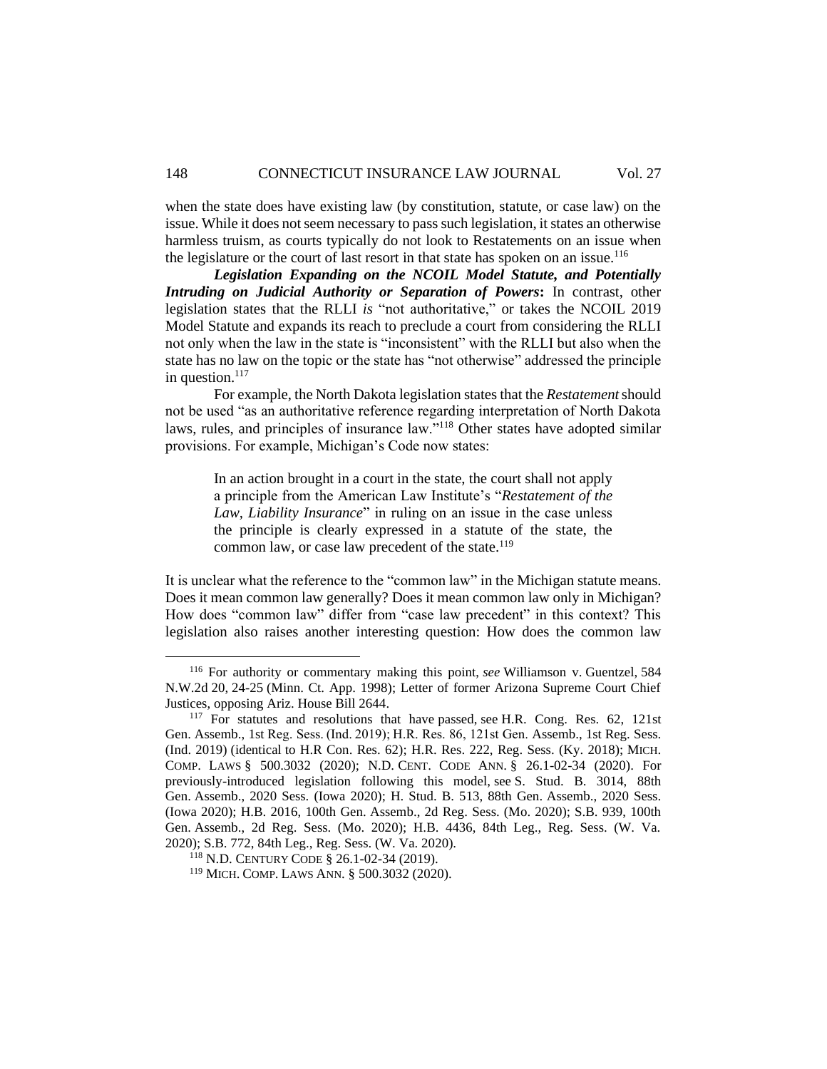when the state does have existing law (by constitution, statute, or case law) on the issue. While it does not seem necessary to pass such legislation, it states an otherwise harmless truism, as courts typically do not look to Restatements on an issue when the legislature or the court of last resort in that state has spoken on an issue.<sup>116</sup>

*Legislation Expanding on the NCOIL Model Statute, and Potentially Intruding on Judicial Authority or Separation of Powers***:** In contrast, other legislation states that the RLLI *is* "not authoritative," or takes the NCOIL 2019 Model Statute and expands its reach to preclude a court from considering the RLLI not only when the law in the state is "inconsistent" with the RLLI but also when the state has no law on the topic or the state has "not otherwise" addressed the principle in question. $117$ 

For example, the North Dakota legislation states that the *Restatement*should not be used "as an authoritative reference regarding interpretation of North Dakota laws, rules, and principles of insurance law."<sup>118</sup> Other states have adopted similar provisions. For example, Michigan's Code now states:

In an action brought in a court in the state, the court shall not apply a principle from the American Law Institute's "*Restatement of the Law, Liability Insurance*" in ruling on an issue in the case unless the principle is clearly expressed in a statute of the state, the common law, or case law precedent of the state. $119$ 

It is unclear what the reference to the "common law" in the Michigan statute means. Does it mean common law generally? Does it mean common law only in Michigan? How does "common law" differ from "case law precedent" in this context? This legislation also raises another interesting question: How does the common law

<sup>116</sup> For authority or commentary making this point, *see* Williamson v. Guentzel, 584 N.W.2d 20, 24-25 (Minn. Ct. App. 1998); Letter of former Arizona Supreme Court Chief Justices, opposing Ariz. House Bill 2644.

<sup>&</sup>lt;sup>117</sup> For statutes and resolutions that have passed, see H.R. Cong. Res. 62, 121st Gen. Assemb., 1st Reg. Sess. (Ind. 2019); H.R. Res. 86, 121st Gen. Assemb., 1st Reg. Sess. (Ind. 2019) (identical to H.R Con. Res. 62); H.R. Res. 222, Reg. Sess. (Ky. 2018); MICH. COMP. LAWS § 500.3032 (2020); N.D. CENT. CODE ANN. § 26.1-02-34 (2020). For previously-introduced legislation following this model, see S. Stud. B. 3014, 88th Gen. Assemb., 2020 Sess. (Iowa 2020); H. Stud. B. 513, 88th Gen. Assemb., 2020 Sess. (Iowa 2020); H.B. 2016, 100th Gen. Assemb., 2d Reg. Sess. (Mo. 2020); S.B. 939, 100th Gen. Assemb., 2d Reg. Sess. (Mo. 2020); H.B. 4436, 84th Leg., Reg. Sess. (W. Va. 2020); S.B. 772, 84th Leg., Reg. Sess. (W. Va. 2020).

<sup>118</sup> N.D. CENTURY CODE § 26.1-02-34 (2019).

<sup>119</sup> MICH. COMP. LAWS ANN. § 500.3032 (2020).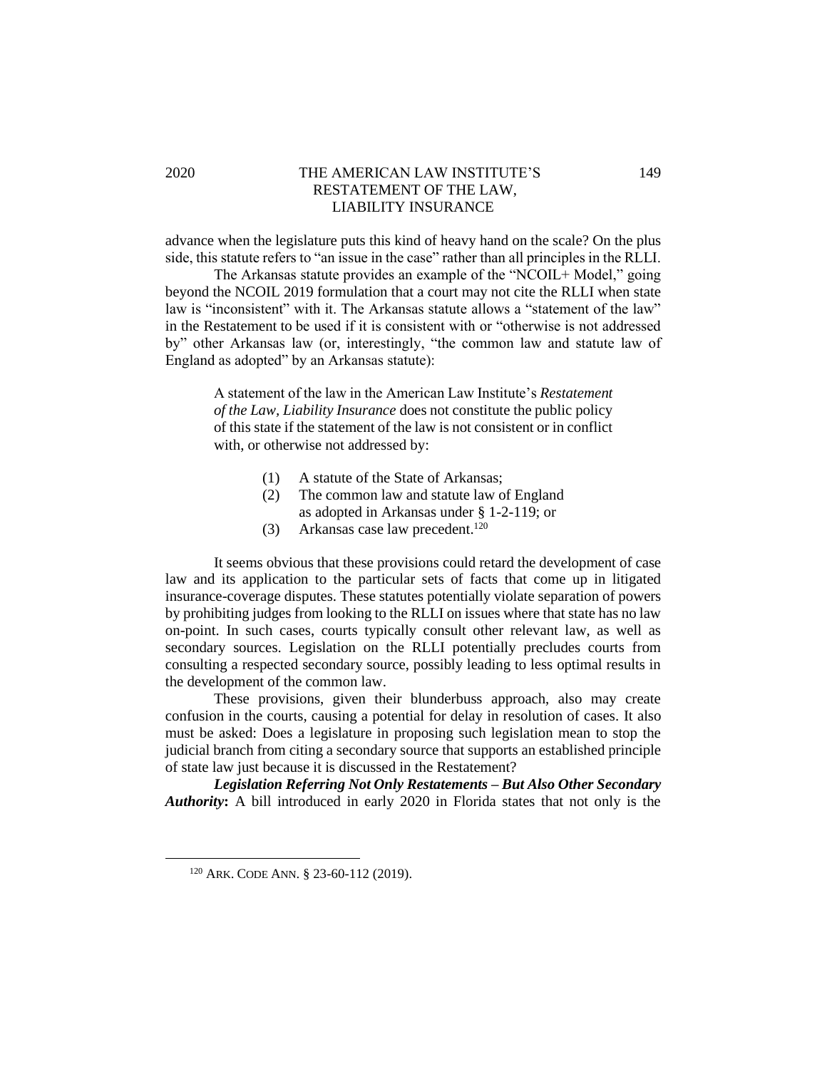## 2020 THE AMERICAN LAW INSTITUTE'S 149 RESTATEMENT OF THE LAW, LIABILITY INSURANCE

advance when the legislature puts this kind of heavy hand on the scale? On the plus side, this statute refers to "an issue in the case" rather than all principles in the RLLI.

The Arkansas statute provides an example of the "NCOIL+ Model," going beyond the NCOIL 2019 formulation that a court may not cite the RLLI when state law is "inconsistent" with it. The Arkansas statute allows a "statement of the law" in the Restatement to be used if it is consistent with or "otherwise is not addressed by" other Arkansas law (or, interestingly, "the common law and statute law of England as adopted" by an Arkansas statute):

A statement of the law in the American Law Institute's *Restatement of the Law, Liability Insurance* does not constitute the public policy of this state if the statement of the law is not consistent or in conflict with, or otherwise not addressed by:

- (1) A statute of the State of Arkansas;
- (2) The common law and statute law of England as adopted in Arkansas under § 1-2-119; or
- (3) Arkansas case law precedent.<sup>120</sup>

It seems obvious that these provisions could retard the development of case law and its application to the particular sets of facts that come up in litigated insurance-coverage disputes. These statutes potentially violate separation of powers by prohibiting judges from looking to the RLLI on issues where that state has no law on-point. In such cases, courts typically consult other relevant law, as well as secondary sources. Legislation on the RLLI potentially precludes courts from consulting a respected secondary source, possibly leading to less optimal results in the development of the common law.

These provisions, given their blunderbuss approach, also may create confusion in the courts, causing a potential for delay in resolution of cases. It also must be asked: Does a legislature in proposing such legislation mean to stop the judicial branch from citing a secondary source that supports an established principle of state law just because it is discussed in the Restatement?

*Legislation Referring Not Only Restatements – But Also Other Secondary Authority***:** A bill introduced in early 2020 in Florida states that not only is the

<sup>120</sup> ARK. CODE ANN. § 23-60-112 (2019).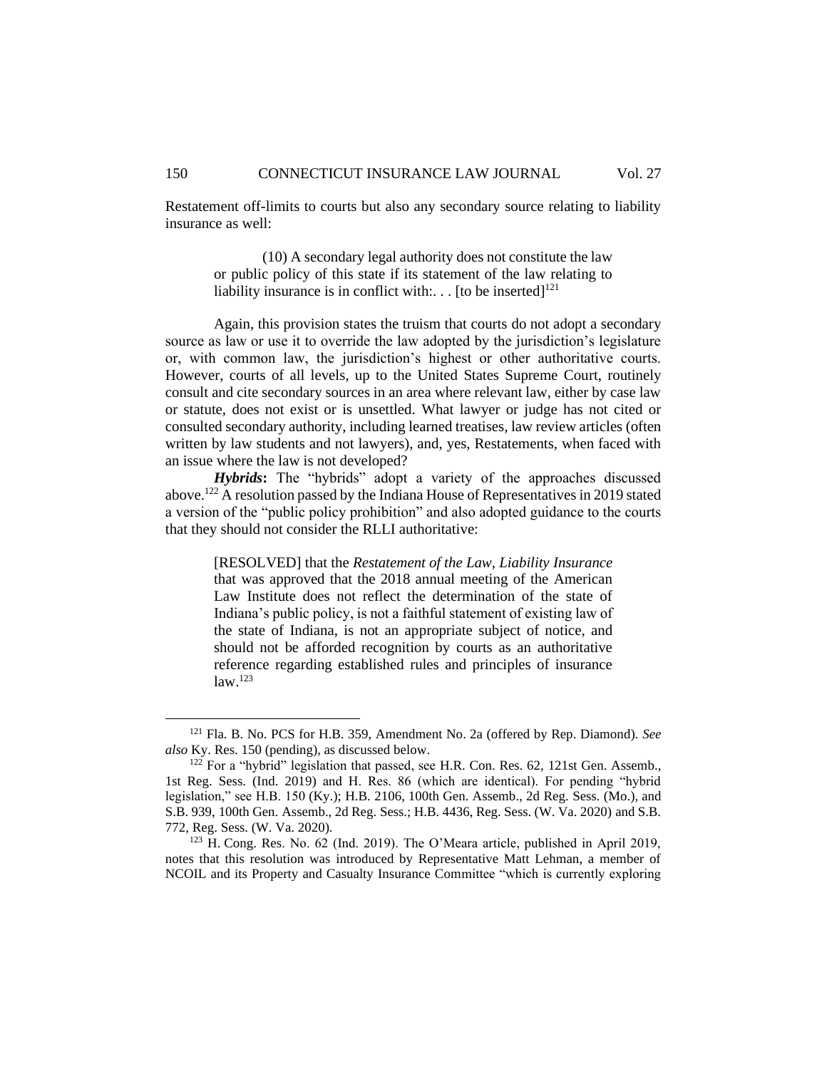Restatement off-limits to courts but also any secondary source relating to liability insurance as well:

(10) A secondary legal authority does not constitute the law or public policy of this state if its statement of the law relating to liability insurance is in conflict with:... [to be inserted]<sup>121</sup>

Again, this provision states the truism that courts do not adopt a secondary source as law or use it to override the law adopted by the jurisdiction's legislature or, with common law, the jurisdiction's highest or other authoritative courts. However, courts of all levels, up to the United States Supreme Court, routinely consult and cite secondary sources in an area where relevant law, either by case law or statute, does not exist or is unsettled. What lawyer or judge has not cited or consulted secondary authority, including learned treatises, law review articles (often written by law students and not lawyers), and, yes, Restatements, when faced with an issue where the law is not developed?

*Hybrids***:** The "hybrids" adopt a variety of the approaches discussed above.<sup>122</sup> A resolution passed by the Indiana House of Representatives in 2019 stated a version of the "public policy prohibition" and also adopted guidance to the courts that they should not consider the RLLI authoritative:

[RESOLVED] that the *Restatement of the Law, Liability Insurance* that was approved that the 2018 annual meeting of the American Law Institute does not reflect the determination of the state of Indiana's public policy, is not a faithful statement of existing law of the state of Indiana, is not an appropriate subject of notice, and should not be afforded recognition by courts as an authoritative reference regarding established rules and principles of insurance  $law.<sup>123</sup>$ 

<sup>121</sup> Fla. B. No. PCS for H.B. 359, Amendment No. 2a (offered by Rep. Diamond). *See also* Ky. Res. 150 (pending), as discussed below.

 $122$  For a "hybrid" legislation that passed, see H.R. Con. Res. 62, 121st Gen. Assemb., 1st Reg. Sess. (Ind. 2019) and H. Res. 86 (which are identical). For pending "hybrid legislation," see H.B. 150 (Ky.); H.B. 2106, 100th Gen. Assemb., 2d Reg. Sess. (Mo.), and S.B. 939, 100th Gen. Assemb., 2d Reg. Sess.; H.B. 4436, Reg. Sess. (W. Va. 2020) and S.B. 772, Reg. Sess. (W. Va. 2020).

 $123$  H. Cong. Res. No. 62 (Ind. 2019). The O'Meara article, published in April 2019, notes that this resolution was introduced by Representative Matt Lehman, a member of NCOIL and its Property and Casualty Insurance Committee "which is currently exploring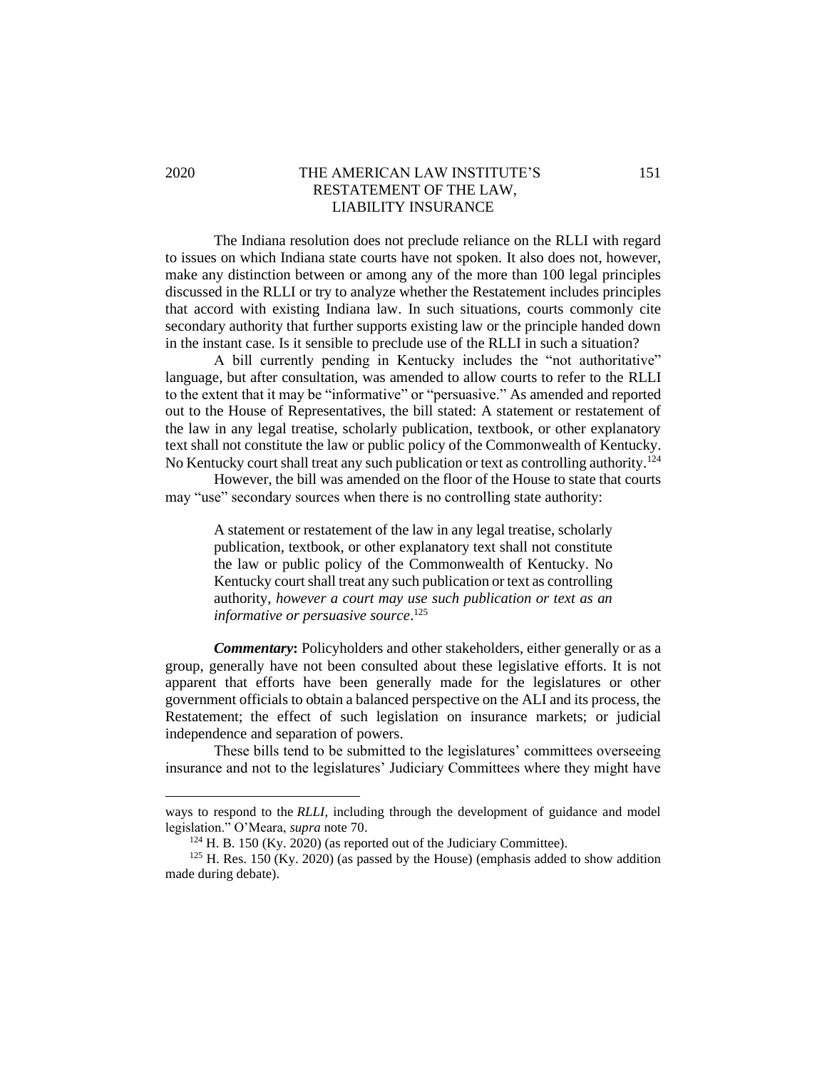## 2020 THE AMERICAN LAW INSTITUTE'S 151 RESTATEMENT OF THE LAW, LIABILITY INSURANCE

The Indiana resolution does not preclude reliance on the RLLI with regard to issues on which Indiana state courts have not spoken. It also does not, however, make any distinction between or among any of the more than 100 legal principles discussed in the RLLI or try to analyze whether the Restatement includes principles that accord with existing Indiana law. In such situations, courts commonly cite secondary authority that further supports existing law or the principle handed down in the instant case. Is it sensible to preclude use of the RLLI in such a situation?

A bill currently pending in Kentucky includes the "not authoritative" language, but after consultation, was amended to allow courts to refer to the RLLI to the extent that it may be "informative" or "persuasive." As amended and reported out to the House of Representatives, the bill stated: A statement or restatement of the law in any legal treatise, scholarly publication, textbook, or other explanatory text shall not constitute the law or public policy of the Commonwealth of Kentucky. No Kentucky court shall treat any such publication or text as controlling authority.<sup>124</sup>

However, the bill was amended on the floor of the House to state that courts may "use" secondary sources when there is no controlling state authority:

A statement or restatement of the law in any legal treatise, scholarly publication, textbook, or other explanatory text shall not constitute the law or public policy of the Commonwealth of Kentucky. No Kentucky court shall treat any such publication or text as controlling authority, *however a court may use such publication or text as an informative or persuasive source*. 125

*Commentary*: Policyholders and other stakeholders, either generally or as a group, generally have not been consulted about these legislative efforts. It is not apparent that efforts have been generally made for the legislatures or other government officials to obtain a balanced perspective on the ALI and its process, the Restatement; the effect of such legislation on insurance markets; or judicial independence and separation of powers.

These bills tend to be submitted to the legislatures' committees overseeing insurance and not to the legislatures' Judiciary Committees where they might have

ways to respond to the *RLLI*, including through the development of guidance and model legislation." O'Meara, *supra* note 70.

 $124$  H. B. 150 (Ky. 2020) (as reported out of the Judiciary Committee).

 $125$  H. Res. 150 (Ky. 2020) (as passed by the House) (emphasis added to show addition made during debate).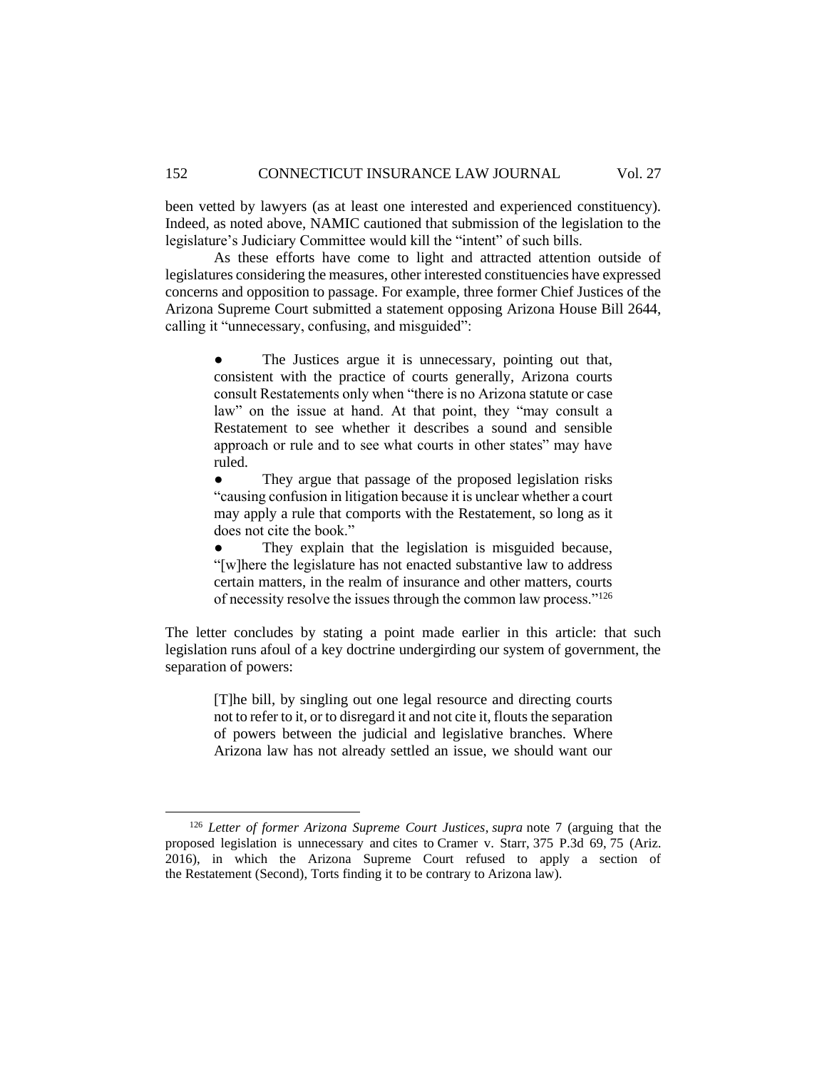been vetted by lawyers (as at least one interested and experienced constituency). Indeed, as noted above, NAMIC cautioned that submission of the legislation to the legislature's Judiciary Committee would kill the "intent" of such bills.

As these efforts have come to light and attracted attention outside of legislatures considering the measures, other interested constituencies have expressed concerns and opposition to passage. For example, three former Chief Justices of the Arizona Supreme Court submitted a statement opposing Arizona House Bill 2644, calling it "unnecessary, confusing, and misguided":

The Justices argue it is unnecessary, pointing out that, consistent with the practice of courts generally, Arizona courts consult Restatements only when "there is no Arizona statute or case law" on the issue at hand. At that point, they "may consult a Restatement to see whether it describes a sound and sensible approach or rule and to see what courts in other states" may have ruled.

• They argue that passage of the proposed legislation risks "causing confusion in litigation because it is unclear whether a court may apply a rule that comports with the Restatement, so long as it does not cite the book."

They explain that the legislation is misguided because, "[w]here the legislature has not enacted substantive law to address certain matters, in the realm of insurance and other matters, courts of necessity resolve the issues through the common law process."<sup>126</sup>

The letter concludes by stating a point made earlier in this article: that such legislation runs afoul of a key doctrine undergirding our system of government, the separation of powers:

[T]he bill, by singling out one legal resource and directing courts not to refer to it, or to disregard it and not cite it, flouts the separation of powers between the judicial and legislative branches. Where Arizona law has not already settled an issue, we should want our

<sup>126</sup> *Letter of former Arizona Supreme Court Justices*, *supra* note 7 (arguing that the proposed legislation is unnecessary and cites to Cramer v. Starr, 375 P.3d 69, 75 (Ariz. 2016), in which the Arizona Supreme Court refused to apply a section of the Restatement (Second), Torts finding it to be contrary to Arizona law).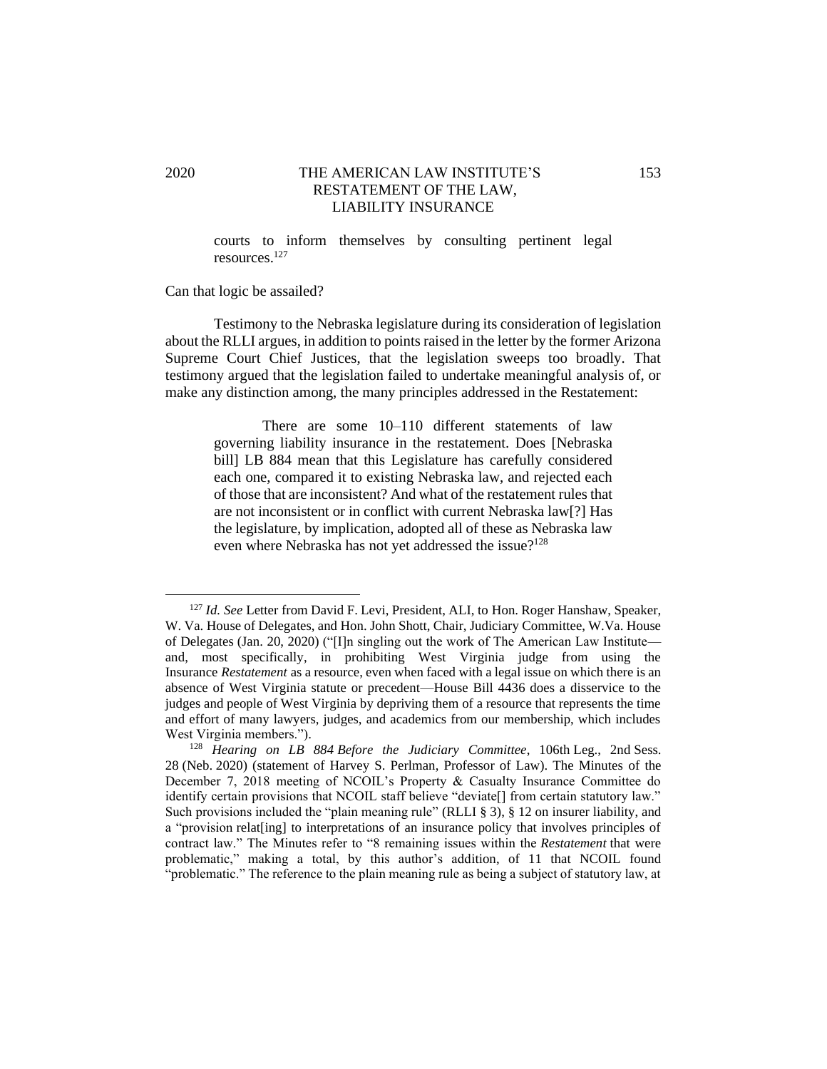## 2020 THE AMERICAN LAW INSTITUTE'S 153 RESTATEMENT OF THE LAW, LIABILITY INSURANCE

courts to inform themselves by consulting pertinent legal resources.<sup>127</sup>

#### Can that logic be assailed?

Testimony to the Nebraska legislature during its consideration of legislation about the RLLI argues, in addition to points raised in the letter by the former Arizona Supreme Court Chief Justices, that the legislation sweeps too broadly. That testimony argued that the legislation failed to undertake meaningful analysis of, or make any distinction among, the many principles addressed in the Restatement:

There are some 10–110 different statements of law governing liability insurance in the restatement. Does [Nebraska bill] LB 884 mean that this Legislature has carefully considered each one, compared it to existing Nebraska law, and rejected each of those that are inconsistent? And what of the restatement rules that are not inconsistent or in conflict with current Nebraska law[?] Has the legislature, by implication, adopted all of these as Nebraska law even where Nebraska has not yet addressed the issue?<sup>128</sup>

<sup>127</sup> *Id. See* Letter from David F. Levi, President, ALI, to Hon. Roger Hanshaw, Speaker, W. Va. House of Delegates, and Hon. John Shott, Chair, Judiciary Committee, W.Va. House of Delegates (Jan. 20, 2020) ("[I]n singling out the work of The American Law Institute and, most specifically, in prohibiting West Virginia judge from using the Insurance *Restatement* as a resource, even when faced with a legal issue on which there is an absence of West Virginia statute or precedent—House Bill 4436 does a disservice to the judges and people of West Virginia by depriving them of a resource that represents the time and effort of many lawyers, judges, and academics from our membership, which includes West Virginia members.").

<sup>128</sup> *Hearing on LB 884 Before the Judiciary Committee*, 106th Leg., 2nd Sess. 28 (Neb. 2020) (statement of Harvey S. Perlman, Professor of Law). The Minutes of the December 7, 2018 meeting of NCOIL's Property & Casualty Insurance Committee do identify certain provisions that NCOIL staff believe "deviate[] from certain statutory law." Such provisions included the "plain meaning rule" (RLLI § 3), § 12 on insurer liability, and a "provision relat[ing] to interpretations of an insurance policy that involves principles of contract law." The Minutes refer to "8 remaining issues within the *Restatement* that were problematic," making a total, by this author's addition, of 11 that NCOIL found "problematic." The reference to the plain meaning rule as being a subject of statutory law, at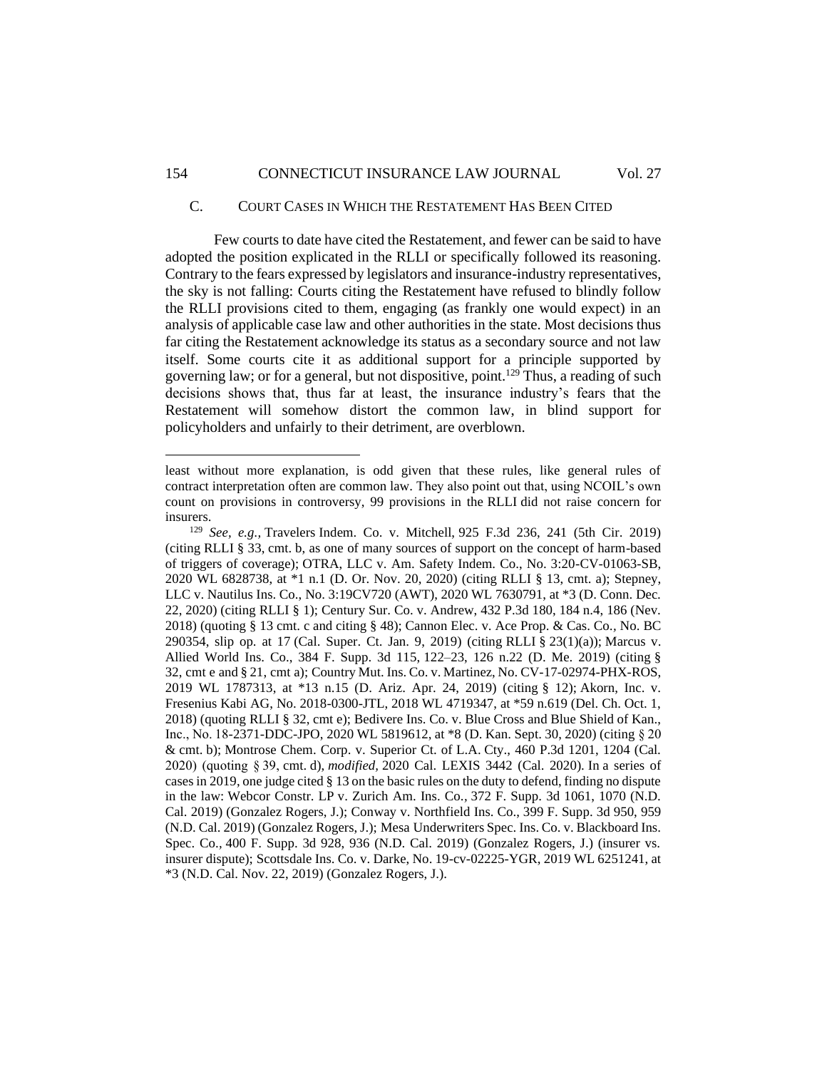#### 154 CONNECTICUT INSURANCE LAW JOURNAL Vol. 27

#### C. COURT CASES IN WHICH THE RESTATEMENT HAS BEEN CITED

Few courts to date have cited the Restatement, and fewer can be said to have adopted the position explicated in the RLLI or specifically followed its reasoning. Contrary to the fears expressed by legislators and insurance-industry representatives, the sky is not falling: Courts citing the Restatement have refused to blindly follow the RLLI provisions cited to them, engaging (as frankly one would expect) in an analysis of applicable case law and other authorities in the state. Most decisions thus far citing the Restatement acknowledge its status as a secondary source and not law itself. Some courts cite it as additional support for a principle supported by governing law; or for a general, but not dispositive, point.<sup>129</sup> Thus, a reading of such decisions shows that, thus far at least, the insurance industry's fears that the Restatement will somehow distort the common law, in blind support for policyholders and unfairly to their detriment, are overblown.

least without more explanation, is odd given that these rules, like general rules of contract interpretation often are common law. They also point out that, using NCOIL's own count on provisions in controversy, 99 provisions in the RLLI did not raise concern for insurers.

<sup>129</sup> *See, e.g.,* Travelers Indem. Co. v. Mitchell, 925 F.3d 236, 241 (5th Cir. 2019) (citing RLLI § 33, cmt. b, as one of many sources of support on the concept of harm-based of triggers of coverage); OTRA, LLC v. Am. Safety Indem. Co., No. 3:20-CV-01063-SB, 2020 WL 6828738, at \*1 n.1 (D. Or. Nov. 20, 2020) (citing RLLI § 13, cmt. a); Stepney, LLC v. Nautilus Ins. Co., No. 3:19CV720 (AWT), 2020 WL 7630791, at \*3 (D. Conn. Dec. 22, 2020) (citing RLLI § 1); Century Sur. Co. v. Andrew, 432 P.3d 180, 184 n.4, 186 (Nev. 2018) (quoting § 13 cmt. c and citing § 48); Cannon Elec. v. Ace Prop. & Cas. Co*.,* No. BC 290354, slip op. at 17 (Cal. Super. Ct. Jan. 9, 2019) (citing RLLI § 23(1)(a)); Marcus v. Allied World Ins. Co., 384 F. Supp. 3d 115, 122–23, 126 n.22 (D. Me. 2019) (citing § 32, cmt e and § 21, cmt a); Country Mut. Ins. Co. v. Martinez, No. CV-17-02974-PHX-ROS, 2019 WL 1787313, at \*13 n.15 (D. Ariz. Apr. 24, 2019) (citing § 12); Akorn, Inc. v. Fresenius Kabi AG, No. 2018-0300-JTL, 2018 WL 4719347, at \*59 n.619 (Del. Ch. Oct. 1, 2018) (quoting RLLI § 32, cmt e); Bedivere Ins. Co. v. Blue Cross and Blue Shield of Kan., Inc., No. 18-2371-DDC-JPO, 2020 WL 5819612, at \*8 (D. Kan. Sept. 30, 2020) (citing § 20 & cmt. b); Montrose Chem. Corp. v. Superior Ct. of L.A. Cty., 460 P.3d 1201, 1204 (Cal. 2020) (quoting § 39, cmt. d), *modified,* 2020 Cal. LEXIS 3442 (Cal. 2020). In a series of cases in 2019, one judge cited § 13 on the basic rules on the duty to defend, finding no dispute in the law: Webcor Constr. LP v. Zurich Am. Ins. Co.*,* 372 F. Supp. 3d 1061, 1070 (N.D. Cal. 2019) (Gonzalez Rogers, J.); Conway v. Northfield Ins. Co., 399 F. Supp. 3d 950, 959 (N.D. Cal. 2019) (Gonzalez Rogers, J.); Mesa Underwriters Spec. Ins. Co. v. Blackboard Ins. Spec. Co.*,* 400 F. Supp. 3d 928, 936 (N.D. Cal. 2019) (Gonzalez Rogers, J.) (insurer vs. insurer dispute); Scottsdale Ins. Co. v. Darke, No. 19-cv-02225-YGR, 2019 WL 6251241, at \*3 (N.D. Cal. Nov. 22, 2019) (Gonzalez Rogers, J.).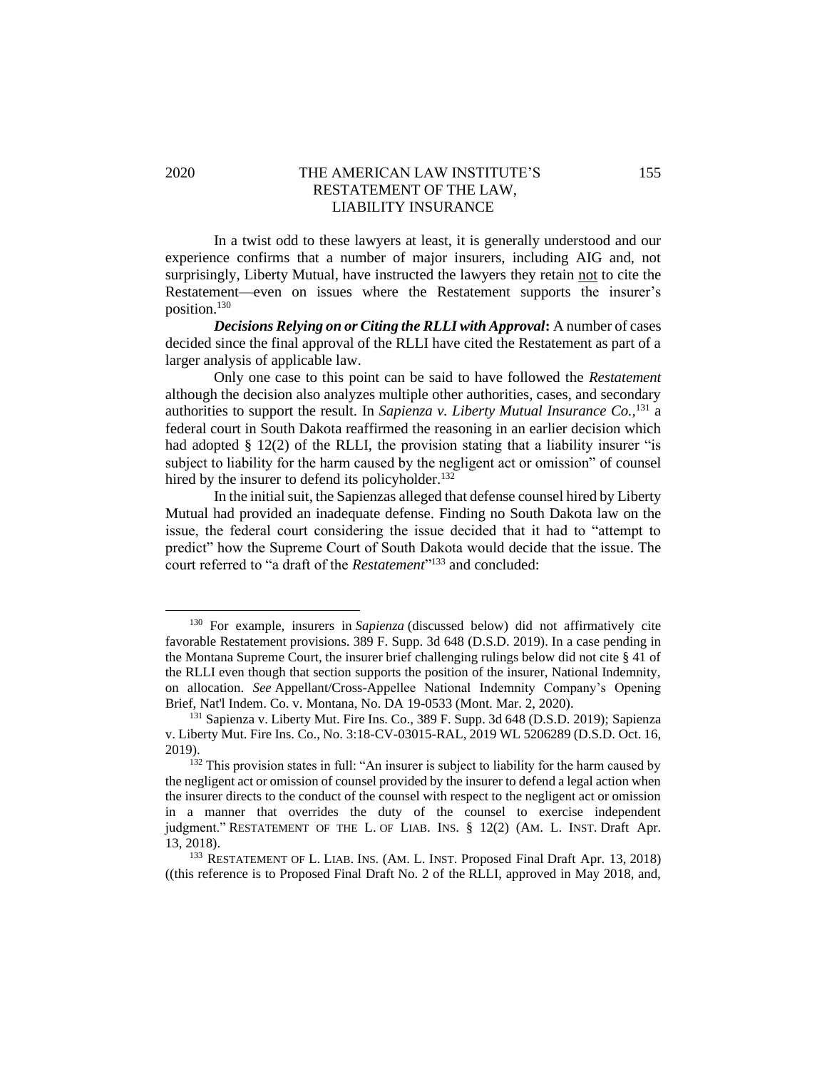## 2020 THE AMERICAN LAW INSTITUTE'S 155 RESTATEMENT OF THE LAW, LIABILITY INSURANCE

In a twist odd to these lawyers at least, it is generally understood and our experience confirms that a number of major insurers, including AIG and, not surprisingly, Liberty Mutual, have instructed the lawyers they retain not to cite the Restatement—even on issues where the Restatement supports the insurer's position.<sup>130</sup>

*Decisions Relying on or Citing the RLLI with Approval***:** A number of cases decided since the final approval of the RLLI have cited the Restatement as part of a larger analysis of applicable law.

Only one case to this point can be said to have followed the *Restatement* although the decision also analyzes multiple other authorities, cases, and secondary authorities to support the result. In *Sapienza v. Liberty Mutual Insurance Co.,*<sup>131</sup> a federal court in South Dakota reaffirmed the reasoning in an earlier decision which had adopted  $\S$  12(2) of the RLLI, the provision stating that a liability insurer "is subject to liability for the harm caused by the negligent act or omission" of counsel hired by the insurer to defend its policyholder.<sup>132</sup>

In the initial suit, the Sapienzas alleged that defense counsel hired by Liberty Mutual had provided an inadequate defense. Finding no South Dakota law on the issue, the federal court considering the issue decided that it had to "attempt to predict" how the Supreme Court of South Dakota would decide that the issue. The court referred to "a draft of the *Restatement*" <sup>133</sup> and concluded:

<sup>130</sup> For example, insurers in *Sapienza* (discussed below) did not affirmatively cite favorable Restatement provisions. 389 F. Supp. 3d 648 (D.S.D. 2019). In a case pending in the Montana Supreme Court, the insurer brief challenging rulings below did not cite § 41 of the RLLI even though that section supports the position of the insurer, National Indemnity, on allocation. *See* Appellant/Cross-Appellee National Indemnity Company's Opening Brief, Nat'l Indem. Co. v. Montana, No. DA 19-0533 (Mont. Mar. 2, 2020).

<sup>131</sup> Sapienza v. Liberty Mut. Fire Ins. Co., 389 F. Supp. 3d 648 (D.S.D. 2019); Sapienza v. Liberty Mut. Fire Ins. Co., No. 3:18-CV-03015-RAL, 2019 WL 5206289 (D.S.D. Oct. 16, 2019).

<sup>&</sup>lt;sup>132</sup> This provision states in full: "An insurer is subject to liability for the harm caused by the negligent act or omission of counsel provided by the insurer to defend a legal action when the insurer directs to the conduct of the counsel with respect to the negligent act or omission in a manner that overrides the duty of the counsel to exercise independent judgment." RESTATEMENT OF THE L. OF LIAB. INS. § 12(2) (AM. L. INST. Draft Apr. 13, 2018).

<sup>133</sup> RESTATEMENT OF L. LIAB. INS. (AM. L. INST. Proposed Final Draft Apr. 13, 2018) ((this reference is to Proposed Final Draft No. 2 of the RLLI, approved in May 2018, and,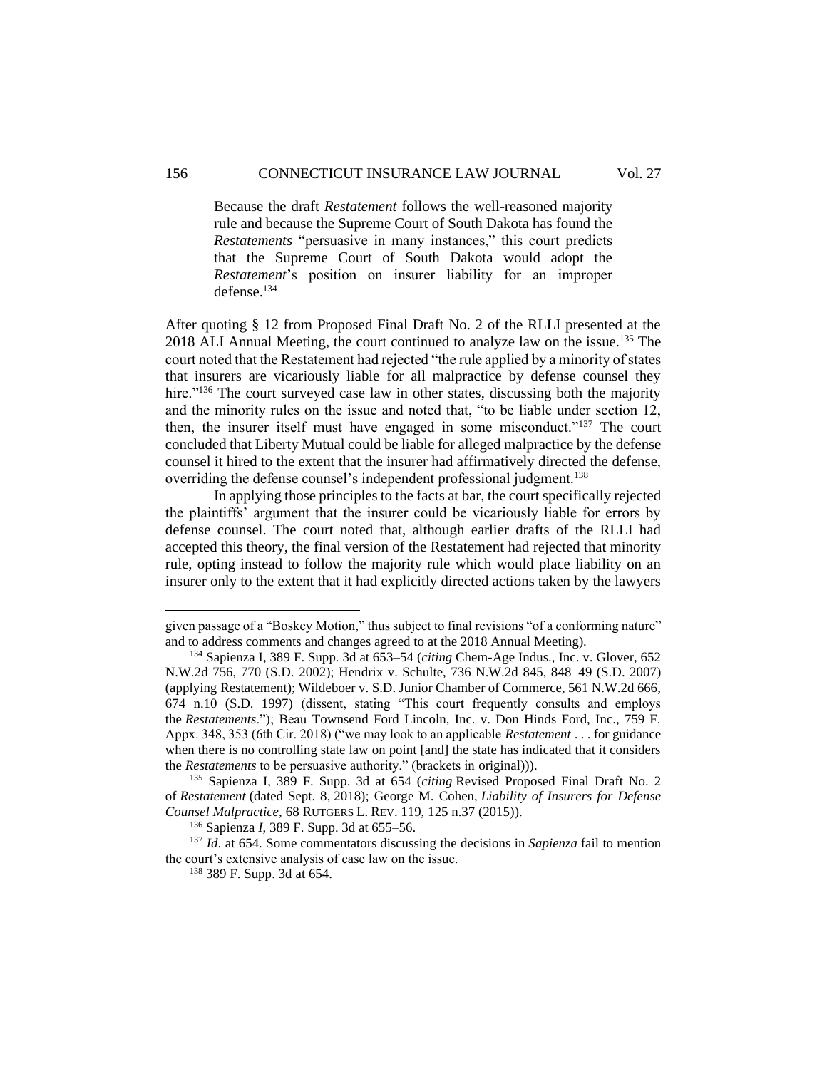Because the draft *Restatement* follows the well-reasoned majority rule and because the Supreme Court of South Dakota has found the *Restatements* "persuasive in many instances," this court predicts that the Supreme Court of South Dakota would adopt the *Restatement*'s position on insurer liability for an improper defense.<sup>134</sup>

After quoting § 12 from Proposed Final Draft No. 2 of the RLLI presented at the 2018 ALI Annual Meeting, the court continued to analyze law on the issue.<sup>135</sup> The court noted that the Restatement had rejected "the rule applied by a minority of states that insurers are vicariously liable for all malpractice by defense counsel they hire."<sup>136</sup> The court surveyed case law in other states, discussing both the majority and the minority rules on the issue and noted that, "to be liable under section 12, then, the insurer itself must have engaged in some misconduct."<sup>137</sup> The court concluded that Liberty Mutual could be liable for alleged malpractice by the defense counsel it hired to the extent that the insurer had affirmatively directed the defense, overriding the defense counsel's independent professional judgment.<sup>138</sup>

In applying those principles to the facts at bar, the court specifically rejected the plaintiffs' argument that the insurer could be vicariously liable for errors by defense counsel. The court noted that, although earlier drafts of the RLLI had accepted this theory, the final version of the Restatement had rejected that minority rule, opting instead to follow the majority rule which would place liability on an insurer only to the extent that it had explicitly directed actions taken by the lawyers

given passage of a "Boskey Motion," thus subject to final revisions "of a conforming nature" and to address comments and changes agreed to at the 2018 Annual Meeting).

<sup>134</sup> Sapienza I*,* 389 F. Supp*.* 3d at 653–54 (*citing* Chem-Age Indus., Inc. v. Glover, 652 N.W.2d 756, 770 (S.D. 2002); Hendrix v. Schulte, 736 N.W.2d 845, 848–49 (S.D. 2007) (applying Restatement); Wildeboer v. S.D. Junior Chamber of Commerce, 561 N.W.2d 666, 674 n.10 (S.D. 1997) (dissent, stating "This court frequently consults and employs the *Restatements*."); Beau Townsend Ford Lincoln, Inc. v. Don Hinds Ford, Inc., 759 F. Appx. 348, 353 (6th Cir. 2018) ("we may look to an applicable *Restatement* . . . for guidance when there is no controlling state law on point [and] the state has indicated that it considers the *Restatements* to be persuasive authority." (brackets in original))).

<sup>135</sup> Sapienza I, 389 F. Supp. 3d at 654 (*citing* Revised Proposed Final Draft No. 2 of *Restatement* (dated Sept. 8, 2018); George M. Cohen, *Liability of Insurers for Defense Counsel Malpractice,* 68 RUTGERS L. REV. 119, 125 n.37 (2015)).

<sup>136</sup> Sapienza *I*, 389 F. Supp. 3d at 655–56.

<sup>137</sup> *Id*. at 654. Some commentators discussing the decisions in *Sapienza* fail to mention the court's extensive analysis of case law on the issue.

<sup>138</sup> 389 F. Supp. 3d at 654.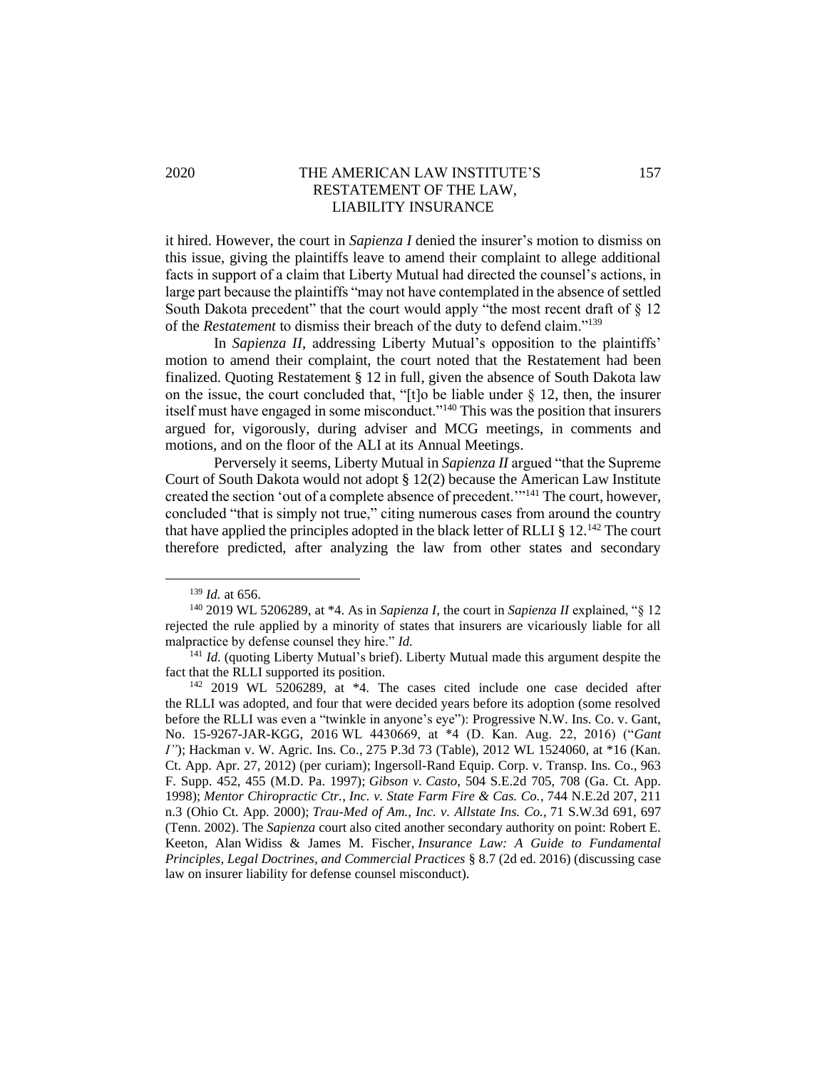## 2020 THE AMERICAN LAW INSTITUTE'S 157 RESTATEMENT OF THE LAW, LIABILITY INSURANCE

it hired. However, the court in *Sapienza I* denied the insurer's motion to dismiss on this issue, giving the plaintiffs leave to amend their complaint to allege additional facts in support of a claim that Liberty Mutual had directed the counsel's actions, in large part because the plaintiffs "may not have contemplated in the absence of settled South Dakota precedent" that the court would apply "the most recent draft of  $\S$  12 of the *Restatement* to dismiss their breach of the duty to defend claim."<sup>139</sup>

In *Sapienza II*, addressing Liberty Mutual's opposition to the plaintiffs' motion to amend their complaint, the court noted that the Restatement had been finalized. Quoting Restatement § 12 in full, given the absence of South Dakota law on the issue, the court concluded that, " $[t]$ o be liable under § 12, then, the insurer itself must have engaged in some misconduct."<sup>140</sup> This was the position that insurers argued for, vigorously, during adviser and MCG meetings, in comments and motions, and on the floor of the ALI at its Annual Meetings.

Perversely it seems, Liberty Mutual in *Sapienza II* argued "that the Supreme Court of South Dakota would not adopt § 12(2) because the American Law Institute created the section 'out of a complete absence of precedent.'"<sup>141</sup> The court, however, concluded "that is simply not true," citing numerous cases from around the country that have applied the principles adopted in the black letter of RLLI  $\S 12$ .<sup>142</sup> The court therefore predicted, after analyzing the law from other states and secondary

<sup>139</sup> *Id.* at 656.

<sup>140</sup> 2019 WL 5206289, at \*4. As in *Sapienza I,* the court in *Sapienza II* explained, "§ 12 rejected the rule applied by a minority of states that insurers are vicariously liable for all malpractice by defense counsel they hire." *Id.*

<sup>&</sup>lt;sup>141</sup> *Id.* (quoting Liberty Mutual's brief). Liberty Mutual made this argument despite the fact that the RLLI supported its position.

 $142$  2019 WL 5206289, at  $*4$ . The cases cited include one case decided after the RLLI was adopted, and four that were decided years before its adoption (some resolved before the RLLI was even a "twinkle in anyone's eye"): Progressive N.W. Ins. Co. v. Gant, No. 15-9267-JAR-KGG, 2016 WL 4430669, at \*4 (D. Kan. Aug. 22, 2016) ("*Gant I"*); Hackman v. W. Agric. Ins. Co.*,* 275 P.3d 73 (Table), 2012 WL 1524060, at \*16 (Kan. Ct. App. Apr. 27, 2012) (per curiam); Ingersoll-Rand Equip. Corp. v. Transp. Ins. Co., 963 F. Supp. 452, 455 (M.D. Pa. 1997); *Gibson v. Casto*, 504 S.E.2d 705, 708 (Ga. Ct. App. 1998); *Mentor Chiropractic Ctr.*, *Inc. v. State Farm Fire & Cas. Co.*, 744 N.E.2d 207, 211 n.3 (Ohio Ct. App. 2000); *Trau-Med of Am., Inc. v. Allstate Ins. Co.,* [71 S.W.3d 691, 697](http://www.westlaw.com/Link/Document/FullText?findType=Y&serNum=2002204362&pubNum=0004644&originatingDoc=I1e8896f0f08711e9be36860eb2f983f8&refType=RP&fi=co_pp_sp_4644_697&originationContext=document&vr=3.0&rs=cblt1.0&transitionType=DocumentItem&contextData=(sc.UserEnteredCitation)#co_pp_sp_4644_697)  [\(Tenn. 2002\).](http://www.westlaw.com/Link/Document/FullText?findType=Y&serNum=2002204362&pubNum=0004644&originatingDoc=I1e8896f0f08711e9be36860eb2f983f8&refType=RP&fi=co_pp_sp_4644_697&originationContext=document&vr=3.0&rs=cblt1.0&transitionType=DocumentItem&contextData=(sc.UserEnteredCitation)#co_pp_sp_4644_697) The *Sapienza* court also cited another secondary authority on point: Robert E. Keeton, Alan Widiss & James M. Fischer, *Insurance Law: A Guide to Fundamental Principles, Legal Doctrines, and Commercial Practices* § 8.7 (2d ed. 2016) (discussing case law on insurer liability for defense counsel misconduct).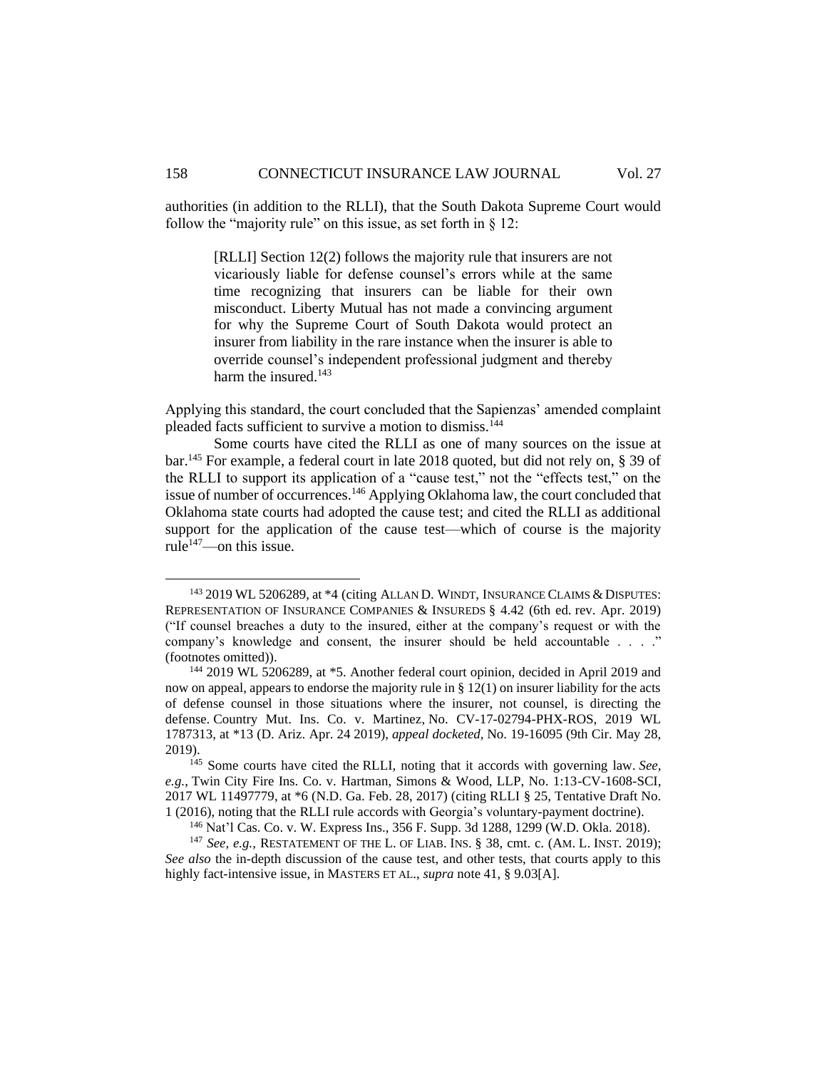authorities (in addition to the RLLI), that the South Dakota Supreme Court would follow the "majority rule" on this issue, as set forth in  $\S$  12:

[RLLI] Section 12(2) follows the majority rule that insurers are not vicariously liable for defense counsel's errors while at the same time recognizing that insurers can be liable for their own misconduct. Liberty Mutual has not made a convincing argument for why the Supreme Court of South Dakota would protect an insurer from liability in the rare instance when the insurer is able to override counsel's independent professional judgment and thereby harm the insured.<sup>143</sup>

Applying this standard, the court concluded that the Sapienzas' amended complaint pleaded facts sufficient to survive a motion to dismiss.<sup>144</sup>

Some courts have cited the RLLI as one of many sources on the issue at bar.<sup>145</sup> For example, a federal court in late 2018 quoted, but did not rely on, § 39 of the RLLI to support its application of a "cause test," not the "effects test," on the issue of number of occurrences.<sup>146</sup> Applying Oklahoma law, the court concluded that Oklahoma state courts had adopted the cause test; and cited the RLLI as additional support for the application of the cause test—which of course is the majority rule<sup> $147$ </sup>—on this issue.

<sup>143</sup> 2019 WL 5206289, at \*4 (citing ALLAN D. WINDT, INSURANCE CLAIMS & DISPUTES: REPRESENTATION OF INSURANCE COMPANIES & INSUREDS § 4.42 (6th ed. rev. Apr. 2019) ("If counsel breaches a duty to the insured, either at the company's request or with the company's knowledge and consent, the insurer should be held accountable . . . ." (footnotes omitted)).

<sup>144</sup> 2019 WL 5206289, at \*5. Another federal court opinion, decided in April 2019 and now on appeal, appears to endorse the majority rule in § 12(1) on insurer liability for the acts of defense counsel in those situations where the insurer, not counsel, is directing the defense. Country Mut. Ins. Co. v. Martinez*,* No. CV-17-02794-PHX-ROS, 2019 WL 1787313, at \*13 (D. Ariz. Apr. 24 2019), *appeal docketed,* No. 19-16095 (9th Cir. May 28, 2019).

<sup>145</sup> Some courts have cited the RLLI, noting that it accords with governing law. *See, e.g.*, Twin City Fire Ins. Co. v. Hartman, Simons & Wood, LLP, No. 1:13-CV-1608-SCI, 2017 WL 11497779, at \*6 (N.D. Ga. Feb. 28, 2017) (citing RLLI § 25, Tentative Draft No. 1 (2016), noting that the RLLI rule accords with Georgia's voluntary-payment doctrine).

<sup>146</sup> Nat'l Cas. Co. v. W. Express Ins., 356 F. Supp. 3d 1288, 1299 (W.D. Okla. 2018).

<sup>147</sup> *See, e.g.,* RESTATEMENT OF THE L. OF LIAB. INS. § 38, cmt. c. (AM. L. INST. 2019); *See also* the in-depth discussion of the cause test, and other tests, that courts apply to this highly fact-intensive issue, in MASTERS ET AL., *supra* note 41, § 9.03[A].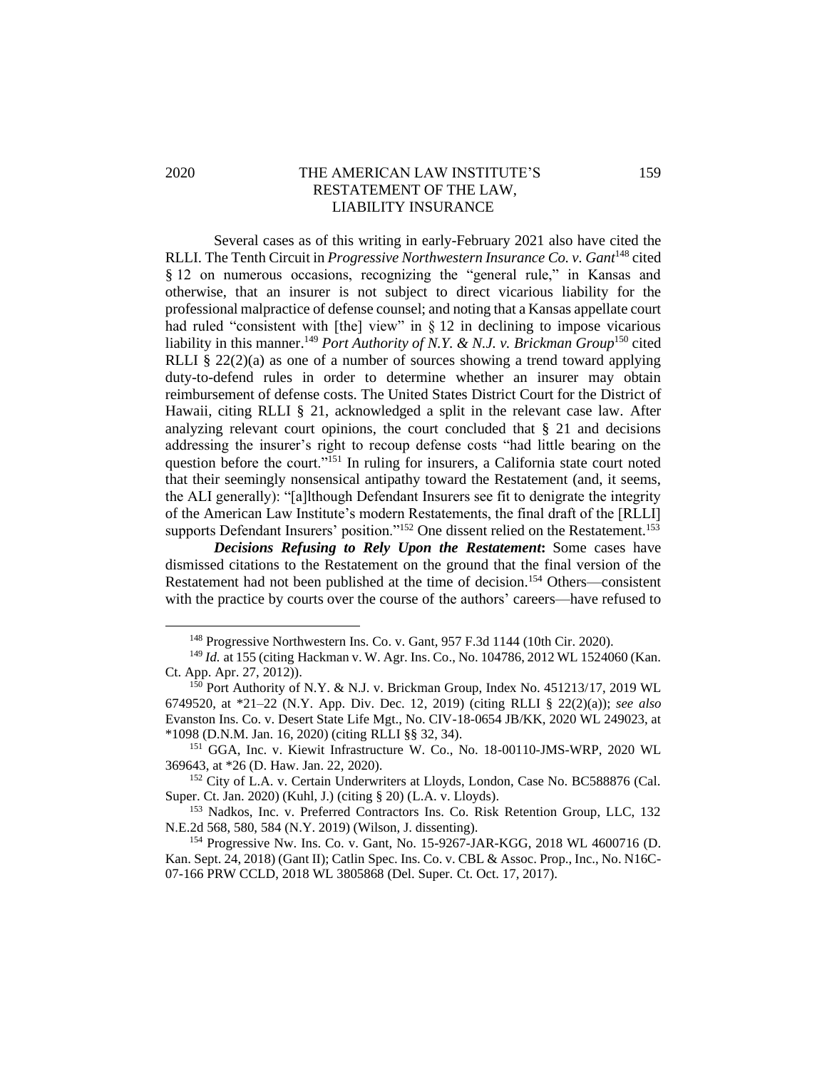## 2020 THE AMERICAN LAW INSTITUTE'S 159 RESTATEMENT OF THE LAW, LIABILITY INSURANCE

Several cases as of this writing in early-February 2021 also have cited the RLLI. The Tenth Circuit in *Progressive Northwestern Insurance Co. v. Gant*<sup>148</sup> cited § 12 on numerous occasions, recognizing the "general rule," in Kansas and otherwise, that an insurer is not subject to direct vicarious liability for the professional malpractice of defense counsel; and noting that a Kansas appellate court had ruled "consistent with [the] view" in § 12 in declining to impose vicarious liability in this manner.<sup>149</sup> *Port Authority of N.Y. & N.J. v. Brickman Group*<sup>150</sup> cited RLLI § 22(2)(a) as one of a number of sources showing a trend toward applying duty-to-defend rules in order to determine whether an insurer may obtain reimbursement of defense costs. The United States District Court for the District of Hawaii, citing RLLI § 21, acknowledged a split in the relevant case law. After analyzing relevant court opinions, the court concluded that § 21 and decisions addressing the insurer's right to recoup defense costs "had little bearing on the question before the court."<sup>151</sup> In ruling for insurers, a California state court noted that their seemingly nonsensical antipathy toward the Restatement (and, it seems, the ALI generally): "[a]lthough Defendant Insurers see fit to denigrate the integrity of the American Law Institute's modern Restatements, the final draft of the [RLLI] supports Defendant Insurers' position."<sup>152</sup> One dissent relied on the Restatement.<sup>153</sup>

*Decisions Refusing to Rely Upon the Restatement***:** Some cases have dismissed citations to the Restatement on the ground that the final version of the Restatement had not been published at the time of decision.<sup>154</sup> Others—consistent with the practice by courts over the course of the authors' careers—have refused to

<sup>&</sup>lt;sup>148</sup> Progressive Northwestern Ins. Co. v. Gant, 957 F.3d 1144 (10th Cir. 2020).

<sup>149</sup> *Id.* at 155 (citing Hackman v. W. Agr. Ins. Co., No. 104786, 2012 WL 1524060 (Kan. Ct. App. Apr. 27, 2012)).

<sup>150</sup> Port Authority of N.Y. & N.J. v. Brickman Group, Index No. 451213/17, 2019 WL 6749520, at \*21–22 (N.Y. App. Div. Dec. 12, 2019) (citing RLLI § 22(2)(a)); *see also* Evanston Ins. Co. v. Desert State Life Mgt., No. CIV-18-0654 JB/KK, 2020 WL 249023, at \*1098 (D.N.M. Jan. 16, 2020) (citing RLLI §§ 32, 34).

<sup>151</sup> GGA, Inc. v. Kiewit Infrastructure W. Co., No. 18-00110-JMS-WRP, 2020 WL 369643, at \*26 (D. Haw. Jan. 22, 2020).

<sup>152</sup> City of L.A. v. Certain Underwriters at Lloyds, London, Case No. BC588876 (Cal. Super. Ct. Jan. 2020) (Kuhl, J.) (citing § 20) (L.A. v. Lloyds).

<sup>153</sup> Nadkos, Inc. v. Preferred Contractors Ins. Co. Risk Retention Group, LLC, 132 N.E.2d 568, 580, 584 (N.Y. 2019) (Wilson, J. dissenting).

<sup>154</sup> Progressive Nw. Ins. Co. v. Gant, No. 15-9267-JAR-KGG, 2018 WL 4600716 (D. Kan. Sept. 24, 2018) (Gant II); Catlin Spec. Ins. Co. v. CBL & Assoc. Prop., Inc., No. N16C-07-166 PRW CCLD, 2018 WL 3805868 (Del. Super. Ct. Oct. 17, 2017).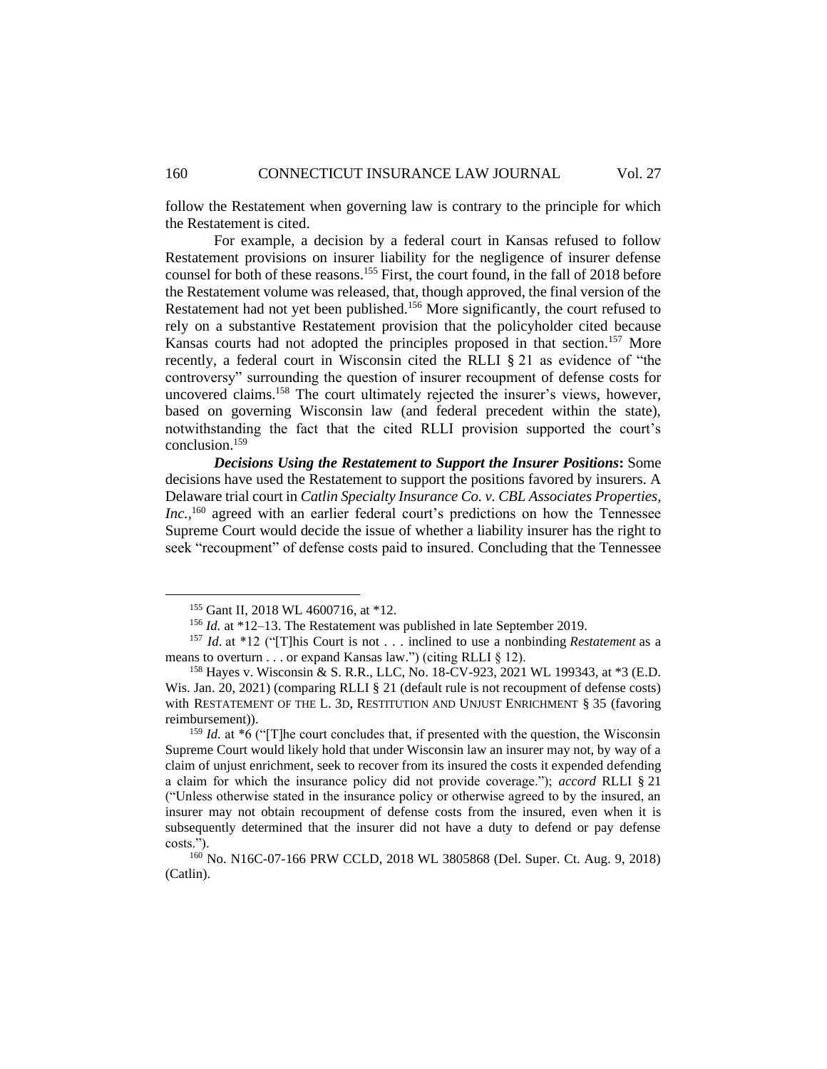follow the Restatement when governing law is contrary to the principle for which the Restatement is cited.

For example, a decision by a federal court in Kansas refused to follow Restatement provisions on insurer liability for the negligence of insurer defense counsel for both of these reasons.<sup>155</sup> First, the court found, in the fall of 2018 before the Restatement volume was released, that, though approved, the final version of the Restatement had not yet been published.<sup>156</sup> More significantly, the court refused to rely on a substantive Restatement provision that the policyholder cited because Kansas courts had not adopted the principles proposed in that section.<sup>157</sup> More recently, a federal court in Wisconsin cited the RLLI § 21 as evidence of "the controversy" surrounding the question of insurer recoupment of defense costs for uncovered claims. <sup>158</sup> The court ultimately rejected the insurer's views, however, based on governing Wisconsin law (and federal precedent within the state), notwithstanding the fact that the cited RLLI provision supported the court's conclusion.<sup>159</sup>

*Decisions Using the Restatement to Support the Insurer Positions***:** Some decisions have used the Restatement to support the positions favored by insurers. A Delaware trial court in *Catlin Specialty Insurance Co. v. CBL Associates Properties, Inc.*,<sup>160</sup> agreed with an earlier federal court's predictions on how the Tennessee Supreme Court would decide the issue of whether a liability insurer has the right to seek "recoupment" of defense costs paid to insured. Concluding that the Tennessee

<sup>&</sup>lt;sup>155</sup> Gant II, 2018 WL 4600716, at \*12.

<sup>&</sup>lt;sup>156</sup> *Id.* at \*12–13. The Restatement was published in late September 2019.

<sup>157</sup> *Id*. at \*12 ("[T]his Court is not . . . inclined to use a nonbinding *Restatement* as a means to overturn . . . or expand Kansas law.") (citing RLLI  $\S$  12).

<sup>158</sup> Hayes v. Wisconsin & S. R.R., LLC, No. 18-CV-923, 2021 WL 199343, at \*3 (E.D. Wis. Jan. 20, 2021) (comparing RLLI § 21 (default rule is not recoupment of defense costs) with RESTATEMENT OF THE L. 3D, RESTITUTION AND UNJUST ENRICHMENT § 35 (favoring reimbursement)).

<sup>&</sup>lt;sup>159</sup> *Id.* at \*6 ("[T]he court concludes that, if presented with the question, the Wisconsin Supreme Court would likely hold that under Wisconsin law an insurer may not, by way of a claim of unjust enrichment, seek to recover from its insured the costs it expended defending a claim for which the insurance policy did not provide coverage."); *accord* RLLI § 21 ("Unless otherwise stated in the insurance policy or otherwise agreed to by the insured, an insurer may not obtain recoupment of defense costs from the insured, even when it is subsequently determined that the insurer did not have a duty to defend or pay defense costs.").

<sup>160</sup> No. N16C-07-166 PRW CCLD, 2018 WL 3805868 (Del. Super. Ct. Aug. 9, 2018) (Catlin).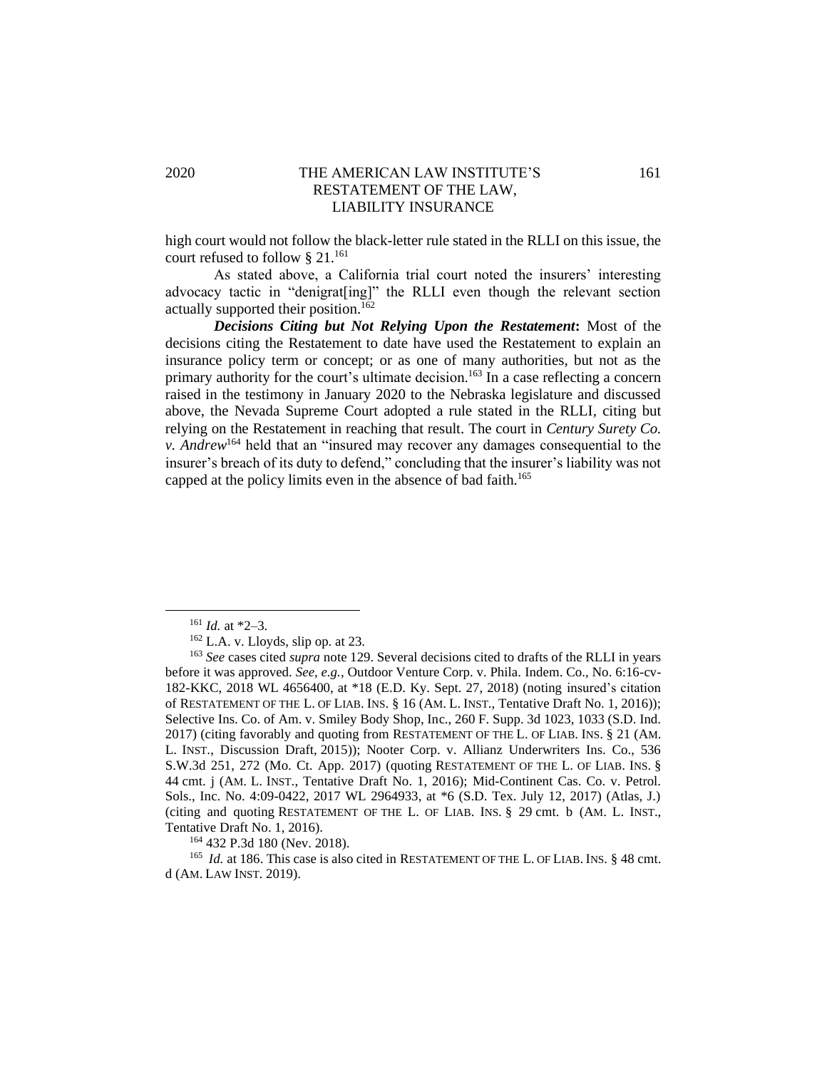## 2020 THE AMERICAN LAW INSTITUTE'S 161 RESTATEMENT OF THE LAW, LIABILITY INSURANCE

high court would not follow the black-letter rule stated in the RLLI on this issue, the court refused to follow  $\S 21$ .<sup>161</sup>

As stated above, a California trial court noted the insurers' interesting advocacy tactic in "denigrat[ing]" the RLLI even though the relevant section actually supported their position.<sup>162</sup>

*Decisions Citing but Not Relying Upon the Restatement***:** Most of the decisions citing the Restatement to date have used the Restatement to explain an insurance policy term or concept; or as one of many authorities, but not as the primary authority for the court's ultimate decision.<sup>163</sup> In a case reflecting a concern raised in the testimony in January 2020 to the Nebraska legislature and discussed above, the Nevada Supreme Court adopted a rule stated in the RLLI*,* citing but relying on the Restatement in reaching that result. The court in *Century Surety Co. v. Andrew*<sup>164</sup> held that an "insured may recover any damages consequential to the insurer's breach of its duty to defend," concluding that the insurer's liability was not capped at the policy limits even in the absence of bad faith.<sup>165</sup>

<sup>164</sup> 432 P.3d 180 (Nev. 2018).

<sup>165</sup> *Id.* at 186. This case is also cited in RESTATEMENT OF THE L. OF LIAB. INS. § 48 cmt. d (AM. LAW INST. 2019).

<sup>161</sup> *Id.* at \*2–3.

 $162$  L.A. v. Lloyds, slip op. at 23.

<sup>163</sup> *See* cases cited *supra* note 129. Several decisions cited to drafts of the RLLI in years before it was approved. *See, e.g.*, Outdoor Venture Corp. v. Phila. Indem. Co., No. 6:16-cv-182-KKC, 2018 WL 4656400, at \*18 (E.D. Ky. Sept. 27, 2018) (noting insured's citation of RESTATEMENT OF THE L. OF LIAB. INS. § 16 (AM. L. INST., Tentative Draft No. 1, 2016)); Selective Ins. Co. of Am. v. Smiley Body Shop, Inc., 260 F. Supp. 3d 1023, 1033 (S.D. Ind. 2017) (citing favorably and quoting from RESTATEMENT OF THE L. OF LIAB. INS. § 21 (AM. L. INST., Discussion Draft, 2015)); Nooter Corp. v. Allianz Underwriters Ins. Co., 536 S.W.3d 251, 272 (Mo. Ct. App. 2017) (quoting RESTATEMENT OF THE L. OF LIAB. INS. § 44 cmt. j (AM. L. INST., Tentative Draft No. 1, 2016); Mid-Continent Cas. Co. v. Petrol. Sols., Inc. No. 4:09-0422, 2017 WL 2964933, at \*6 (S.D. Tex. July 12, 2017) (Atlas, J.) (citing and quoting RESTATEMENT OF THE L. OF LIAB. INS. § 29 cmt. b (AM. L. INST., Tentative Draft No. 1, 2016).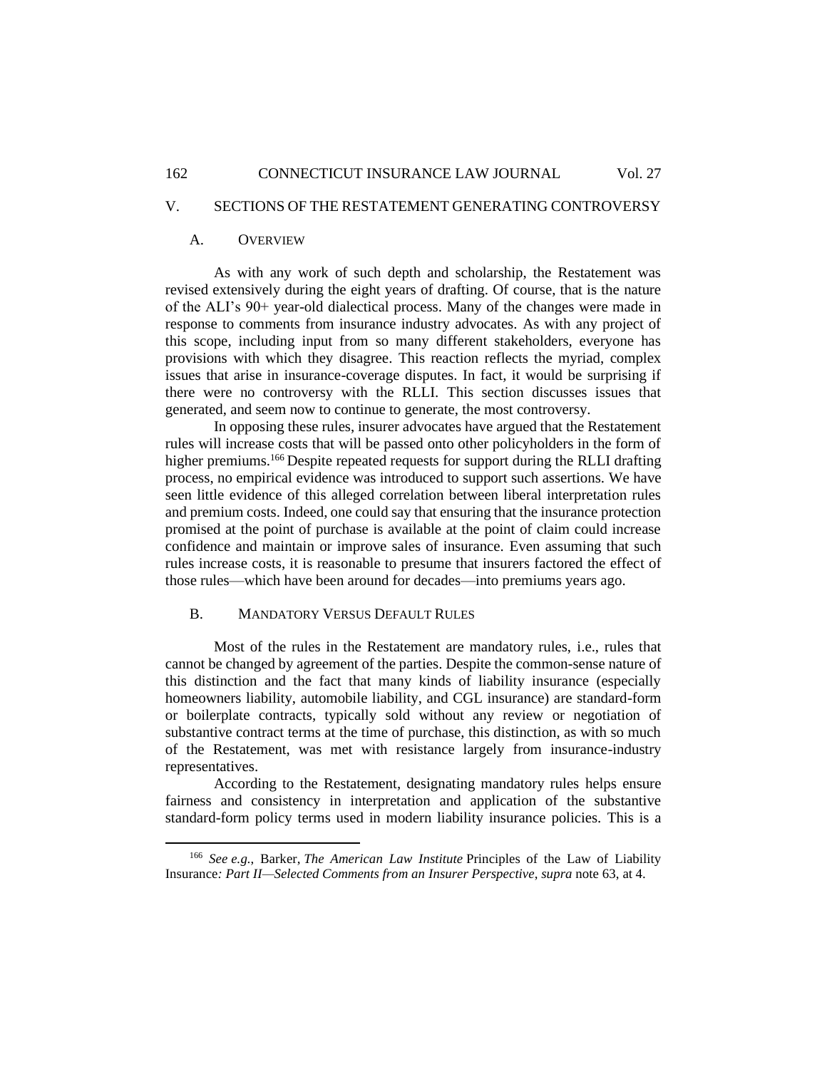## 162 CONNECTICUT INSURANCE LAW JOURNAL Vol. 27

## V. SECTIONS OF THE RESTATEMENT GENERATING CONTROVERSY

#### A. OVERVIEW

As with any work of such depth and scholarship, the Restatement was revised extensively during the eight years of drafting. Of course, that is the nature of the ALI's 90+ year-old dialectical process. Many of the changes were made in response to comments from insurance industry advocates. As with any project of this scope, including input from so many different stakeholders, everyone has provisions with which they disagree. This reaction reflects the myriad, complex issues that arise in insurance-coverage disputes. In fact, it would be surprising if there were no controversy with the RLLI. This section discusses issues that generated, and seem now to continue to generate, the most controversy.

In opposing these rules, insurer advocates have argued that the Restatement rules will increase costs that will be passed onto other policyholders in the form of higher premiums.<sup>166</sup> Despite repeated requests for support during the RLLI drafting process, no empirical evidence was introduced to support such assertions. We have seen little evidence of this alleged correlation between liberal interpretation rules and premium costs. Indeed, one could say that ensuring that the insurance protection promised at the point of purchase is available at the point of claim could increase confidence and maintain or improve sales of insurance. Even assuming that such rules increase costs, it is reasonable to presume that insurers factored the effect of those rules—which have been around for decades—into premiums years ago.

#### B. MANDATORY VERSUS DEFAULT RULES

Most of the rules in the Restatement are mandatory rules, i.e., rules that cannot be changed by agreement of the parties. Despite the common-sense nature of this distinction and the fact that many kinds of liability insurance (especially homeowners liability, automobile liability, and CGL insurance) are standard-form or boilerplate contracts, typically sold without any review or negotiation of substantive contract terms at the time of purchase, this distinction, as with so much of the Restatement, was met with resistance largely from insurance-industry representatives.

According to the Restatement, designating mandatory rules helps ensure fairness and consistency in interpretation and application of the substantive standard-form policy terms used in modern liability insurance policies. This is a

<sup>166</sup> *See e.g.*, Barker, *The American Law Institute* Principles of the Law of Liability Insurance*: Part II—Selected Comments from an Insurer Perspective*, *supra* note 63, at 4.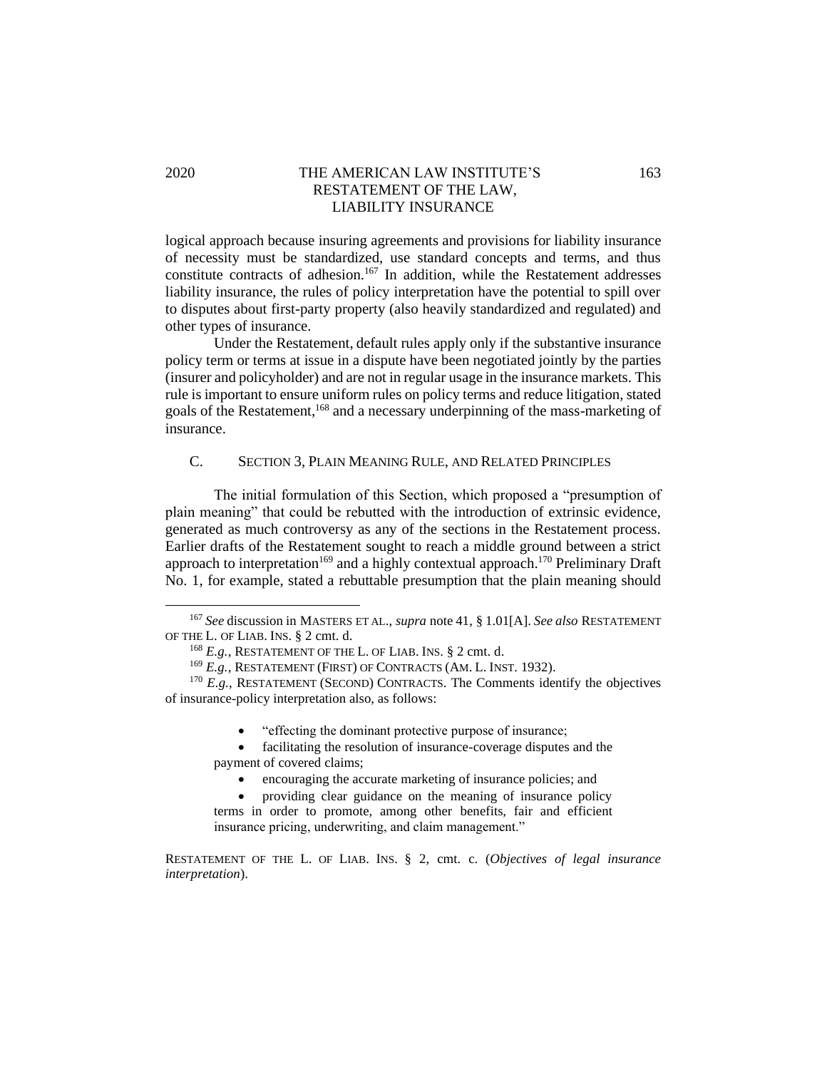## 2020 THE AMERICAN LAW INSTITUTE'S 163 RESTATEMENT OF THE LAW, LIABILITY INSURANCE

logical approach because insuring agreements and provisions for liability insurance of necessity must be standardized, use standard concepts and terms, and thus constitute contracts of adhesion.<sup>167</sup> In addition, while the Restatement addresses liability insurance, the rules of policy interpretation have the potential to spill over to disputes about first-party property (also heavily standardized and regulated) and other types of insurance.

Under the Restatement, default rules apply only if the substantive insurance policy term or terms at issue in a dispute have been negotiated jointly by the parties (insurer and policyholder) and are not in regular usage in the insurance markets. This rule is important to ensure uniform rules on policy terms and reduce litigation, stated goals of the Restatement*,* <sup>168</sup> and a necessary underpinning of the mass-marketing of insurance.

## C. SECTION 3, PLAIN MEANING RULE, AND RELATED PRINCIPLES

The initial formulation of this Section, which proposed a "presumption of plain meaning" that could be rebutted with the introduction of extrinsic evidence, generated as much controversy as any of the sections in the Restatement process. Earlier drafts of the Restatement sought to reach a middle ground between a strict approach to interpretation<sup>169</sup> and a highly contextual approach.<sup>170</sup> Preliminary Draft No. 1, for example, stated a rebuttable presumption that the plain meaning should

<sup>167</sup> *See* discussion in MASTERS ET AL., *supra* note 41, § 1.01[A]. *See also* RESTATEMENT OF THE L. OF LIAB. INS. § 2 cmt. d.

<sup>168</sup> *E.g.*, RESTATEMENT OF THE L. OF LIAB. INS. § 2 cmt. d.

<sup>169</sup> *E.g.*, RESTATEMENT (FIRST) OF CONTRACTS (AM. L. INST. 1932).

<sup>&</sup>lt;sup>170</sup> *E.g.*, RESTATEMENT (SECOND) CONTRACTS. The Comments identify the objectives of insurance-policy interpretation also, as follows:

<sup>•</sup> "effecting the dominant protective purpose of insurance;

facilitating the resolution of insurance-coverage disputes and the payment of covered claims;

encouraging the accurate marketing of insurance policies; and

<sup>•</sup> providing clear guidance on the meaning of insurance policy terms in order to promote, among other benefits, fair and efficient insurance pricing, underwriting, and claim management."

RESTATEMENT OF THE L. OF LIAB. INS. § 2, cmt. c. (*Objectives of legal insurance interpretation*).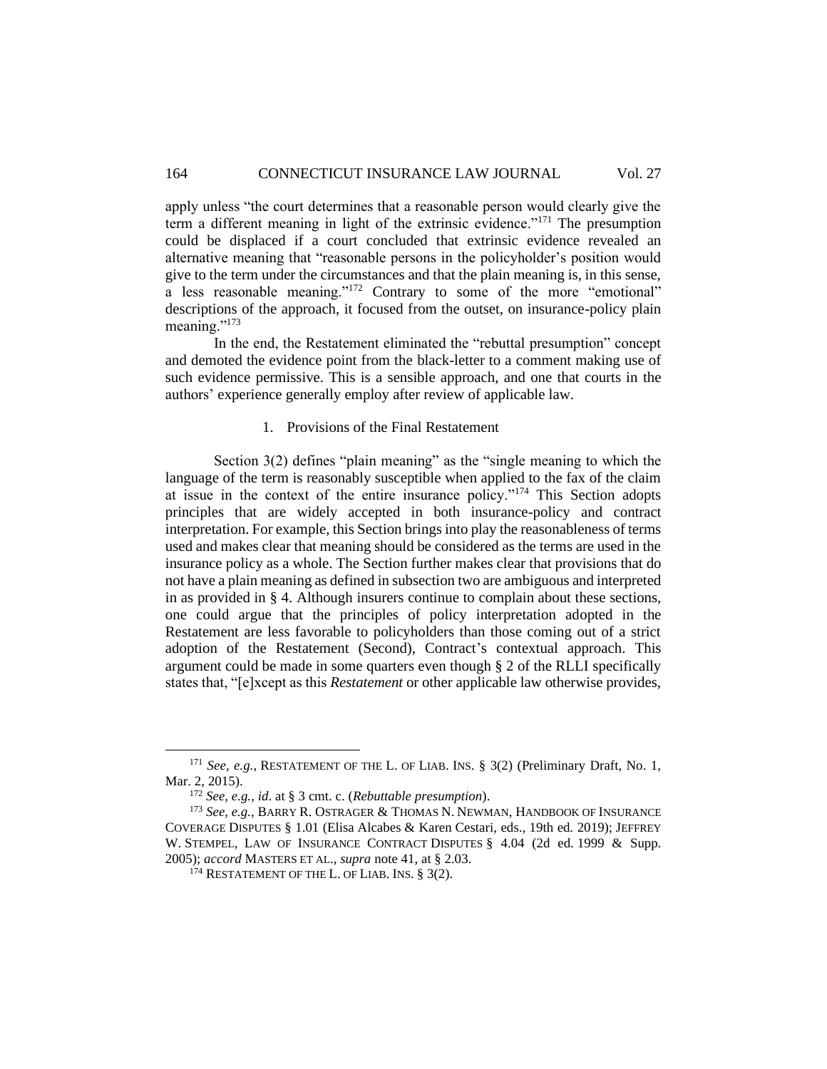apply unless "the court determines that a reasonable person would clearly give the term a different meaning in light of the extrinsic evidence."<sup>171</sup> The presumption could be displaced if a court concluded that extrinsic evidence revealed an alternative meaning that "reasonable persons in the policyholder's position would give to the term under the circumstances and that the plain meaning is, in this sense, a less reasonable meaning."<sup>172</sup> Contrary to some of the more "emotional" descriptions of the approach, it focused from the outset, on insurance-policy plain meaning."<sup>173</sup>

In the end, the Restatement eliminated the "rebuttal presumption" concept and demoted the evidence point from the black-letter to a comment making use of such evidence permissive. This is a sensible approach, and one that courts in the authors' experience generally employ after review of applicable law.

#### 1. Provisions of the Final Restatement

Section 3(2) defines "plain meaning" as the "single meaning to which the language of the term is reasonably susceptible when applied to the fax of the claim at issue in the context of the entire insurance policy."<sup>174</sup> This Section adopts principles that are widely accepted in both insurance-policy and contract interpretation. For example, this Section brings into play the reasonableness of terms used and makes clear that meaning should be considered as the terms are used in the insurance policy as a whole. The Section further makes clear that provisions that do not have a plain meaning as defined in subsection two are ambiguous and interpreted in as provided in § 4. Although insurers continue to complain about these sections, one could argue that the principles of policy interpretation adopted in the Restatement are less favorable to policyholders than those coming out of a strict adoption of the Restatement (Second), Contract's contextual approach. This argument could be made in some quarters even though  $\S 2$  of the RLLI specifically states that, "[e]xcept as this *Restatement* or other applicable law otherwise provides,

<sup>&</sup>lt;sup>171</sup> *See, e.g.*, RESTATEMENT OF THE L. OF LIAB. INS. § 3(2) (Preliminary Draft, No. 1, Mar. 2, 2015).

<sup>172</sup> *See, e.g.*, *id*. at § 3 cmt. c. (*Rebuttable presumption*).

<sup>173</sup> *See, e.g.*, BARRY R. OSTRAGER & THOMAS N. NEWMAN, HANDBOOK OF INSURANCE COVERAGE DISPUTES § 1.01 (Elisa Alcabes & Karen Cestari, eds., 19th ed. 2019); JEFFREY W. STEMPEL, LAW OF INSURANCE CONTRACT DISPUTES § 4.04 (2d ed. 1999 & Supp. 2005); *accord* MASTERS ET AL., *supra* note 41, at § 2.03.

<sup>&</sup>lt;sup>174</sup> RESTATEMENT OF THE L. OF LIAB. INS. § 3(2).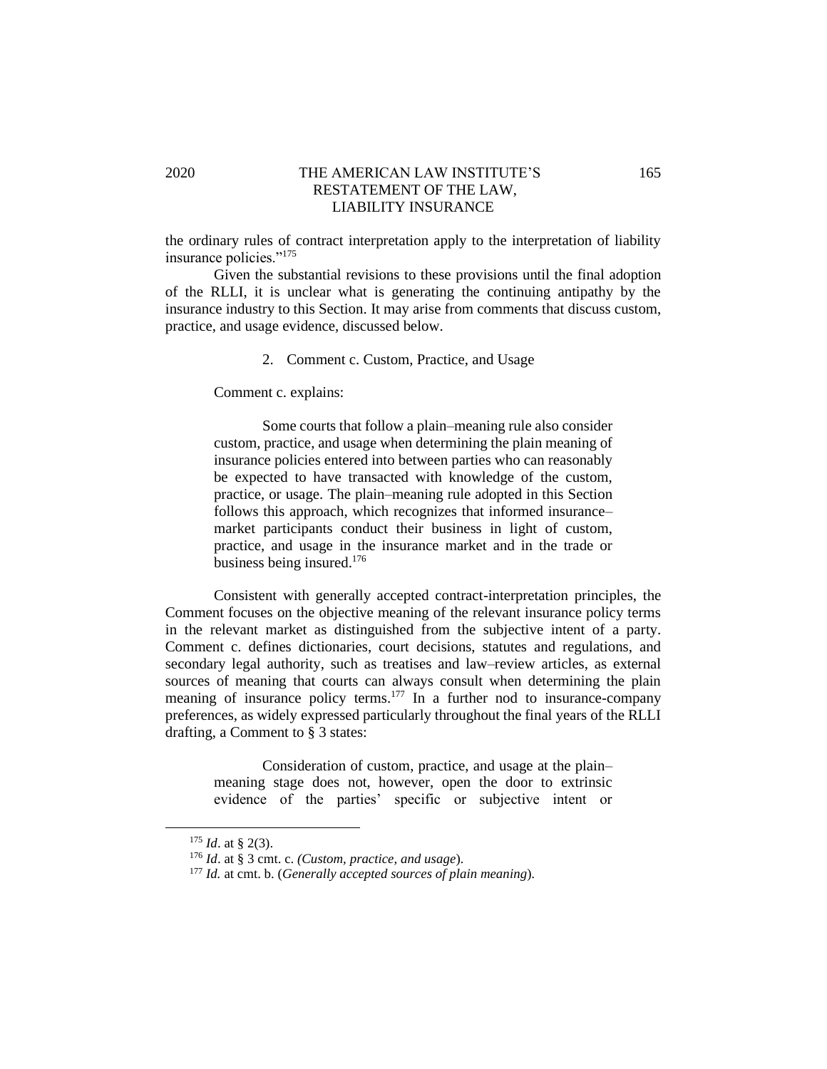## 2020 THE AMERICAN LAW INSTITUTE'S 165 RESTATEMENT OF THE LAW, LIABILITY INSURANCE

the ordinary rules of contract interpretation apply to the interpretation of liability insurance policies."<sup>175</sup>

Given the substantial revisions to these provisions until the final adoption of the RLLI, it is unclear what is generating the continuing antipathy by the insurance industry to this Section. It may arise from comments that discuss custom, practice, and usage evidence, discussed below.

2. Comment c. Custom, Practice, and Usage

Comment c. explains:

Some courts that follow a plain–meaning rule also consider custom, practice, and usage when determining the plain meaning of insurance policies entered into between parties who can reasonably be expected to have transacted with knowledge of the custom, practice, or usage. The plain–meaning rule adopted in this Section follows this approach, which recognizes that informed insurance– market participants conduct their business in light of custom, practice, and usage in the insurance market and in the trade or business being insured.<sup>176</sup>

Consistent with generally accepted contract-interpretation principles, the Comment focuses on the objective meaning of the relevant insurance policy terms in the relevant market as distinguished from the subjective intent of a party. Comment c. defines dictionaries, court decisions, statutes and regulations, and secondary legal authority, such as treatises and law–review articles, as external sources of meaning that courts can always consult when determining the plain meaning of insurance policy terms.<sup>177</sup> In a further nod to insurance-company preferences, as widely expressed particularly throughout the final years of the RLLI drafting, a Comment to § 3 states:

Consideration of custom, practice, and usage at the plain– meaning stage does not, however, open the door to extrinsic evidence of the parties' specific or subjective intent or

 $175$  *Id.* at § 2(3).

<sup>176</sup> *Id*. at § 3 cmt. c. *(Custom, practice, and usage*)*.*

<sup>177</sup> *Id.* at cmt. b. (*Generally accepted sources of plain meaning*)*.*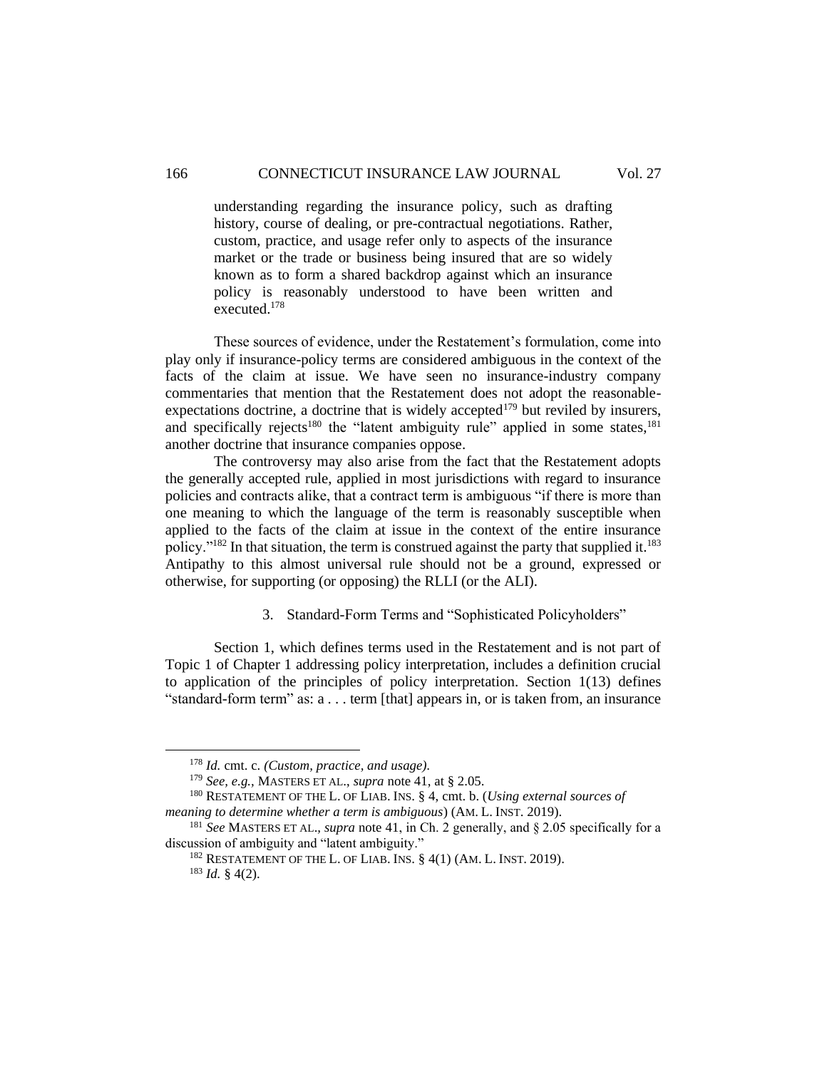understanding regarding the insurance policy, such as drafting history, course of dealing, or pre-contractual negotiations. Rather, custom, practice, and usage refer only to aspects of the insurance market or the trade or business being insured that are so widely known as to form a shared backdrop against which an insurance policy is reasonably understood to have been written and executed.<sup>178</sup>

These sources of evidence, under the Restatement's formulation, come into play only if insurance-policy terms are considered ambiguous in the context of the facts of the claim at issue. We have seen no insurance-industry company commentaries that mention that the Restatement does not adopt the reasonableexpectations doctrine, a doctrine that is widely accepted<sup>179</sup> but reviled by insurers, and specifically rejects<sup>180</sup> the "latent ambiguity rule" applied in some states,<sup>181</sup> another doctrine that insurance companies oppose.

The controversy may also arise from the fact that the Restatement adopts the generally accepted rule, applied in most jurisdictions with regard to insurance policies and contracts alike, that a contract term is ambiguous "if there is more than one meaning to which the language of the term is reasonably susceptible when applied to the facts of the claim at issue in the context of the entire insurance policy." $182$  In that situation, the term is construed against the party that supplied it. $183$ Antipathy to this almost universal rule should not be a ground, expressed or otherwise, for supporting (or opposing) the RLLI (or the ALI).

#### 3. Standard-Form Terms and "Sophisticated Policyholders"

Section 1, which defines terms used in the Restatement and is not part of Topic 1 of Chapter 1 addressing policy interpretation, includes a definition crucial to application of the principles of policy interpretation. Section 1(13) defines "standard-form term" as: a . . . term [that] appears in, or is taken from, an insurance

<sup>178</sup> *Id.* cmt. c. *(Custom, practice, and usage).*

<sup>179</sup> *See, e.g.,* MASTERS ET AL., *supra* note 41, at § 2.05.

<sup>180</sup> RESTATEMENT OF THE L. OF LIAB. INS. § 4, cmt. b. (*Using external sources of meaning to determine whether a term is ambiguous*) (AM. L. INST. 2019).

<sup>181</sup> *See* MASTERS ET AL.*, supra* note 41, in Ch. 2 generally, and § 2.05 specifically for a discussion of ambiguity and "latent ambiguity."

 $182$  RESTATEMENT OF THE L. OF LIAB. INS.  $\S$  4(1) (AM. L. INST. 2019).

 $183$  *Id.* § 4(2).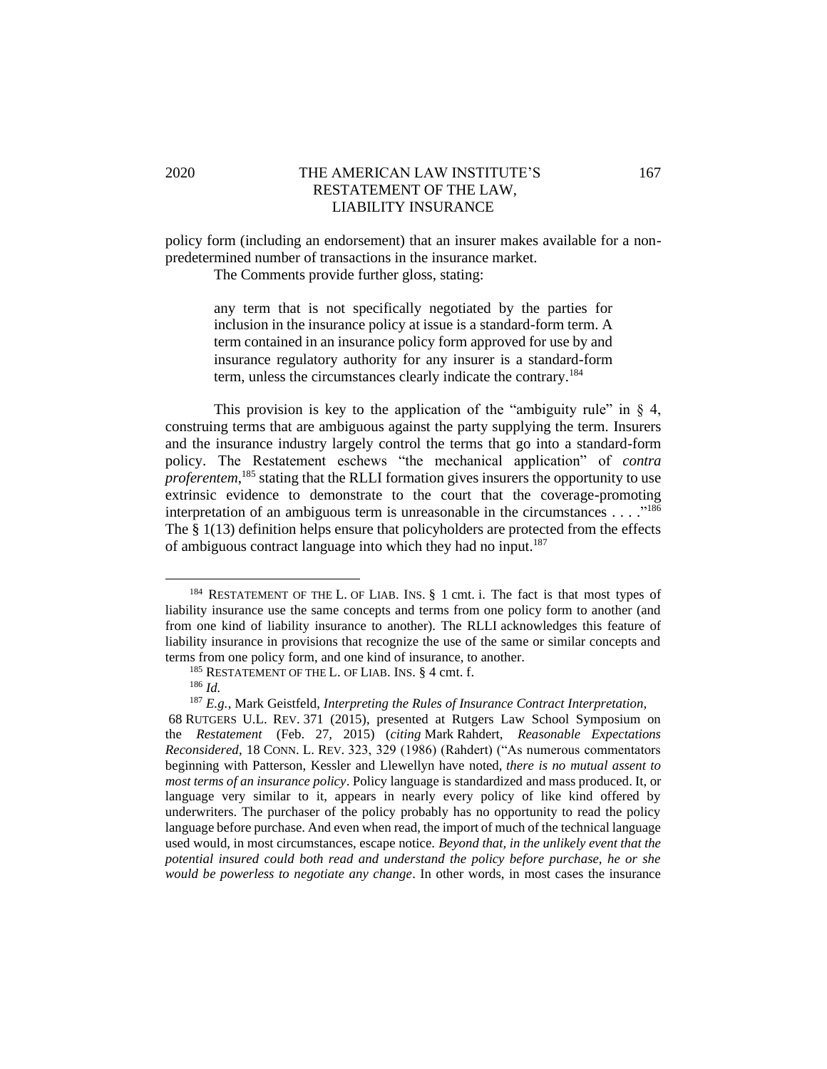## 2020 THE AMERICAN LAW INSTITUTE'S 167 RESTATEMENT OF THE LAW, LIABILITY INSURANCE

policy form (including an endorsement) that an insurer makes available for a nonpredetermined number of transactions in the insurance market.

The Comments provide further gloss, stating:

any term that is not specifically negotiated by the parties for inclusion in the insurance policy at issue is a standard-form term. A term contained in an insurance policy form approved for use by and insurance regulatory authority for any insurer is a standard-form term, unless the circumstances clearly indicate the contrary.<sup>184</sup>

This provision is key to the application of the "ambiguity rule" in  $\S$  4, construing terms that are ambiguous against the party supplying the term. Insurers and the insurance industry largely control the terms that go into a standard-form policy. The Restatement eschews "the mechanical application" of *contra proferentem*, <sup>185</sup> stating that the RLLI formation gives insurers the opportunity to use extrinsic evidence to demonstrate to the court that the coverage-promoting interpretation of an ambiguous term is unreasonable in the circumstances . . . ." 186 The § 1(13) definition helps ensure that policyholders are protected from the effects of ambiguous contract language into which they had no input.<sup>187</sup>

68 RUTGERS U.L. REV. 371 (2015), presented at Rutgers Law School Symposium on the *Restatement* (Feb. 27, 2015) (*citing* Mark Rahdert, *Reasonable Expectations Reconsidered*, 18 CONN. L. REV. 323, 329 (1986) (Rahdert) ("As numerous commentators beginning with Patterson, Kessler and Llewellyn have noted, *there is no mutual assent to most terms of an insurance policy*. Policy language is standardized and mass produced. It, or language very similar to it, appears in nearly every policy of like kind offered by underwriters. The purchaser of the policy probably has no opportunity to read the policy language before purchase. And even when read, the import of much of the technical language used would, in most circumstances, escape notice. *Beyond that, in the unlikely event that the potential insured could both read and understand the policy before purchase, he or she would be powerless to negotiate any change*. In other words, in most cases the insurance

<sup>184</sup> RESTATEMENT OF THE L. OF LIAB. INS. § 1 cmt. i. The fact is that most types of liability insurance use the same concepts and terms from one policy form to another (and from one kind of liability insurance to another). The RLLI acknowledges this feature of liability insurance in provisions that recognize the use of the same or similar concepts and terms from one policy form, and one kind of insurance, to another.

<sup>185</sup> RESTATEMENT OF THE L. OF LIAB. INS. § 4 cmt. f.

<sup>186</sup> *Id.*

<sup>187</sup> *E.g.*, Mark Geistfeld, *Interpreting the Rules of Insurance Contract Interpretation,*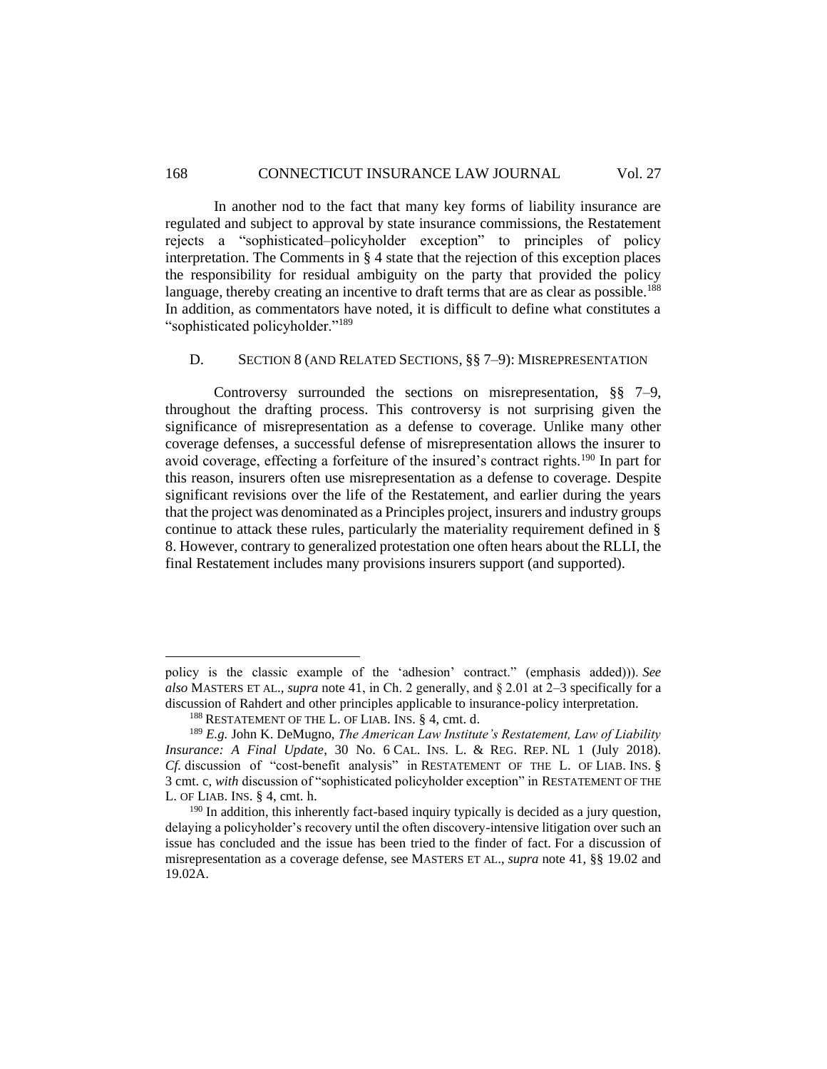## 168 CONNECTICUT INSURANCE LAW JOURNAL Vol. 27

In another nod to the fact that many key forms of liability insurance are regulated and subject to approval by state insurance commissions, the Restatement rejects a "sophisticated–policyholder exception" to principles of policy interpretation. The Comments in § 4 state that the rejection of this exception places the responsibility for residual ambiguity on the party that provided the policy language, thereby creating an incentive to draft terms that are as clear as possible.<sup>188</sup> In addition, as commentators have noted, it is difficult to define what constitutes a "sophisticated policyholder."<sup>189</sup>

#### D. SECTION 8 (AND RELATED SECTIONS, §§ 7–9): MISREPRESENTATION

Controversy surrounded the sections on misrepresentation, §§ 7–9, throughout the drafting process. This controversy is not surprising given the significance of misrepresentation as a defense to coverage. Unlike many other coverage defenses, a successful defense of misrepresentation allows the insurer to avoid coverage, effecting a forfeiture of the insured's contract rights.<sup>190</sup> In part for this reason, insurers often use misrepresentation as a defense to coverage. Despite significant revisions over the life of the Restatement, and earlier during the years that the project was denominated as a Principles project, insurers and industry groups continue to attack these rules, particularly the materiality requirement defined in § 8. However, contrary to generalized protestation one often hears about the RLLI*,* the final Restatement includes many provisions insurers support (and supported).

policy is the classic example of the 'adhesion' contract." (emphasis added))). *See also* MASTERS ET AL.*, supra* note 41, in Ch. 2 generally, and § 2.01 at 2–3 specifically for a discussion of Rahdert and other principles applicable to insurance-policy interpretation.

<sup>&</sup>lt;sup>188</sup> RESTATEMENT OF THE L. OF LIAB. INS. § 4, cmt. d.

<sup>189</sup> *E.g.* John K. DeMugno, *The American Law Institute's Restatement, Law of Liability Insurance: A Final Update*, 30 No. 6 CAL. INS. L. & REG. REP. NL 1 (July 2018). *Cf.* discussion of "cost-benefit analysis" in RESTATEMENT OF THE L. OF LIAB. INS. § 3 cmt. c, *with* discussion of "sophisticated policyholder exception" in RESTATEMENT OF THE L. OF LIAB. INS. § 4, cmt. h.

<sup>&</sup>lt;sup>190</sup> In addition, this inherently fact-based inquiry typically is decided as a jury question, delaying a policyholder's recovery until the often discovery-intensive litigation over such an issue has concluded and the issue has been tried to the finder of fact. For a discussion of misrepresentation as a coverage defense, see MASTERS ET AL., *supra* note 41, §§ 19.02 and 19.02A.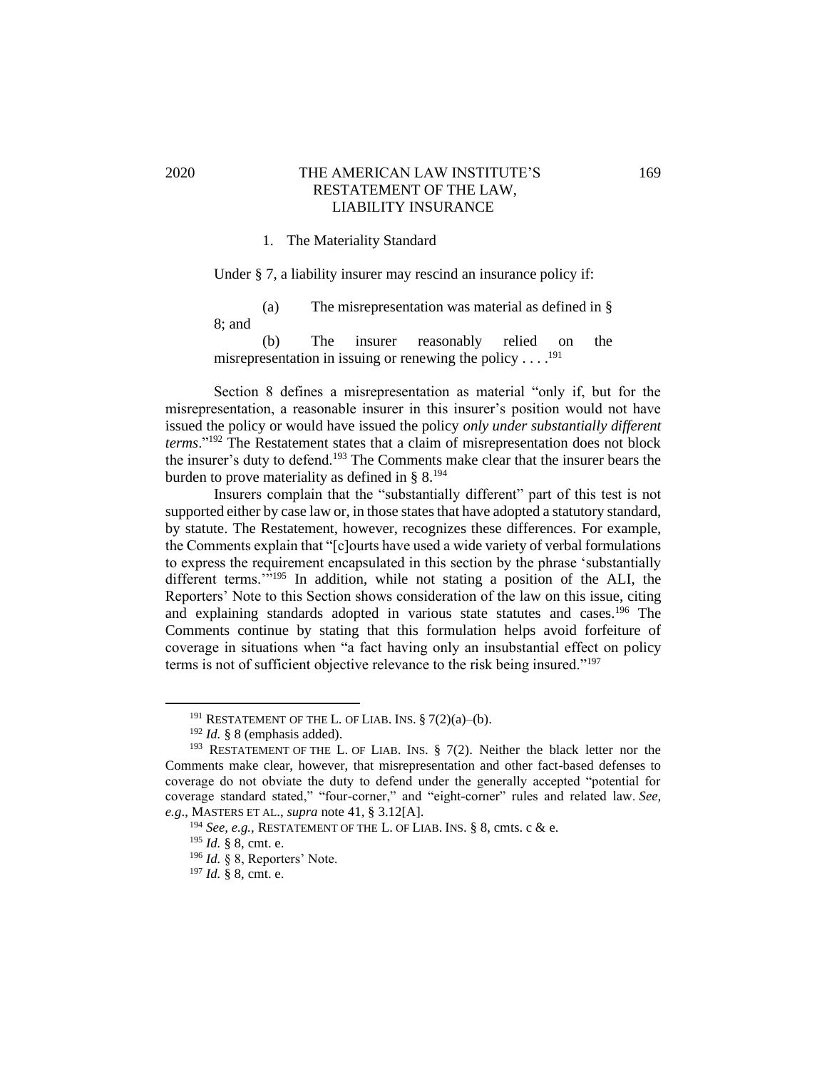## 2020 THE AMERICAN LAW INSTITUTE'S 169 RESTATEMENT OF THE LAW, LIABILITY INSURANCE

#### 1. The Materiality Standard

Under § 7, a liability insurer may rescind an insurance policy if:

(a) The misrepresentation was material as defined in § 8; and

(b) The insurer reasonably relied on the misrepresentation in issuing or renewing the policy  $\dots$ <sup>191</sup>

Section 8 defines a misrepresentation as material "only if, but for the misrepresentation, a reasonable insurer in this insurer's position would not have issued the policy or would have issued the policy *only under substantially different terms*."<sup>192</sup> The Restatement states that a claim of misrepresentation does not block the insurer's duty to defend.<sup>193</sup> The Comments make clear that the insurer bears the burden to prove materiality as defined in  $\S 8^{194}$ 

Insurers complain that the "substantially different" part of this test is not supported either by case law or, in those states that have adopted a statutory standard, by statute. The Restatement, however, recognizes these differences. For example, the Comments explain that "[c]ourts have used a wide variety of verbal formulations to express the requirement encapsulated in this section by the phrase 'substantially different terms."<sup>195</sup> In addition, while not stating a position of the ALI, the Reporters' Note to this Section shows consideration of the law on this issue, citing and explaining standards adopted in various state statutes and cases.<sup>196</sup> The Comments continue by stating that this formulation helps avoid forfeiture of coverage in situations when "a fact having only an insubstantial effect on policy terms is not of sufficient objective relevance to the risk being insured."<sup>197</sup>

<sup>&</sup>lt;sup>191</sup> RESTATEMENT OF THE L. OF LIAB. INS.  $\frac{8}{9}$  7(2)(a)–(b).

<sup>192</sup> *Id.* § 8 (emphasis added).

<sup>&</sup>lt;sup>193</sup> RESTATEMENT OF THE L. OF LIAB. INS.  $\frac{8}{3}$  7(2). Neither the black letter nor the Comments make clear, however, that misrepresentation and other fact-based defenses to coverage do not obviate the duty to defend under the generally accepted "potential for coverage standard stated," "four-corner," and "eight-corner" rules and related law. *See, e.g*., MASTERS ET AL., *supra* note 41, § 3.12[A].

<sup>194</sup> *See, e.g.,* RESTATEMENT OF THE L. OF LIAB. INS. § 8, cmts. c & e.

<sup>195</sup> *Id.* § 8, cmt. e.

<sup>196</sup> *Id.* § 8, Reporters' Note.

<sup>197</sup> *Id.* § 8, cmt. e.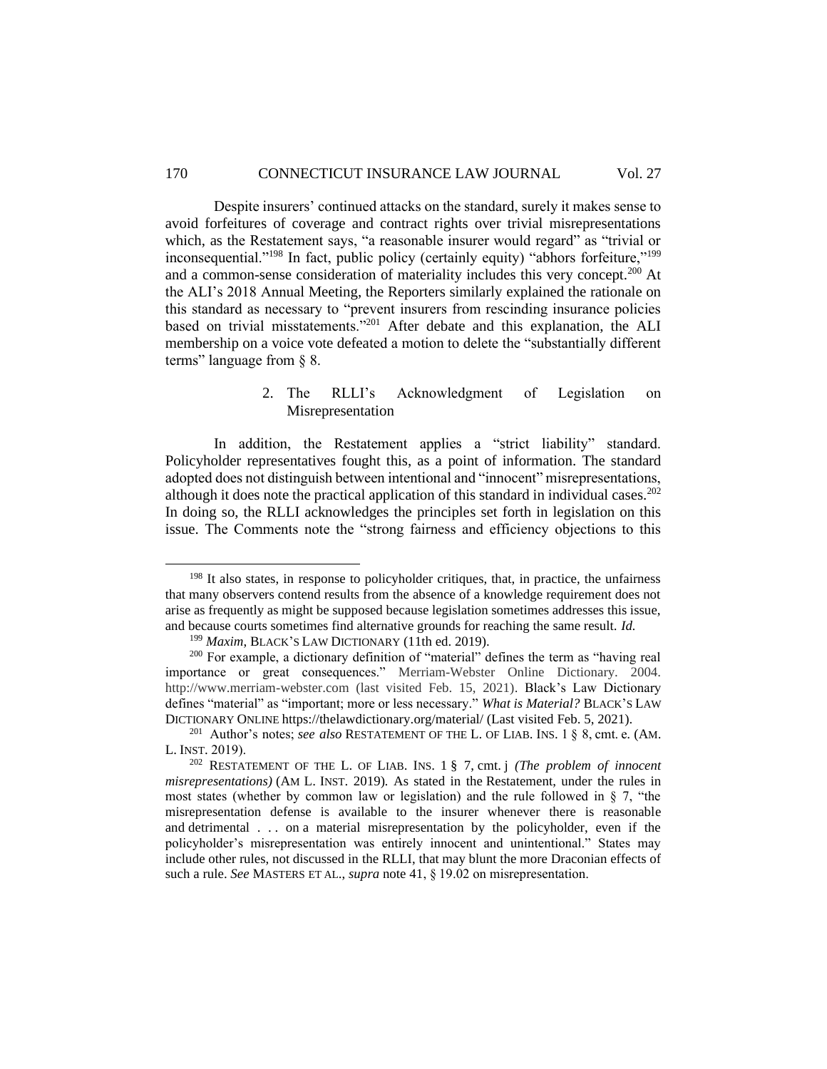### 170 CONNECTICUT INSURANCE LAW JOURNAL Vol. 27

Despite insurers' continued attacks on the standard, surely it makes sense to avoid forfeitures of coverage and contract rights over trivial misrepresentations which, as the Restatement says, "a reasonable insurer would regard" as "trivial or inconsequential."<sup>198</sup> In fact, public policy (certainly equity) "abhors forfeiture,"<sup>199</sup> and a common-sense consideration of materiality includes this very concept.<sup>200</sup> At the ALI's 2018 Annual Meeting, the Reporters similarly explained the rationale on this standard as necessary to "prevent insurers from rescinding insurance policies based on trivial misstatements."<sup>201</sup> After debate and this explanation, the ALI membership on a voice vote defeated a motion to delete the "substantially different terms" language from § 8.

## 2. The RLLI's Acknowledgment of Legislation on Misrepresentation

In addition, the Restatement applies a "strict liability" standard. Policyholder representatives fought this, as a point of information. The standard adopted does not distinguish between intentional and "innocent" misrepresentations, although it does note the practical application of this standard in individual cases.<sup>202</sup> In doing so, the RLLI acknowledges the principles set forth in legislation on this issue. The Comments note the "strong fairness and efficiency objections to this

<sup>&</sup>lt;sup>198</sup> It also states, in response to policyholder critiques, that, in practice, the unfairness that many observers contend results from the absence of a knowledge requirement does not arise as frequently as might be supposed because legislation sometimes addresses this issue, and because courts sometimes find alternative grounds for reaching the same result. *Id.*

<sup>&</sup>lt;sup>199</sup> Maxim, BLACK'S LAW DICTIONARY (11th ed. 2019).

<sup>&</sup>lt;sup>200</sup> For example, a dictionary definition of "material" defines the term as "having real importance or great consequences." Merriam-Webster Online Dictionary. 2004. http://www.merriam-webster.com (last visited Feb. 15, 2021). Black's Law Dictionary defines "material" as "important; more or less necessary." *What is Material?* BLACK'S LAW DICTIONARY ONLINE https://thelawdictionary.org/material/ (Last visited Feb. 5, 2021).

<sup>201</sup>  Author's notes; *see also* RESTATEMENT OF THE L. OF LIAB. INS. 1 § 8, cmt. e*.* (AM. L. INST. 2019). 

<sup>202</sup> RESTATEMENT OF THE L. OF LIAB. INS. 1 § 7, cmt. j *(The problem of innocent misrepresentations)* (AM L. INST. 2019)*.* As stated in the Restatement, under the rules in most states (whether by common law or legislation) and the rule followed in  $\S$  7, "the misrepresentation defense is available to the insurer whenever there is reasonable and detrimental . . . on a material misrepresentation by the policyholder, even if the policyholder's misrepresentation was entirely innocent and unintentional." States may include other rules, not discussed in the RLLI, that may blunt the more Draconian effects of such a rule. *See* MASTERS ET AL., *supra* note 41, § 19.02 on misrepresentation.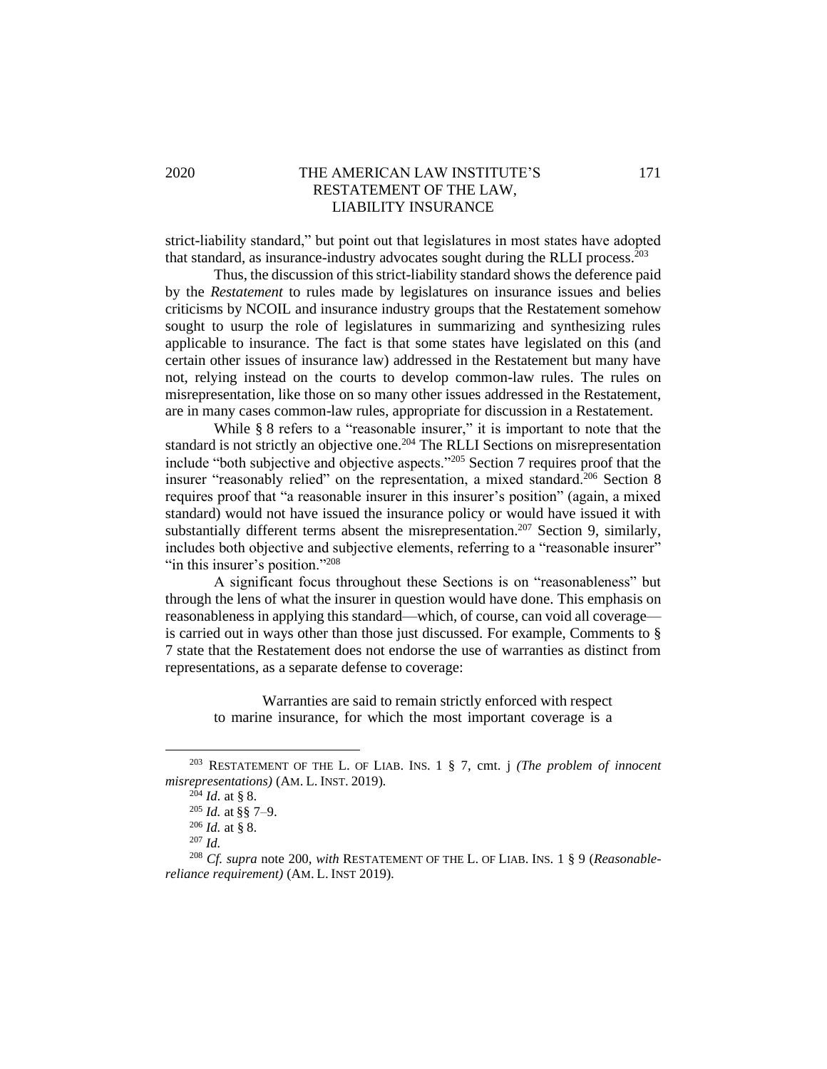## 2020 THE AMERICAN LAW INSTITUTE'S 171 RESTATEMENT OF THE LAW, LIABILITY INSURANCE

strict-liability standard," but point out that legislatures in most states have adopted that standard, as insurance-industry advocates sought during the RLLI process.<sup>203</sup>

Thus, the discussion of this strict-liability standard shows the deference paid by the *Restatement* to rules made by legislatures on insurance issues and belies criticisms by NCOIL and insurance industry groups that the Restatement somehow sought to usurp the role of legislatures in summarizing and synthesizing rules applicable to insurance. The fact is that some states have legislated on this (and certain other issues of insurance law) addressed in the Restatement but many have not, relying instead on the courts to develop common-law rules. The rules on misrepresentation, like those on so many other issues addressed in the Restatement, are in many cases common-law rules, appropriate for discussion in a Restatement.

While § 8 refers to a "reasonable insurer," it is important to note that the standard is not strictly an objective one.<sup>204</sup> The RLLI Sections on misrepresentation include "both subjective and objective aspects."<sup>205</sup> Section 7 requires proof that the insurer "reasonably relied" on the representation, a mixed standard.<sup>206</sup> Section 8 requires proof that "a reasonable insurer in this insurer's position" (again, a mixed standard) would not have issued the insurance policy or would have issued it with substantially different terms absent the misrepresentation.<sup>207</sup> Section 9, similarly, includes both objective and subjective elements, referring to a "reasonable insurer" "in this insurer's position."<sup>208</sup>

A significant focus throughout these Sections is on "reasonableness" but through the lens of what the insurer in question would have done. This emphasis on reasonableness in applying this standard—which, of course, can void all coverage is carried out in ways other than those just discussed. For example, Comments to § 7 state that the Restatement does not endorse the use of warranties as distinct from representations, as a separate defense to coverage:

Warranties are said to remain strictly enforced with respect to marine insurance, for which the most important coverage is a

<sup>203</sup> RESTATEMENT OF THE L. OF LIAB. INS. 1 § 7, cmt. j *(The problem of innocent misrepresentations)* (AM. L. INST. 2019)*.*

 $2^{04}$  *Id.* at § 8.

<sup>205</sup> *Id.* at §§ 7–9.

<sup>206</sup> *Id.* at § 8.

<sup>207</sup> *Id.*

<sup>208</sup> *Cf. supra* note 200, *with* RESTATEMENT OF THE L. OF LIAB. INS. 1 § 9 (*Reasonablereliance requirement)* (AM. L. INST 2019)*.*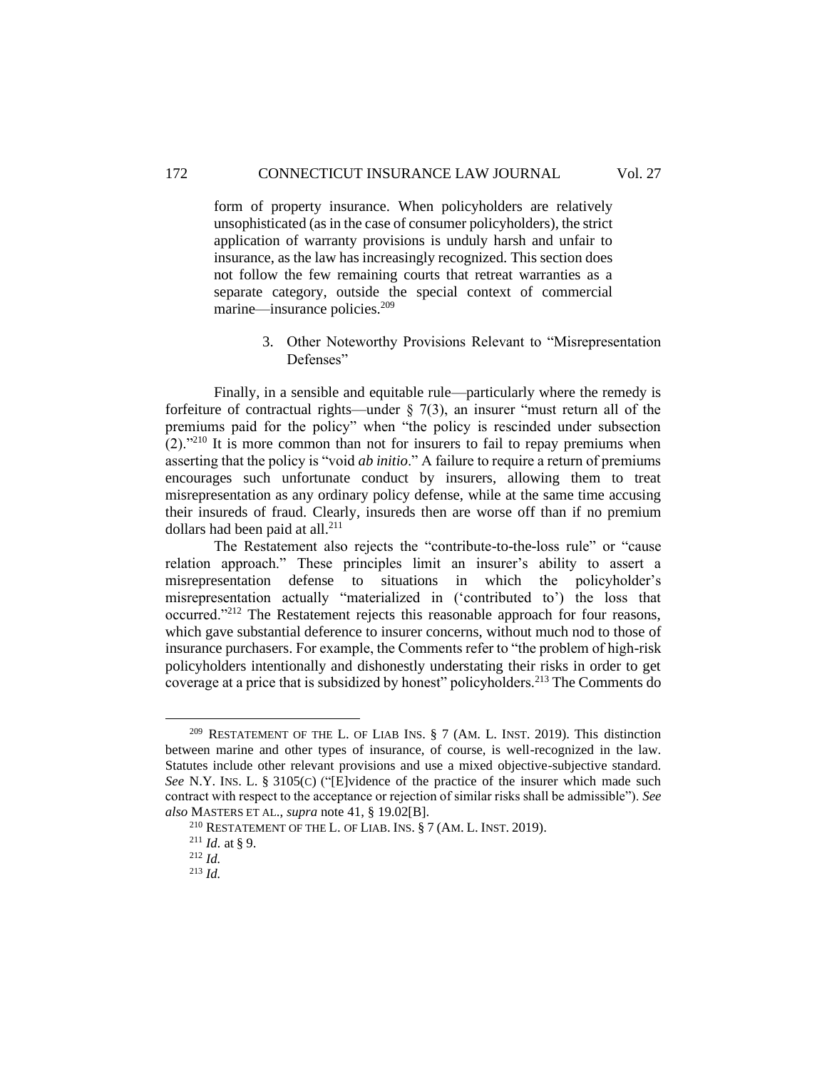form of property insurance. When policyholders are relatively unsophisticated (as in the case of consumer policyholders), the strict application of warranty provisions is unduly harsh and unfair to insurance, as the law has increasingly recognized. This section does not follow the few remaining courts that retreat warranties as a separate category, outside the special context of commercial marine—insurance policies.<sup>209</sup>

> 3. Other Noteworthy Provisions Relevant to "Misrepresentation Defenses"

Finally, in a sensible and equitable rule—particularly where the remedy is forfeiture of contractual rights—under  $\S$  7(3), an insurer "must return all of the premiums paid for the policy" when "the policy is rescinded under subsection  $(2)$ ."<sup>210</sup> It is more common than not for insurers to fail to repay premiums when asserting that the policy is "void *ab initio*." A failure to require a return of premiums encourages such unfortunate conduct by insurers, allowing them to treat misrepresentation as any ordinary policy defense, while at the same time accusing their insureds of fraud. Clearly, insureds then are worse off than if no premium dollars had been paid at all.<sup>211</sup>

The Restatement also rejects the "contribute-to-the-loss rule" or "cause relation approach." These principles limit an insurer's ability to assert a misrepresentation defense to situations in which the policyholder's misrepresentation actually "materialized in ('contributed to') the loss that occurred."<sup>212</sup> The Restatement rejects this reasonable approach for four reasons, which gave substantial deference to insurer concerns, without much nod to those of insurance purchasers. For example, the Comments refer to "the problem of high-risk policyholders intentionally and dishonestly understating their risks in order to get coverage at a price that is subsidized by honest" policyholders.<sup>213</sup> The Comments do

 $209$  RESTATEMENT OF THE L. OF LIAB INS. § 7 (AM. L. INST. 2019). This distinction between marine and other types of insurance, of course, is well-recognized in the law. Statutes include other relevant provisions and use a mixed objective-subjective standard. *See* N.Y. INS. L. § 3105(C) ("[E]vidence of the practice of the insurer which made such contract with respect to the acceptance or rejection of similar risks shall be admissible"). *See also* MASTERS ET AL., *supra* note 41, § 19.02[B].

<sup>210</sup> RESTATEMENT OF THE L. OF LIAB. INS. § 7 (AM. L. INST. 2019).

 $^{211}$  *Id.* at § 9.

<sup>212</sup> *Id.*

<sup>213</sup> *Id.*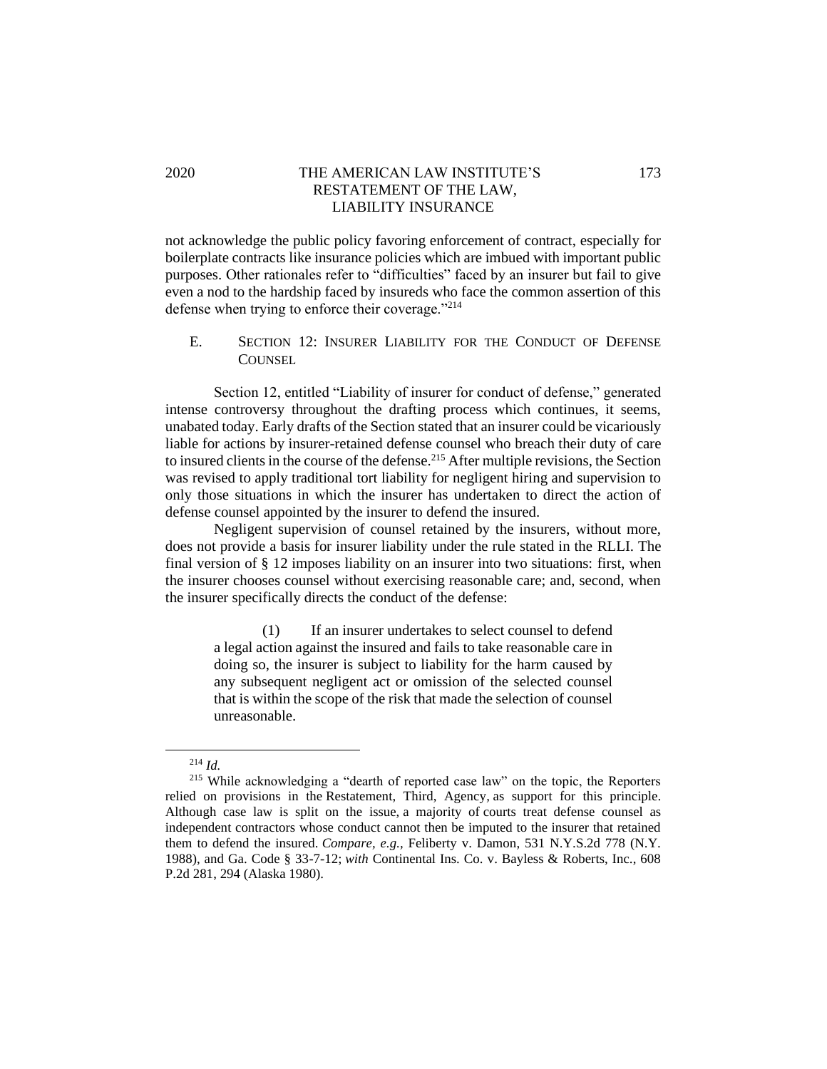## 2020 THE AMERICAN LAW INSTITUTE'S 173 RESTATEMENT OF THE LAW, LIABILITY INSURANCE

not acknowledge the public policy favoring enforcement of contract, especially for boilerplate contracts like insurance policies which are imbued with important public purposes. Other rationales refer to "difficulties" faced by an insurer but fail to give even a nod to the hardship faced by insureds who face the common assertion of this defense when trying to enforce their coverage."<sup>214</sup>

E. SECTION 12: INSURER LIABILITY FOR THE CONDUCT OF DEFENSE COUNSEL

Section 12, entitled "Liability of insurer for conduct of defense," generated intense controversy throughout the drafting process which continues, it seems, unabated today. Early drafts of the Section stated that an insurer could be vicariously liable for actions by insurer-retained defense counsel who breach their duty of care to insured clients in the course of the defense.<sup>215</sup> After multiple revisions, the Section was revised to apply traditional tort liability for negligent hiring and supervision to only those situations in which the insurer has undertaken to direct the action of defense counsel appointed by the insurer to defend the insured.

Negligent supervision of counsel retained by the insurers, without more, does not provide a basis for insurer liability under the rule stated in the RLLI. The final version of § 12 imposes liability on an insurer into two situations: first, when the insurer chooses counsel without exercising reasonable care; and, second, when the insurer specifically directs the conduct of the defense:

(1) If an insurer undertakes to select counsel to defend a legal action against the insured and fails to take reasonable care in doing so, the insurer is subject to liability for the harm caused by any subsequent negligent act or omission of the selected counsel that is within the scope of the risk that made the selection of counsel unreasonable.

<sup>214</sup> *Id.*

<sup>215</sup> While acknowledging a "dearth of reported case law" on the topic, the Reporters relied on provisions in the Restatement, Third, Agency*,* as support for this principle. Although case law is split on the issue, a majority of courts treat defense counsel as independent contractors whose conduct cannot then be imputed to the insurer that retained them to defend the insured. *Compare, e.g.,* Feliberty v. Damon, 531 N.Y.S.2d 778 (N.Y. 1988), and Ga. Code § 33-7-12; *with* Continental Ins. Co. v. Bayless & Roberts, Inc., 608 P.2d 281, 294 (Alaska 1980).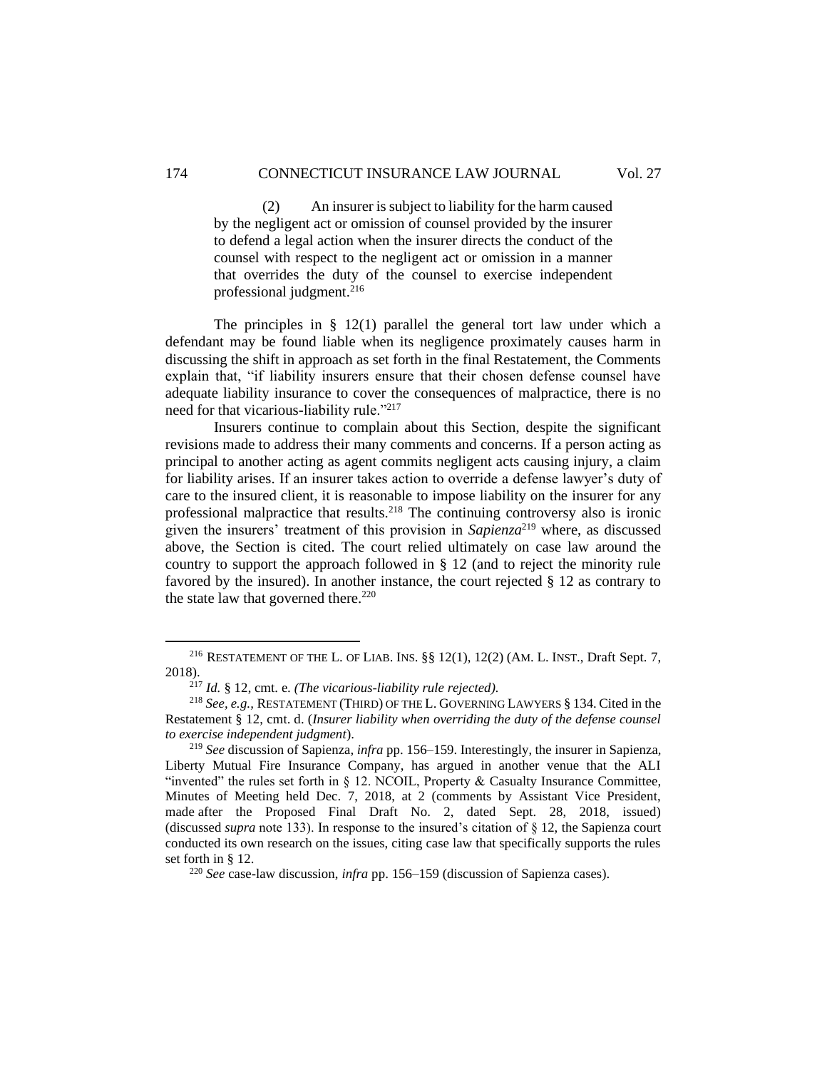(2) An insurer is subject to liability for the harm caused by the negligent act or omission of counsel provided by the insurer to defend a legal action when the insurer directs the conduct of the counsel with respect to the negligent act or omission in a manner that overrides the duty of the counsel to exercise independent professional judgment. $^{216}$ 

The principles in  $\S$  12(1) parallel the general tort law under which a defendant may be found liable when its negligence proximately causes harm in discussing the shift in approach as set forth in the final Restatement, the Comments explain that, "if liability insurers ensure that their chosen defense counsel have adequate liability insurance to cover the consequences of malpractice, there is no need for that vicarious-liability rule."<sup>217</sup>

Insurers continue to complain about this Section, despite the significant revisions made to address their many comments and concerns. If a person acting as principal to another acting as agent commits negligent acts causing injury, a claim for liability arises. If an insurer takes action to override a defense lawyer's duty of care to the insured client, it is reasonable to impose liability on the insurer for any professional malpractice that results.<sup>218</sup> The continuing controversy also is ironic given the insurers' treatment of this provision in *Sapienza*<sup>219</sup> where, as discussed above, the Section is cited. The court relied ultimately on case law around the country to support the approach followed in § 12 (and to reject the minority rule favored by the insured). In another instance, the court rejected § 12 as contrary to the state law that governed there.<sup>220</sup>

<sup>216</sup> RESTATEMENT OF THE L. OF LIAB. INS. §§ 12(1), 12(2) (AM. L. INST., Draft Sept. 7, 2018).

<sup>217</sup> *Id.* § 12, cmt. e*. (The vicarious-liability rule rejected).*

<sup>218</sup> *See, e.g.,* RESTATEMENT (THIRD) OF THE L. GOVERNING LAWYERS § 134. Cited in the Restatement § 12, cmt. d. (*Insurer liability when overriding the duty of the defense counsel to exercise independent judgment*).

<sup>219</sup> *See* discussion of Sapienza*, infra* pp. 156–159. Interestingly, the insurer in Sapienza*,* Liberty Mutual Fire Insurance Company, has argued in another venue that the ALI "invented" the rules set forth in  $\S$  12. NCOIL, Property & Casualty Insurance Committee, Minutes of Meeting held Dec. 7, 2018, at 2 (comments by Assistant Vice President, made after the Proposed Final Draft No. 2, dated Sept. 28, 2018, issued) (discussed *supra* note 133). In response to the insured's citation of § 12, the Sapienza court conducted its own research on the issues, citing case law that specifically supports the rules set forth in § 12.

<sup>220</sup> *See* case-law discussion, *infra* pp. 156–159 (discussion of Sapienza cases).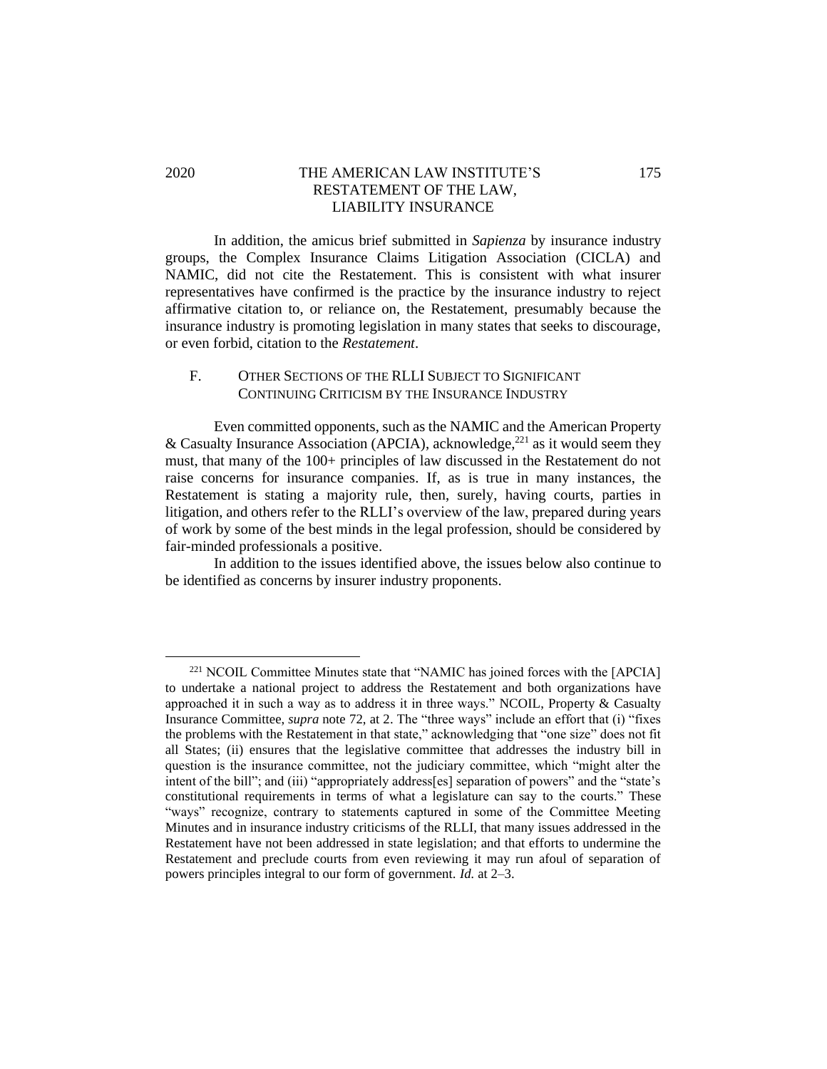## 2020 THE AMERICAN LAW INSTITUTE'S 175 RESTATEMENT OF THE LAW, LIABILITY INSURANCE

In addition, the amicus brief submitted in *Sapienza* by insurance industry groups, the Complex Insurance Claims Litigation Association (CICLA) and NAMIC, did not cite the Restatement. This is consistent with what insurer representatives have confirmed is the practice by the insurance industry to reject affirmative citation to, or reliance on, the Restatement, presumably because the insurance industry is promoting legislation in many states that seeks to discourage, or even forbid, citation to the *Restatement*.

## F. OTHER SECTIONS OF THE RLLI SUBJECT TO SIGNIFICANT CONTINUING CRITICISM BY THE INSURANCE INDUSTRY

Even committed opponents, such as the NAMIC and the American Property & Casualty Insurance Association (APCIA), acknowledge,<sup>221</sup> as it would seem they must, that many of the 100+ principles of law discussed in the Restatement do not raise concerns for insurance companies. If, as is true in many instances, the Restatement is stating a majority rule, then, surely, having courts, parties in litigation, and others refer to the RLLI's overview of the law, prepared during years of work by some of the best minds in the legal profession, should be considered by fair-minded professionals a positive.

In addition to the issues identified above, the issues below also continue to be identified as concerns by insurer industry proponents.

<sup>&</sup>lt;sup>221</sup> NCOIL Committee Minutes state that "NAMIC has joined forces with the [APCIA] to undertake a national project to address the Restatement and both organizations have approached it in such a way as to address it in three ways." NCOIL, Property & Casualty Insurance Committee, *supra* note 72, at 2. The "three ways" include an effort that (i) "fixes the problems with the Restatement in that state," acknowledging that "one size" does not fit all States; (ii) ensures that the legislative committee that addresses the industry bill in question is the insurance committee, not the judiciary committee, which "might alter the intent of the bill"; and (iii) "appropriately address[es] separation of powers" and the "state's constitutional requirements in terms of what a legislature can say to the courts." These "ways" recognize, contrary to statements captured in some of the Committee Meeting Minutes and in insurance industry criticisms of the RLLI, that many issues addressed in the Restatement have not been addressed in state legislation; and that efforts to undermine the Restatement and preclude courts from even reviewing it may run afoul of separation of powers principles integral to our form of government. *Id.* at 2–3.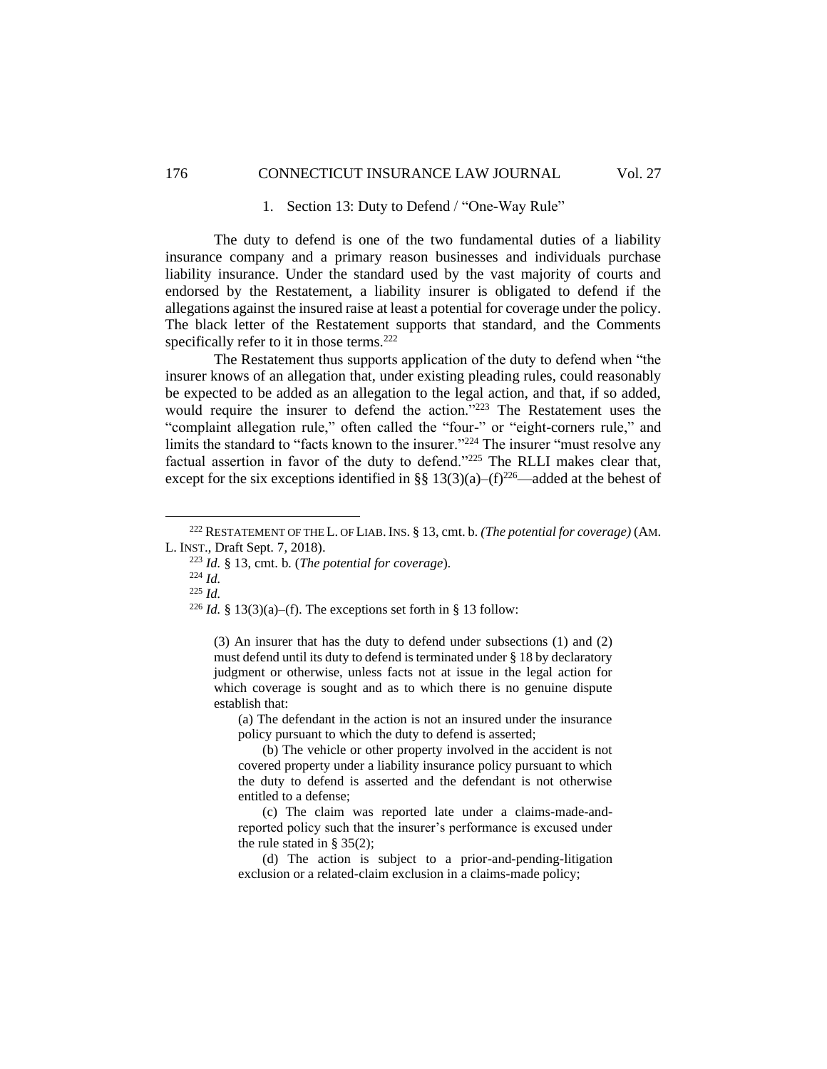#### 1. Section 13: Duty to Defend / "One-Way Rule"

The duty to defend is one of the two fundamental duties of a liability insurance company and a primary reason businesses and individuals purchase liability insurance. Under the standard used by the vast majority of courts and endorsed by the Restatement, a liability insurer is obligated to defend if the allegations against the insured raise at least a potential for coverage under the policy. The black letter of the Restatement supports that standard, and the Comments specifically refer to it in those terms.<sup>222</sup>

The Restatement thus supports application of the duty to defend when "the insurer knows of an allegation that, under existing pleading rules, could reasonably be expected to be added as an allegation to the legal action, and that, if so added, would require the insurer to defend the action."<sup>223</sup> The Restatement uses the "complaint allegation rule," often called the "four-" or "eight-corners rule," and limits the standard to "facts known to the insurer."<sup>224</sup> The insurer "must resolve any factual assertion in favor of the duty to defend."<sup>225</sup> The RLLI makes clear that, except for the six exceptions identified in §§ 13(3)(a)–(f)<sup>226</sup>—added at the behest of

<sup>224</sup> *Id.*

<sup>225</sup> *Id.*

(3) An insurer that has the duty to defend under subsections (1) and (2) must defend until its duty to defend is terminated under § 18 by declaratory judgment or otherwise, unless facts not at issue in the legal action for which coverage is sought and as to which there is no genuine dispute establish that:

(a) The defendant in the action is not an insured under the insurance policy pursuant to which the duty to defend is asserted;

(b) The vehicle or other property involved in the accident is not covered property under a liability insurance policy pursuant to which the duty to defend is asserted and the defendant is not otherwise entitled to a defense;

(c) The claim was reported late under a claims-made-andreported policy such that the insurer's performance is excused under the rule stated in § 35(2);

(d) The action is subject to a prior-and-pending-litigation exclusion or a related-claim exclusion in a claims-made policy;

<sup>222</sup> RESTATEMENT OF THE L. OF LIAB.INS. § 13, cmt. b*. (The potential for coverage)* (AM. L. INST., Draft Sept. 7, 2018).

<sup>223</sup> *Id.* § 13, cmt. b*.* (*The potential for coverage*)*.*

<sup>&</sup>lt;sup>226</sup> *Id.* § 13(3)(a)–(f). The exceptions set forth in § 13 follow: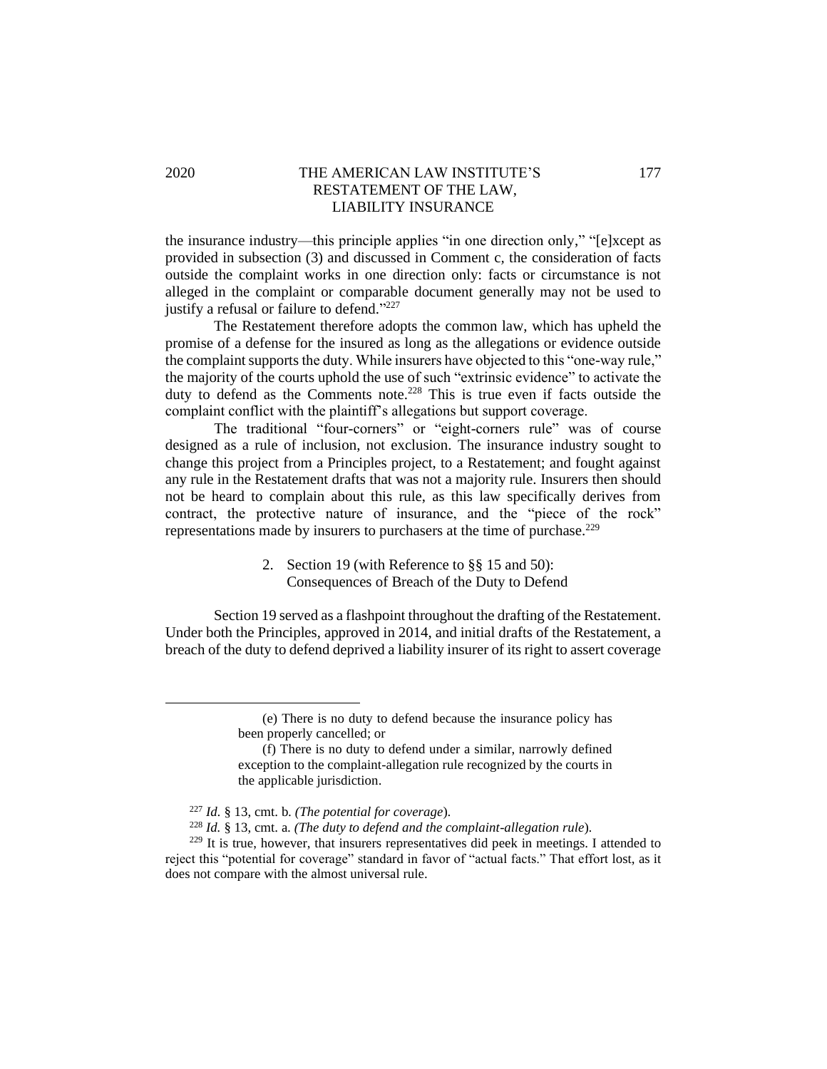## 2020 THE AMERICAN LAW INSTITUTE'S 177 RESTATEMENT OF THE LAW, LIABILITY INSURANCE

the insurance industry—this principle applies "in one direction only," "[e]xcept as provided in subsection (3) and discussed in Comment c*,* the consideration of facts outside the complaint works in one direction only: facts or circumstance is not alleged in the complaint or comparable document generally may not be used to justify a refusal or failure to defend."<sup>227</sup>

The Restatement therefore adopts the common law, which has upheld the promise of a defense for the insured as long as the allegations or evidence outside the complaint supports the duty. While insurers have objected to this "one-way rule," the majority of the courts uphold the use of such "extrinsic evidence" to activate the duty to defend as the Comments note.<sup>228</sup> This is true even if facts outside the complaint conflict with the plaintiff's allegations but support coverage.

The traditional "four-corners" or "eight-corners rule" was of course designed as a rule of inclusion, not exclusion. The insurance industry sought to change this project from a Principles project, to a Restatement; and fought against any rule in the Restatement drafts that was not a majority rule. Insurers then should not be heard to complain about this rule, as this law specifically derives from contract, the protective nature of insurance, and the "piece of the rock" representations made by insurers to purchasers at the time of purchase.<sup>229</sup>

> 2. Section 19 (with Reference to §§ 15 and 50): Consequences of Breach of the Duty to Defend

Section 19 served as a flashpoint throughout the drafting of the Restatement. Under both the Principles, approved in 2014, and initial drafts of the Restatement, a breach of the duty to defend deprived a liability insurer of its right to assert coverage

<sup>(</sup>e) There is no duty to defend because the insurance policy has been properly cancelled; or

<sup>(</sup>f) There is no duty to defend under a similar, narrowly defined exception to the complaint-allegation rule recognized by the courts in the applicable jurisdiction.

<sup>227</sup> *Id.* § 13, cmt. b*. (The potential for coverage*)*.*

<sup>228</sup> *Id.* § 13, cmt. a*. (The duty to defend and the complaint-allegation rule*)*.*

 $2^{229}$  It is true, however, that insurers representatives did peek in meetings. I attended to reject this "potential for coverage" standard in favor of "actual facts." That effort lost, as it does not compare with the almost universal rule.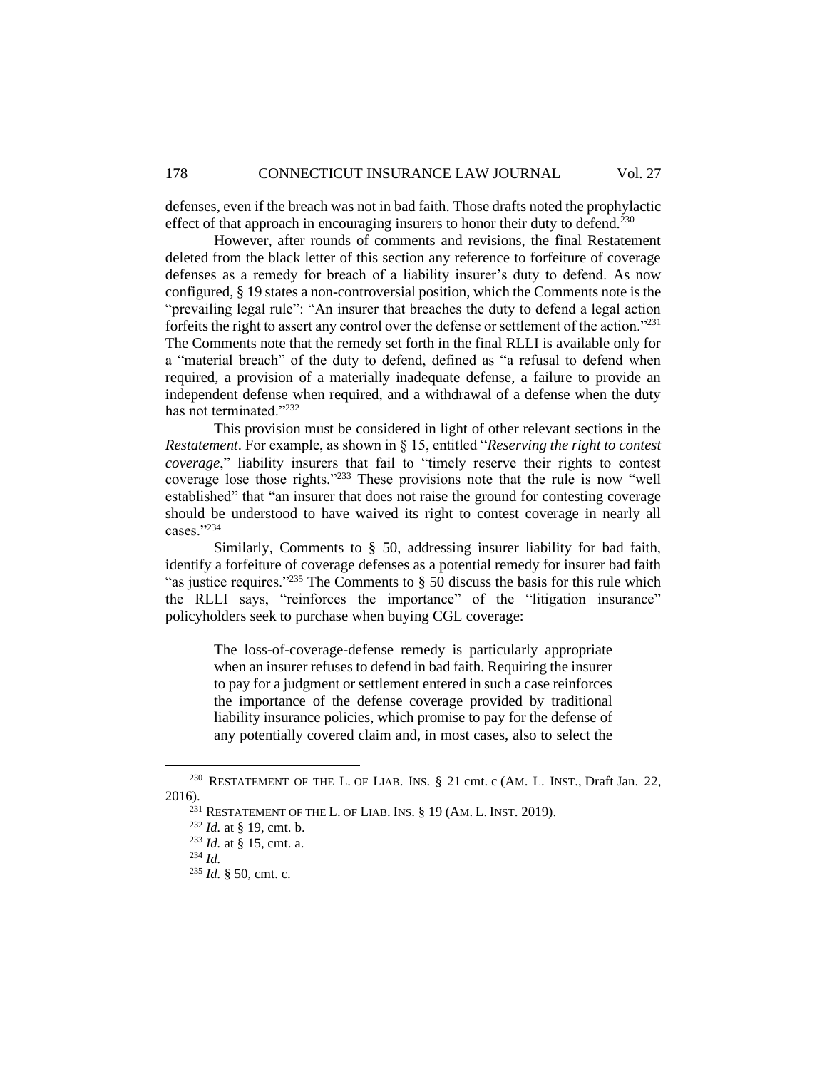defenses, even if the breach was not in bad faith. Those drafts noted the prophylactic effect of that approach in encouraging insurers to honor their duty to defend.<sup>230</sup>

However, after rounds of comments and revisions, the final Restatement deleted from the black letter of this section any reference to forfeiture of coverage defenses as a remedy for breach of a liability insurer's duty to defend. As now configured, § 19 states a non-controversial position, which the Comments note is the "prevailing legal rule": "An insurer that breaches the duty to defend a legal action forfeits the right to assert any control over the defense or settlement of the action."<sup>231</sup> The Comments note that the remedy set forth in the final RLLI is available only for a "material breach" of the duty to defend, defined as "a refusal to defend when required, a provision of a materially inadequate defense, a failure to provide an independent defense when required, and a withdrawal of a defense when the duty has not terminated."<sup>232</sup>

This provision must be considered in light of other relevant sections in the *Restatement*. For example, as shown in § 15, entitled "*Reserving the right to contest coverage*," liability insurers that fail to "timely reserve their rights to contest coverage lose those rights."<sup>233</sup> These provisions note that the rule is now "well established" that "an insurer that does not raise the ground for contesting coverage should be understood to have waived its right to contest coverage in nearly all cases."<sup>234</sup>

Similarly, Comments to § 50, addressing insurer liability for bad faith, identify a forfeiture of coverage defenses as a potential remedy for insurer bad faith "as justice requires."<sup>235</sup> The Comments to  $\S$  50 discuss the basis for this rule which the RLLI says, "reinforces the importance" of the "litigation insurance" policyholders seek to purchase when buying CGL coverage:

The loss-of-coverage-defense remedy is particularly appropriate when an insurer refuses to defend in bad faith. Requiring the insurer to pay for a judgment or settlement entered in such a case reinforces the importance of the defense coverage provided by traditional liability insurance policies, which promise to pay for the defense of any potentially covered claim and, in most cases, also to select the

<sup>&</sup>lt;sup>230</sup> RESTATEMENT OF THE L. OF LIAB. INS. § 21 cmt. c (AM. L. INST., Draft Jan. 22, 2016).

 $231$  RESTATEMENT OF THE L. OF LIAB. INS.  $\S$  19 (AM. L. INST. 2019).

<sup>232</sup> *Id.* at § 19, cmt. b.

<sup>233</sup> *Id.* at § 15, cmt. a.

<sup>234</sup> *Id.* 

<sup>235</sup> *Id.* § 50, cmt. c*.*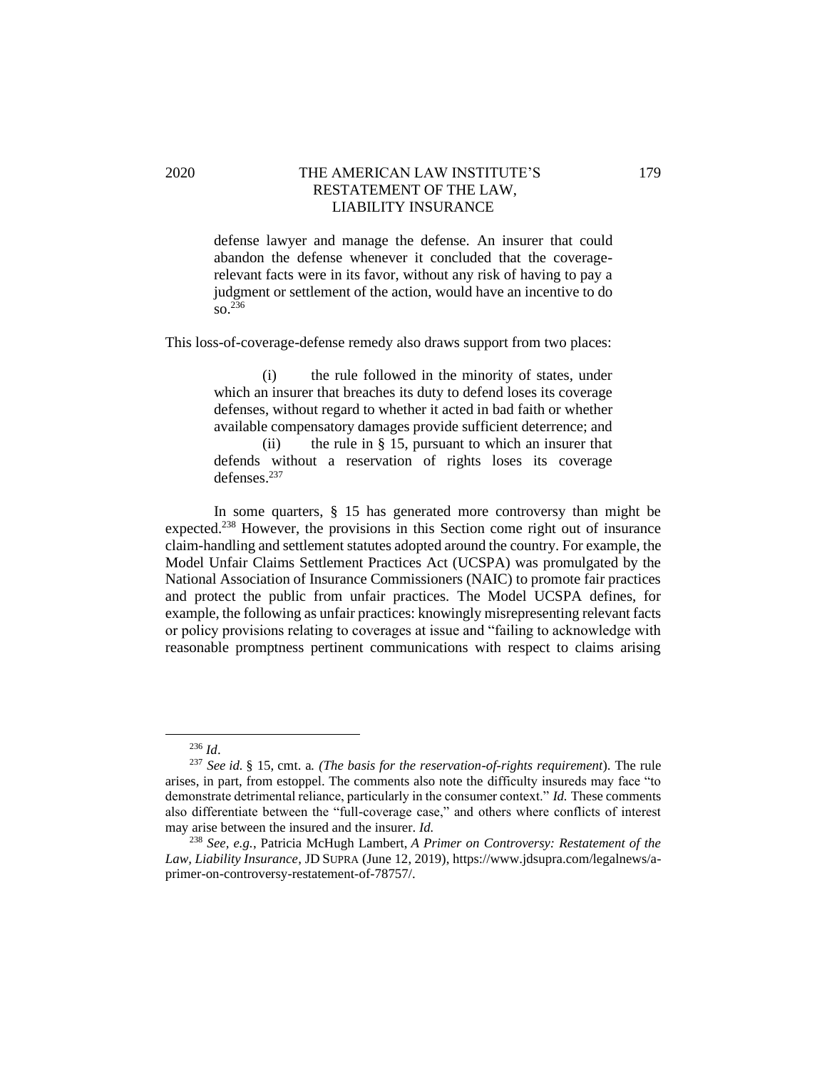## 2020 THE AMERICAN LAW INSTITUTE'S 179 RESTATEMENT OF THE LAW, LIABILITY INSURANCE

defense lawyer and manage the defense. An insurer that could abandon the defense whenever it concluded that the coveragerelevant facts were in its favor, without any risk of having to pay a judgment or settlement of the action, would have an incentive to do so.<sup>236</sup>

This loss-of-coverage-defense remedy also draws support from two places:

(i) the rule followed in the minority of states, under which an insurer that breaches its duty to defend loses its coverage defenses, without regard to whether it acted in bad faith or whether available compensatory damages provide sufficient deterrence; and (ii) the rule in § 15, pursuant to which an insurer that defends without a reservation of rights loses its coverage defenses.<sup>237</sup>

In some quarters, § 15 has generated more controversy than might be expected.<sup>238</sup> However, the provisions in this Section come right out of insurance claim-handling and settlement statutes adopted around the country. For example, the Model Unfair Claims Settlement Practices Act (UCSPA) was promulgated by the National Association of Insurance Commissioners (NAIC) to promote fair practices and protect the public from unfair practices. The Model UCSPA defines, for example, the following as unfair practices: knowingly misrepresenting relevant facts or policy provisions relating to coverages at issue and "failing to acknowledge with reasonable promptness pertinent communications with respect to claims arising

<sup>236</sup> *Id*.

<sup>237</sup> *See id.* § 15, cmt. a*. (The basis for the reservation-of-rights requirement*). The rule arises, in part, from estoppel. The comments also note the difficulty insureds may face "to demonstrate detrimental reliance, particularly in the consumer context." *Id.* These comments also differentiate between the "full-coverage case," and others where conflicts of interest may arise between the insured and the insurer. *Id.*

<sup>238</sup> *See, e.g.*, Patricia McHugh Lambert, *A Primer on Controversy: Restatement of the Law, Liability Insurance*, JD SUPRA (June 12, 2019), https://www.jdsupra.com/legalnews/aprimer-on-controversy-restatement-of-78757/.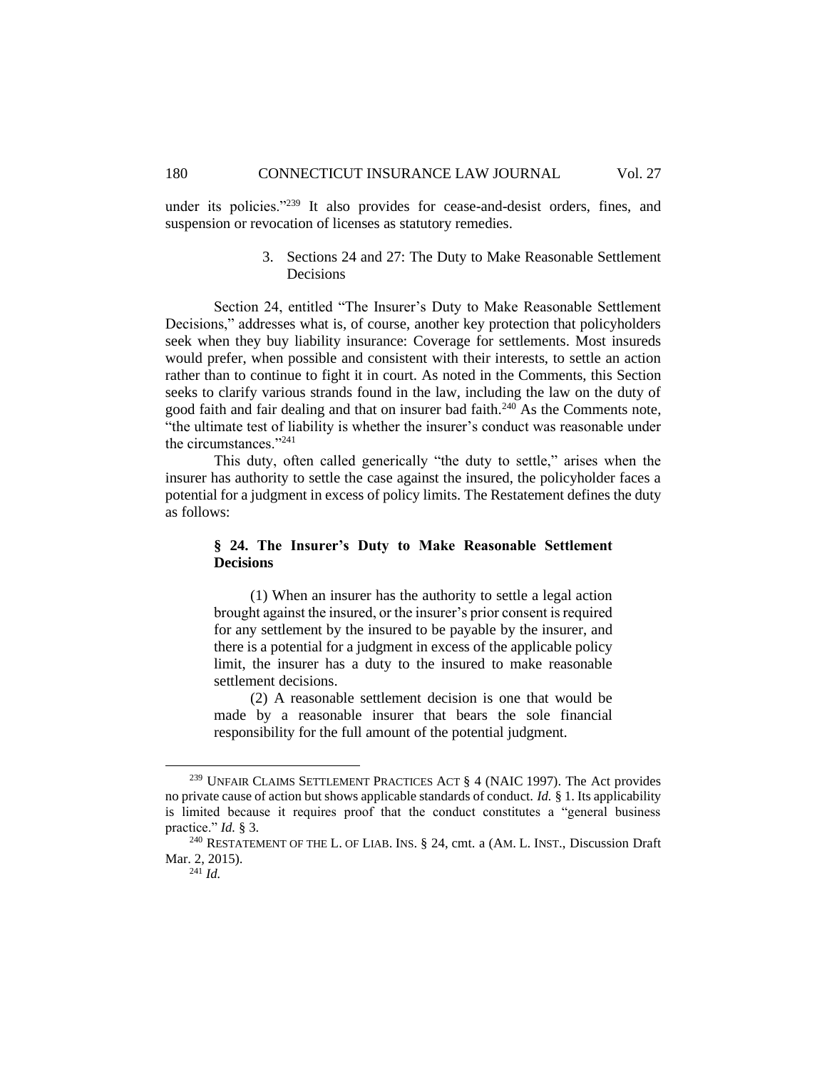under its policies."<sup>239</sup> It also provides for cease-and-desist orders, fines, and suspension or revocation of licenses as statutory remedies.

> 3. Sections 24 and 27: The Duty to Make Reasonable Settlement Decisions

Section 24, entitled "The Insurer's Duty to Make Reasonable Settlement Decisions," addresses what is, of course, another key protection that policyholders seek when they buy liability insurance: Coverage for settlements. Most insureds would prefer, when possible and consistent with their interests, to settle an action rather than to continue to fight it in court. As noted in the Comments, this Section seeks to clarify various strands found in the law, including the law on the duty of good faith and fair dealing and that on insurer bad faith.<sup>240</sup> As the Comments note, "the ultimate test of liability is whether the insurer's conduct was reasonable under the circumstances."<sup>241</sup>

This duty, often called generically "the duty to settle," arises when the insurer has authority to settle the case against the insured, the policyholder faces a potential for a judgment in excess of policy limits. The Restatement defines the duty as follows:

## **§ 24. The Insurer's Duty to Make Reasonable Settlement Decisions**

(1) When an insurer has the authority to settle a legal action brought against the insured, or the insurer's prior consent is required for any settlement by the insured to be payable by the insurer, and there is a potential for a judgment in excess of the applicable policy limit, the insurer has a duty to the insured to make reasonable settlement decisions.

(2) A reasonable settlement decision is one that would be made by a reasonable insurer that bears the sole financial responsibility for the full amount of the potential judgment.

<sup>239</sup> UNFAIR CLAIMS SETTLEMENT PRACTICES ACT § 4 (NAIC 1997). The Act provides no private cause of action but shows applicable standards of conduct. *Id.* § 1. Its applicability is limited because it requires proof that the conduct constitutes a "general business practice." *Id.* § 3.

 $^{240}$  RESTATEMENT OF THE L. OF LIAB. INS.  $\S$  24, cmt. a (AM. L. INST., Discussion Draft Mar. 2, 2015).

<sup>241</sup> *Id.*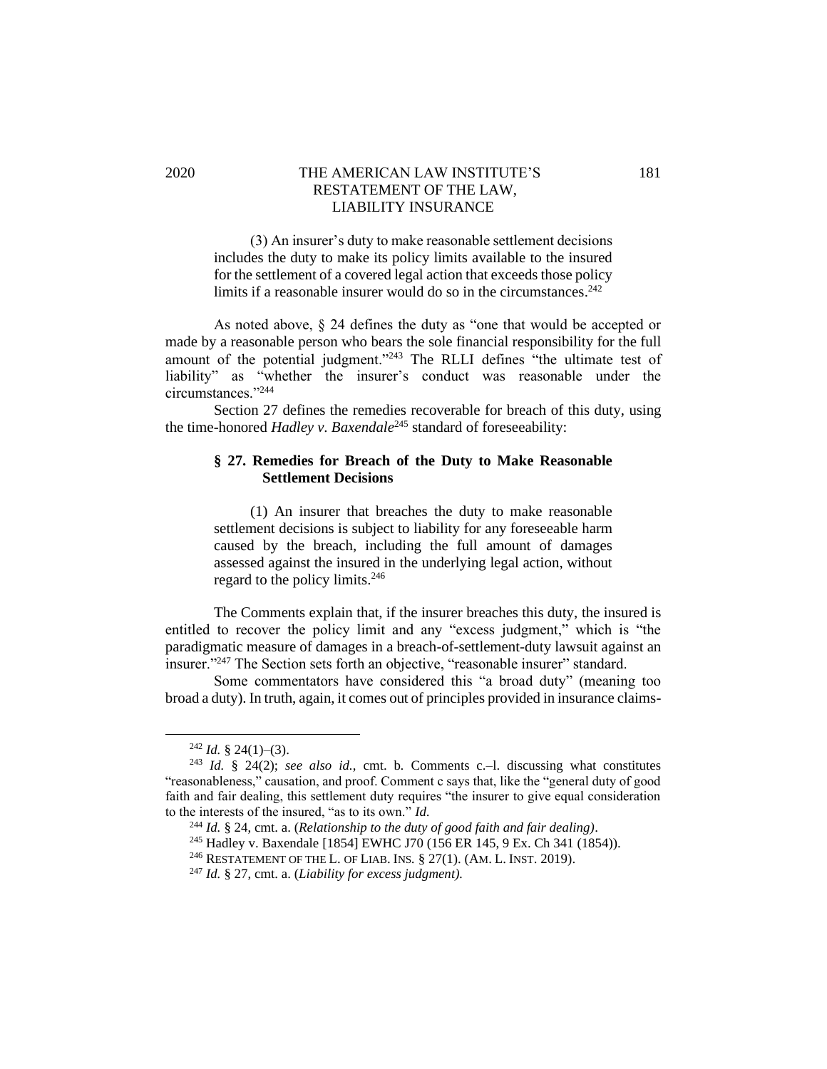## 2020 THE AMERICAN LAW INSTITUTE'S 181 RESTATEMENT OF THE LAW, LIABILITY INSURANCE

(3) An insurer's duty to make reasonable settlement decisions includes the duty to make its policy limits available to the insured for the settlement of a covered legal action that exceeds those policy limits if a reasonable insurer would do so in the circumstances. 242

As noted above, § 24 defines the duty as "one that would be accepted or made by a reasonable person who bears the sole financial responsibility for the full amount of the potential judgment."<sup>243</sup> The RLLI defines "the ultimate test of liability" as "whether the insurer's conduct was reasonable under the circumstances."<sup>244</sup>

Section 27 defines the remedies recoverable for breach of this duty, using the time-honored *Hadley v. Baxendale*<sup>245</sup> standard of foreseeability:

## **§ 27. Remedies for Breach of the Duty to Make Reasonable Settlement Decisions**

(1) An insurer that breaches the duty to make reasonable settlement decisions is subject to liability for any foreseeable harm caused by the breach, including the full amount of damages assessed against the insured in the underlying legal action, without regard to the policy limits.<sup>246</sup>

The Comments explain that, if the insurer breaches this duty, the insured is entitled to recover the policy limit and any "excess judgment," which is "the paradigmatic measure of damages in a breach-of-settlement-duty lawsuit against an insurer."<sup>247</sup> The Section sets forth an objective, "reasonable insurer" standard.

Some commentators have considered this "a broad duty" (meaning too broad a duty). In truth, again, it comes out of principles provided in insurance claims-

 $242$  *Id.* § 24(1)–(3).

<sup>243</sup> *Id.* § 24(2); *see also id.*, cmt. b*.* Comments c.–l. discussing what constitutes "reasonableness," causation, and proof. Comment c says that, like the "general duty of good faith and fair dealing, this settlement duty requires "the insurer to give equal consideration to the interests of the insured, "as to its own." *Id.*

<sup>244</sup> *Id.* § 24, cmt. a. (*Relationship to the duty of good faith and fair dealing)*.

<sup>&</sup>lt;sup>245</sup> Hadley v. Baxendale [1854] EWHC J70 (156 ER 145, 9 Ex. Ch 341 (1854)).

<sup>246</sup> RESTATEMENT OF THE L. OF LIAB. INS*.* § 27(1). (AM. L. INST. 2019).

<sup>247</sup> *Id.* § 27, cmt. a. (*Liability for excess judgment).*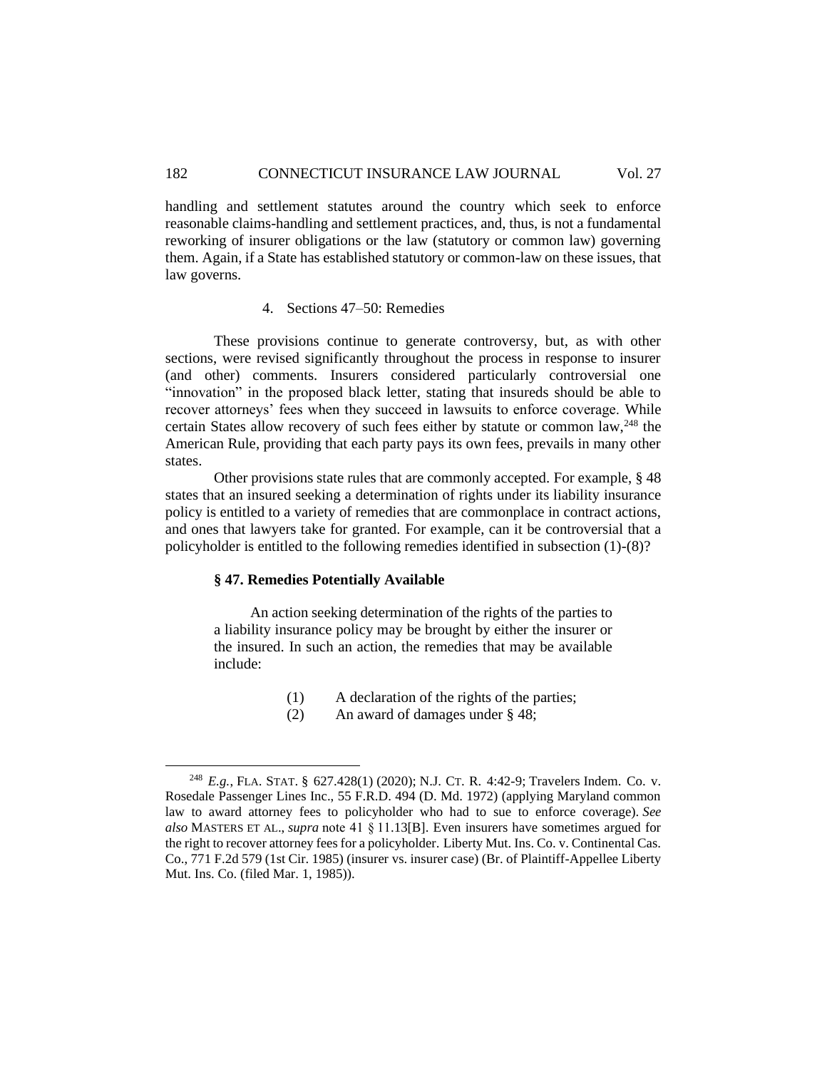handling and settlement statutes around the country which seek to enforce reasonable claims-handling and settlement practices, and, thus, is not a fundamental reworking of insurer obligations or the law (statutory or common law) governing them. Again, if a State has established statutory or common-law on these issues, that law governs.

#### 4. Sections 47–50: Remedies

These provisions continue to generate controversy, but, as with other sections, were revised significantly throughout the process in response to insurer (and other) comments. Insurers considered particularly controversial one "innovation" in the proposed black letter, stating that insureds should be able to recover attorneys' fees when they succeed in lawsuits to enforce coverage. While certain States allow recovery of such fees either by statute or common law,  $248$  the American Rule, providing that each party pays its own fees, prevails in many other states.

Other provisions state rules that are commonly accepted. For example, § 48 states that an insured seeking a determination of rights under its liability insurance policy is entitled to a variety of remedies that are commonplace in contract actions, and ones that lawyers take for granted. For example, can it be controversial that a policyholder is entitled to the following remedies identified in subsection (1)-(8)?

#### **§ 47. Remedies Potentially Available**

An action seeking determination of the rights of the parties to a liability insurance policy may be brought by either the insurer or the insured. In such an action, the remedies that may be available include:

- (1) A declaration of the rights of the parties;
- (2) An award of damages under § 48;

<sup>248</sup> *E.g.*, FLA. STAT. § 627.428(1) (2020); N.J. CT. R. 4:42-9; Travelers Indem. Co. v. Rosedale Passenger Lines Inc., 55 F.R.D. 494 (D. Md. 1972) (applying Maryland common law to award attorney fees to policyholder who had to sue to enforce coverage). *See also* MASTERS ET AL., *supra* note 41 § 11.13[B]. Even insurers have sometimes argued for the right to recover attorney fees for a policyholder. Liberty Mut. Ins. Co. v. Continental Cas. Co., 771 F.2d 579 (1st Cir. 1985) (insurer vs. insurer case) (Br. of Plaintiff-Appellee Liberty Mut. Ins. Co. (filed Mar. 1, 1985)).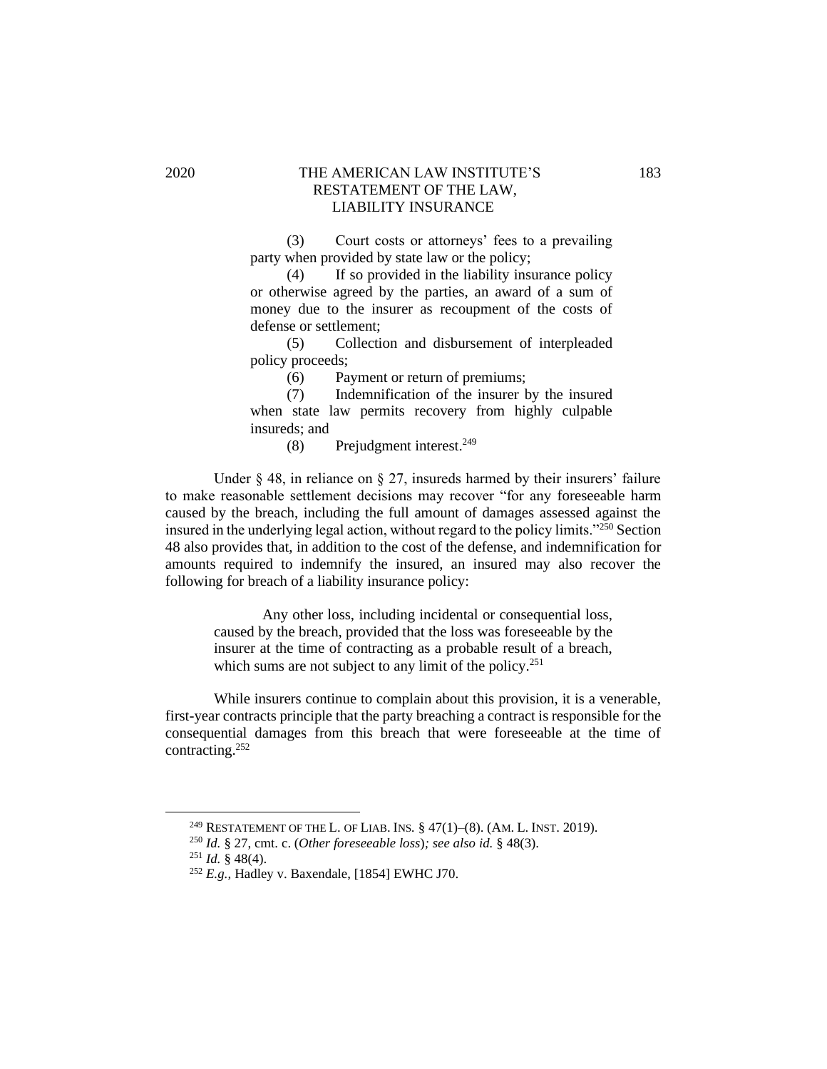## 2020 THE AMERICAN LAW INSTITUTE'S 183 RESTATEMENT OF THE LAW, LIABILITY INSURANCE

(3) Court costs or attorneys' fees to a prevailing party when provided by state law or the policy;

(4) If so provided in the liability insurance policy or otherwise agreed by the parties, an award of a sum of money due to the insurer as recoupment of the costs of defense or settlement;

(5) Collection and disbursement of interpleaded policy proceeds;

(6) Payment or return of premiums;

(7) Indemnification of the insurer by the insured when state law permits recovery from highly culpable insureds; and

 $(8)$  Prejudgment interest.<sup>249</sup>

Under  $\S$  48, in reliance on  $\S$  27, insureds harmed by their insurers' failure to make reasonable settlement decisions may recover "for any foreseeable harm caused by the breach, including the full amount of damages assessed against the insured in the underlying legal action, without regard to the policy limits."<sup>250</sup> Section 48 also provides that, in addition to the cost of the defense, and indemnification for amounts required to indemnify the insured, an insured may also recover the following for breach of a liability insurance policy:

Any other loss, including incidental or consequential loss, caused by the breach, provided that the loss was foreseeable by the insurer at the time of contracting as a probable result of a breach, which sums are not subject to any limit of the policy.<sup>251</sup>

While insurers continue to complain about this provision, it is a venerable, first-year contracts principle that the party breaching a contract is responsible for the consequential damages from this breach that were foreseeable at the time of contracting.<sup>252</sup>

<sup>249</sup> RESTATEMENT OF THE L. OF LIAB. INS*.* § 47(1)–(8). (AM. L. INST. 2019).

<sup>250</sup> *Id.* § 27, cmt. c. (*Other foreseeable loss*)*; see also id.* § 48(3).

 $251$  *Id.* § 48(4).

<sup>252</sup> *E.g.,* Hadley v. Baxendale, [1854] EWHC J70.